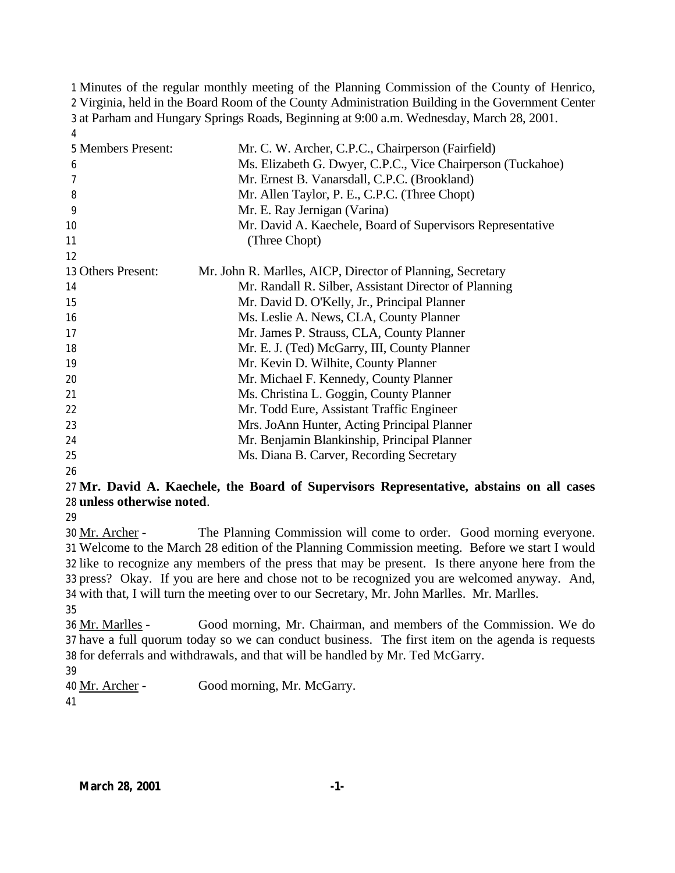Minutes of the regular monthly meeting of the Planning Commission of the County of Henrico, Virginia, held in the Board Room of the County Administration Building in the Government Center at Parham and Hungary Springs Roads, Beginning at 9:00 a.m. Wednesday, March 28, 2001. 

| 5 Members Present: | Mr. C. W. Archer, C.P.C., Chairperson (Fairfield)           |
|--------------------|-------------------------------------------------------------|
| 6                  | Ms. Elizabeth G. Dwyer, C.P.C., Vice Chairperson (Tuckahoe) |
| 7                  | Mr. Ernest B. Vanarsdall, C.P.C. (Brookland)                |
| 8                  | Mr. Allen Taylor, P. E., C.P.C. (Three Chopt)               |
| 9                  | Mr. E. Ray Jernigan (Varina)                                |
| 10                 | Mr. David A. Kaechele, Board of Supervisors Representative  |
| 11                 | (Three Chopt)                                               |
| 12                 |                                                             |
| 13 Others Present: | Mr. John R. Marlles, AICP, Director of Planning, Secretary  |
| 14                 | Mr. Randall R. Silber, Assistant Director of Planning       |
| 15                 | Mr. David D. O'Kelly, Jr., Principal Planner                |
| 16                 | Ms. Leslie A. News, CLA, County Planner                     |
| 17                 | Mr. James P. Strauss, CLA, County Planner                   |
| 18                 | Mr. E. J. (Ted) McGarry, III, County Planner                |
| 19                 | Mr. Kevin D. Wilhite, County Planner                        |
| 20                 | Mr. Michael F. Kennedy, County Planner                      |
| 21                 | Ms. Christina L. Goggin, County Planner                     |
| 22                 | Mr. Todd Eure, Assistant Traffic Engineer                   |
| 23                 | Mrs. JoAnn Hunter, Acting Principal Planner                 |
| 24                 | Mr. Benjamin Blankinship, Principal Planner                 |
| 25                 | Ms. Diana B. Carver, Recording Secretary                    |
| 26                 |                                                             |

## **Mr. David A. Kaechele, the Board of Supervisors Representative, abstains on all cases unless otherwise noted**.

 Mr. Archer - The Planning Commission will come to order. Good morning everyone. Welcome to the March 28 edition of the Planning Commission meeting. Before we start I would like to recognize any members of the press that may be present. Is there anyone here from the press? Okay. If you are here and chose not to be recognized you are welcomed anyway. And, with that, I will turn the meeting over to our Secretary, Mr. John Marlles. Mr. Marlles.

 Mr. Marlles - Good morning, Mr. Chairman, and members of the Commission. We do have a full quorum today so we can conduct business. The first item on the agenda is requests for deferrals and withdrawals, and that will be handled by Mr. Ted McGarry.

Mr. Archer - Good morning, Mr. McGarry.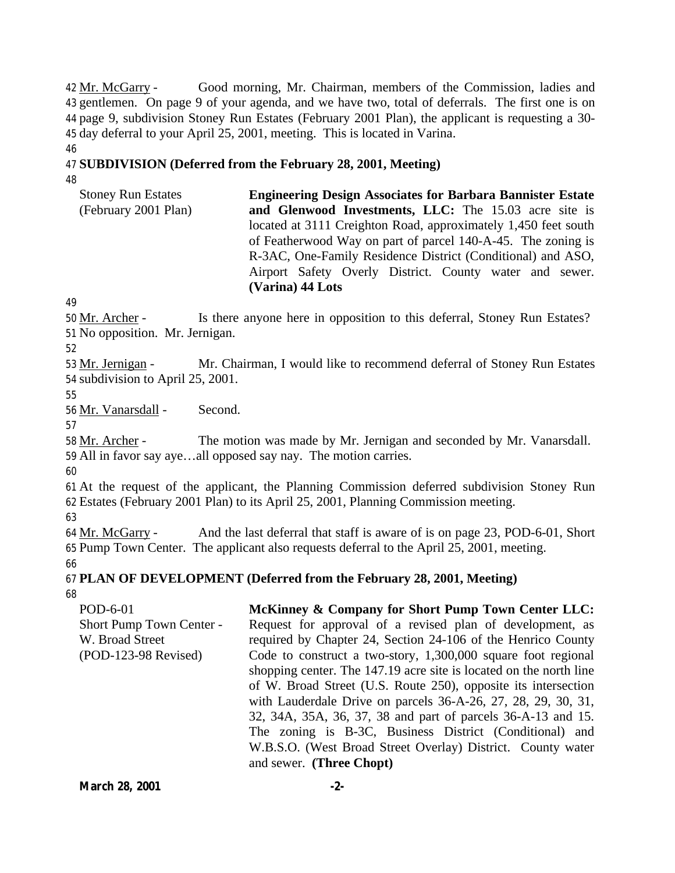Mr. McGarry - Good morning, Mr. Chairman, members of the Commission, ladies and gentlemen. On page 9 of your agenda, and we have two, total of deferrals. The first one is on page 9, subdivision Stoney Run Estates (February 2001 Plan), the applicant is requesting a 30- day deferral to your April 25, 2001, meeting. This is located in Varina.

## 47 **SUBDIVISION (Deferred from the February 28, 2001, Meeting)**

48

46

Stoney Run Estates (February 2001 Plan) **Engineering Design Associates for Barbara Bannister Estate and Glenwood Investments, LLC:** The 15.03 acre site is located at 3111 Creighton Road, approximately 1,450 feet south of Featherwood Way on part of parcel 140-A-45. The zoning is R-3AC, One-Family Residence District (Conditional) and ASO, Airport Safety Overly District. County water and sewer. **(Varina) 44 Lots**

49

50 Mr. Archer - Is there anyone here in opposition to this deferral, Stoney Run Estates? 51 No opposition. Mr. Jernigan.

52

53 Mr. Jernigan - Mr. Chairman, I would like to recommend deferral of Stoney Run Estates 54 subdivision to April 25, 2001.

55

56 Mr. Vanarsdall - Second.

57

58 Mr. Archer - The motion was made by Mr. Jernigan and seconded by Mr. Vanarsdall. 59 All in favor say aye…all opposed say nay. The motion carries.

60

61 At the request of the applicant, the Planning Commission deferred subdivision Stoney Run 62 Estates (February 2001 Plan) to its April 25, 2001, Planning Commission meeting.

63

64 Mr. McGarry - And the last deferral that staff is aware of is on page 23, POD-6-01, Short 65 Pump Town Center. The applicant also requests deferral to the April 25, 2001, meeting. 66

67 **PLAN OF DEVELOPMENT (Deferred from the February 28, 2001, Meeting)** 68

POD-6-01 Short Pump Town Center - W. Broad Street (POD-123-98 Revised) **McKinney & Company for Short Pump Town Center LLC:** Request for approval of a revised plan of development, as required by Chapter 24, Section 24-106 of the Henrico County Code to construct a two-story, 1,300,000 square foot regional shopping center. The 147.19 acre site is located on the north line of W. Broad Street (U.S. Route 250), opposite its intersection with Lauderdale Drive on parcels 36-A-26, 27, 28, 29, 30, 31, 32, 34A, 35A, 36, 37, 38 and part of parcels 36-A-13 and 15. The zoning is B-3C, Business District (Conditional) and W.B.S.O. (West Broad Street Overlay) District. County water and sewer. **(Three Chopt)**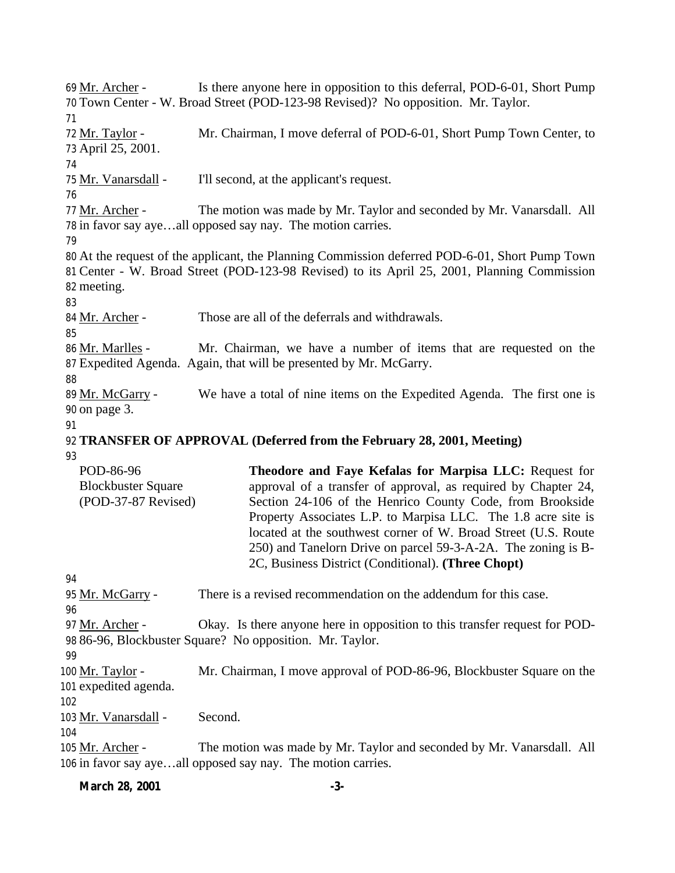Mr. Archer - Is there anyone here in opposition to this deferral, POD-6-01, Short Pump Town Center - W. Broad Street (POD-123-98 Revised)? No opposition. Mr. Taylor. Mr. Taylor - Mr. Chairman, I move deferral of POD-6-01, Short Pump Town Center, to April 25, 2001. Mr. Vanarsdall - I'll second, at the applicant's request. 77 Mr. Archer - The motion was made by Mr. Taylor and seconded by Mr. Vanarsdall. All in favor say aye…all opposed say nay. The motion carries. At the request of the applicant, the Planning Commission deferred POD-6-01, Short Pump Town Center - W. Broad Street (POD-123-98 Revised) to its April 25, 2001, Planning Commission meeting. Mr. Archer - Those are all of the deferrals and withdrawals. Mr. Marlles - Mr. Chairman, we have a number of items that are requested on the Expedited Agenda. Again, that will be presented by Mr. McGarry. 89 Mr. McGarry - We have a total of nine items on the Expedited Agenda. The first one is on page 3. **TRANSFER OF APPROVAL (Deferred from the February 28, 2001, Meeting)** POD-86-96 Blockbuster Square (POD-37-87 Revised) **Theodore and Faye Kefalas for Marpisa LLC:** Request for approval of a transfer of approval, as required by Chapter 24, Section 24-106 of the Henrico County Code, from Brookside Property Associates L.P. to Marpisa LLC. The 1.8 acre site is located at the southwest corner of W. Broad Street (U.S. Route 250) and Tanelorn Drive on parcel 59-3-A-2A. The zoning is B-2C, Business District (Conditional). **(Three Chopt)** 95 Mr. McGarry - There is a revised recommendation on the addendum for this case. 97 Mr. Archer - Okay. Is there anyone here in opposition to this transfer request for POD- 86-96, Blockbuster Square? No opposition. Mr. Taylor. 100 Mr. Taylor - Mr. Chairman, I move approval of POD-86-96, Blockbuster Square on the expedited agenda. 103 Mr. Vanarsdall - Second. Mr. Archer - The motion was made by Mr. Taylor and seconded by Mr. Vanarsdall. All in favor say aye…all opposed say nay. The motion carries.

**March 28, 2001 -3-**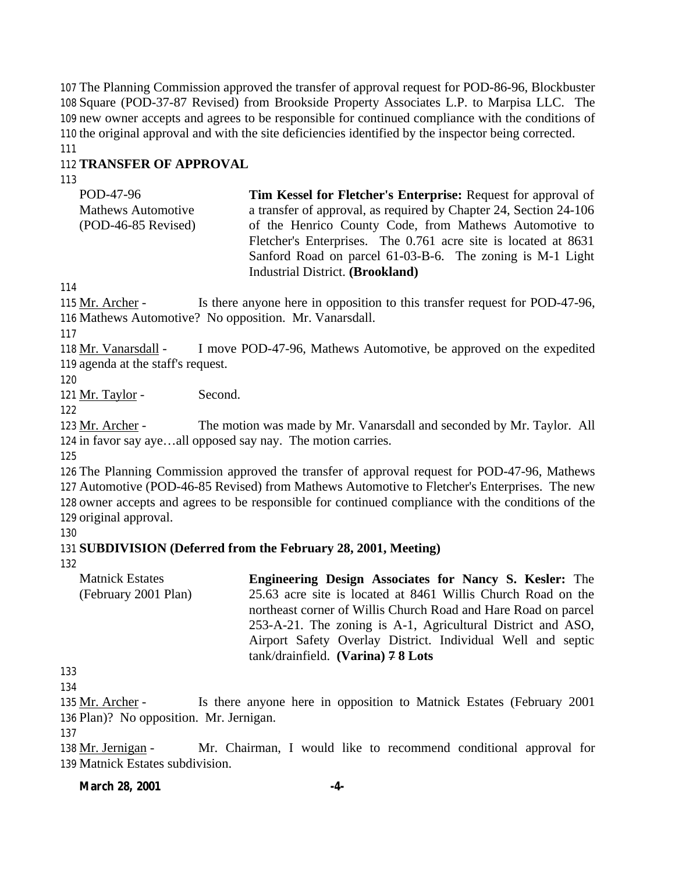The Planning Commission approved the transfer of approval request for POD-86-96, Blockbuster Square (POD-37-87 Revised) from Brookside Property Associates L.P. to Marpisa LLC. The new owner accepts and agrees to be responsible for continued compliance with the conditions of the original approval and with the site deficiencies identified by the inspector being corrected. 

## **TRANSFER OF APPROVAL**

POD-47-96 Mathews Automotive (POD-46-85 Revised) **Tim Kessel for Fletcher's Enterprise:** Request for approval of a transfer of approval, as required by Chapter 24, Section 24-106 of the Henrico County Code, from Mathews Automotive to Fletcher's Enterprises. The 0.761 acre site is located at 8631 Sanford Road on parcel 61-03-B-6. The zoning is M-1 Light Industrial District. **(Brookland)**

 Mr. Archer - Is there anyone here in opposition to this transfer request for POD-47-96, Mathews Automotive? No opposition. Mr. Vanarsdall.

 Mr. Vanarsdall - I move POD-47-96, Mathews Automotive, be approved on the expedited agenda at the staff's request.

121 Mr. Taylor - Second.

 Mr. Archer - The motion was made by Mr. Vanarsdall and seconded by Mr. Taylor. All in favor say aye…all opposed say nay. The motion carries.

 The Planning Commission approved the transfer of approval request for POD-47-96, Mathews Automotive (POD-46-85 Revised) from Mathews Automotive to Fletcher's Enterprises. The new owner accepts and agrees to be responsible for continued compliance with the conditions of the original approval.

## **SUBDIVISION (Deferred from the February 28, 2001, Meeting)**

Matnick Estates (February 2001 Plan) **Engineering Design Associates for Nancy S. Kesler:** The 25.63 acre site is located at 8461 Willis Church Road on the northeast corner of Willis Church Road and Hare Road on parcel 253-A-21. The zoning is A-1, Agricultural District and ASO, Airport Safety Overlay District. Individual Well and septic tank/drainfield. **(Varina) 7 8 Lots**

 

 Mr. Archer - Is there anyone here in opposition to Matnick Estates (February 2001 Plan)? No opposition. Mr. Jernigan.

138 Mr. Jernigan - Mr. Chairman, I would like to recommend conditional approval for Matnick Estates subdivision.

## **March 28, 2001 -4-**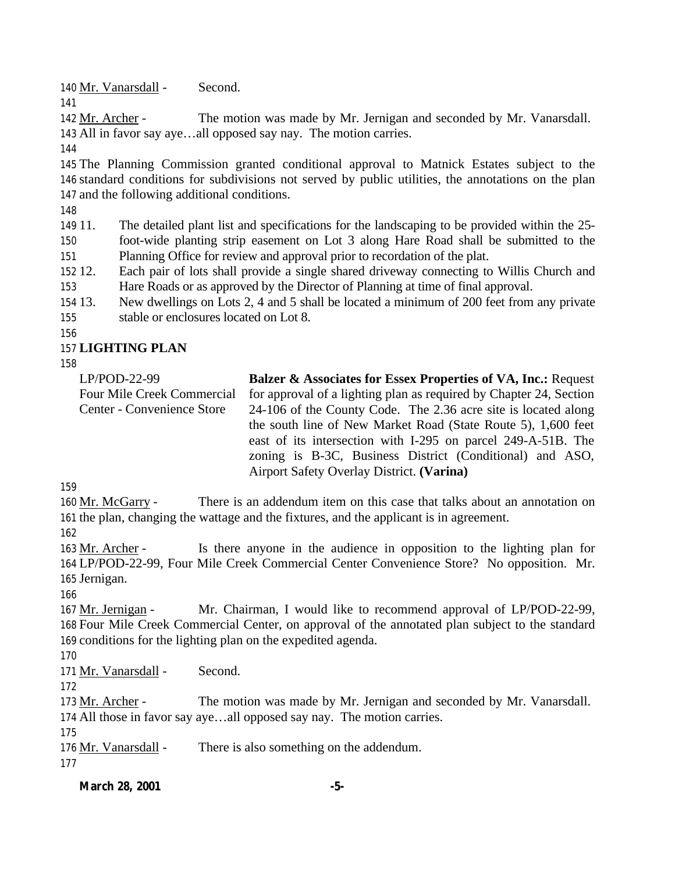140 Mr. Vanarsdall - Second.

 Mr. Archer - The motion was made by Mr. Jernigan and seconded by Mr. Vanarsdall. All in favor say aye…all opposed say nay. The motion carries.

 The Planning Commission granted conditional approval to Matnick Estates subject to the standard conditions for subdivisions not served by public utilities, the annotations on the plan and the following additional conditions.

11. The detailed plant list and specifications for the landscaping to be provided within the 25-

 foot-wide planting strip easement on Lot 3 along Hare Road shall be submitted to the Planning Office for review and approval prior to recordation of the plat.

 12. Each pair of lots shall provide a single shared driveway connecting to Willis Church and Hare Roads or as approved by the Director of Planning at time of final approval.

 13. New dwellings on Lots 2, 4 and 5 shall be located a minimum of 200 feet from any private stable or enclosures located on Lot 8.

# **LIGHTING PLAN**

| $LP/POD-22-99$                    | <b>Balzer &amp; Associates for Essex Properties of VA, Inc.: Request</b> |
|-----------------------------------|--------------------------------------------------------------------------|
| <b>Four Mile Creek Commercial</b> | for approval of a lighting plan as required by Chapter 24, Section       |
| Center - Convenience Store        | 24-106 of the County Code. The 2.36 acre site is located along           |
|                                   | the south line of New Market Road (State Route 5), 1,600 feet            |
|                                   | east of its intersection with I-295 on parcel 249-A-51B. The             |
|                                   | zoning is B-3C, Business District (Conditional) and ASO,                 |
|                                   | Airport Safety Overlay District. (Varina)                                |

 Mr. McGarry - There is an addendum item on this case that talks about an annotation on the plan, changing the wattage and the fixtures, and the applicant is in agreement.

 Mr. Archer - Is there anyone in the audience in opposition to the lighting plan for LP/POD-22-99, Four Mile Creek Commercial Center Convenience Store? No opposition. Mr. Jernigan.

 Mr. Jernigan - Mr. Chairman, I would like to recommend approval of LP/POD-22-99, Four Mile Creek Commercial Center, on approval of the annotated plan subject to the standard conditions for the lighting plan on the expedited agenda.

171 Mr. Vanarsdall - Second.

173 Mr. Archer - The motion was made by Mr. Jernigan and seconded by Mr. Vanarsdall. All those in favor say aye…all opposed say nay. The motion carries.

176 Mr. Vanarsdall - There is also something on the addendum.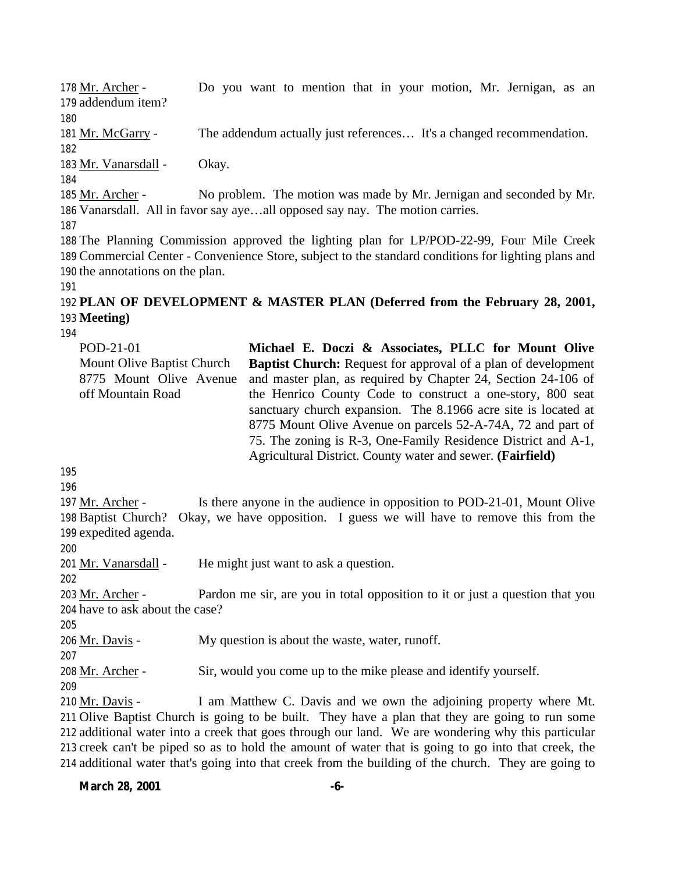178 Mr. Archer - Do you want to mention that in your motion, Mr. Jernigan, as an 179 addendum item? 180 181 Mr. McGarry - The addendum actually just references… It's a changed recommendation. 182 183 Mr. Vanarsdall - Okay. 184 185 Mr. Archer - No problem. The motion was made by Mr. Jernigan and seconded by Mr. 186 Vanarsdall. All in favor say aye…all opposed say nay. The motion carries. 187 188 The Planning Commission approved the lighting plan for LP/POD-22-99, Four Mile Creek 189 Commercial Center - Convenience Store, subject to the standard conditions for lighting plans and 190 the annotations on the plan. 191

# 192 **PLAN OF DEVELOPMENT & MASTER PLAN (Deferred from the February 28, 2001,** 193 **Meeting)**

194

| POD-21-01                  | Michael E. Doczi & Associates, PLLC for Mount Olive                  |
|----------------------------|----------------------------------------------------------------------|
| Mount Olive Baptist Church | <b>Baptist Church:</b> Request for approval of a plan of development |
| 8775 Mount Olive Avenue    | and master plan, as required by Chapter 24, Section 24-106 of        |
| off Mountain Road          | the Henrico County Code to construct a one-story, 800 seat           |
|                            | sanctuary church expansion. The 8.1966 acre site is located at       |
|                            | 8775 Mount Olive Avenue on parcels 52-A-74A, 72 and part of          |
|                            | 75. The zoning is R-3, One-Family Residence District and A-1,        |
|                            | Agricultural District. County water and sewer. (Fairfield)           |

195

196

197 Mr. Archer - Is there anyone in the audience in opposition to POD-21-01, Mount Olive 198 Baptist Church? Okay, we have opposition. I guess we will have to remove this from the 199 expedited agenda.

200

201 Mr. Vanarsdall - He might just want to ask a question.

202

203 Mr. Archer - Pardon me sir, are you in total opposition to it or just a question that you 204 have to ask about the case?

205

206 <u>Mr. Davis</u> - My question is about the waste, water, runoff.

207

209

208 Mr. Archer - Sir, would you come up to the mike please and identify yourself.

 $Mr.$  Davis - I am Matthew C. Davis and we own the adjoining property where Mt. Olive Baptist Church is going to be built. They have a plan that they are going to run some additional water into a creek that goes through our land. We are wondering why this particular creek can't be piped so as to hold the amount of water that is going to go into that creek, the additional water that's going into that creek from the building of the church. They are going to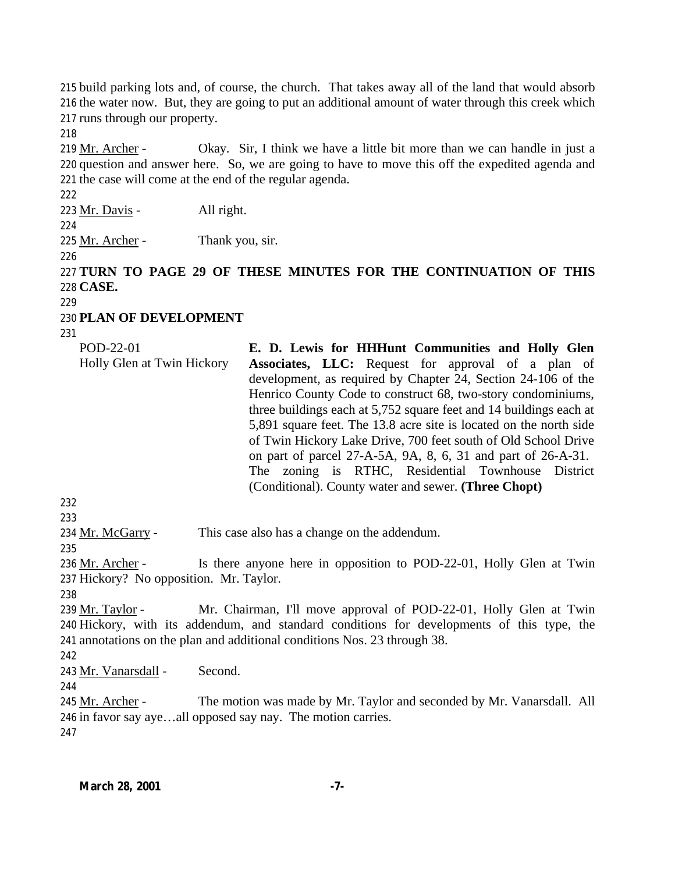build parking lots and, of course, the church. That takes away all of the land that would absorb the water now. But, they are going to put an additional amount of water through this creek which runs through our property.

219  $Mr. Archer -$  Okay. Sir, I think we have a little bit more than we can handle in just a question and answer here. So, we are going to have to move this off the expedited agenda and the case will come at the end of the regular agenda.

Mr. Davis - All right.

Mr. Archer - Thank you, sir.

 **TURN TO PAGE 29 OF THESE MINUTES FOR THE CONTINUATION OF THIS CASE.**

**PLAN OF DEVELOPMENT**

| POD-22-01                  | E. D. Lewis for HHHunt Communities and Holly Glen                  |
|----------------------------|--------------------------------------------------------------------|
| Holly Glen at Twin Hickory | Associates, LLC: Request for approval of a plan of                 |
|                            | development, as required by Chapter 24, Section 24-106 of the      |
|                            | Henrico County Code to construct 68, two-story condominiums,       |
|                            | three buildings each at 5,752 square feet and 14 buildings each at |
|                            | 5,891 square feet. The 13.8 acre site is located on the north side |
|                            | of Twin Hickory Lake Drive, 700 feet south of Old School Drive     |
|                            | on part of parcel 27-A-5A, 9A, 8, 6, 31 and part of 26-A-31.       |
|                            | The zoning is RTHC, Residential Townhouse District                 |
|                            | (Conditional). County water and sewer. (Three Chopt)               |

234 Mr. McGarry - This case also has a change on the addendum.

236 Mr. Archer - Is there anyone here in opposition to POD-22-01, Holly Glen at Twin Hickory? No opposition. Mr. Taylor.

 Mr. Taylor - Mr. Chairman, I'll move approval of POD-22-01, Holly Glen at Twin Hickory, with its addendum, and standard conditions for developments of this type, the annotations on the plan and additional conditions Nos. 23 through 38.

Mr. Vanarsdall - Second.

245 Mr. Archer - The motion was made by Mr. Taylor and seconded by Mr. Vanarsdall. All in favor say aye…all opposed say nay. The motion carries.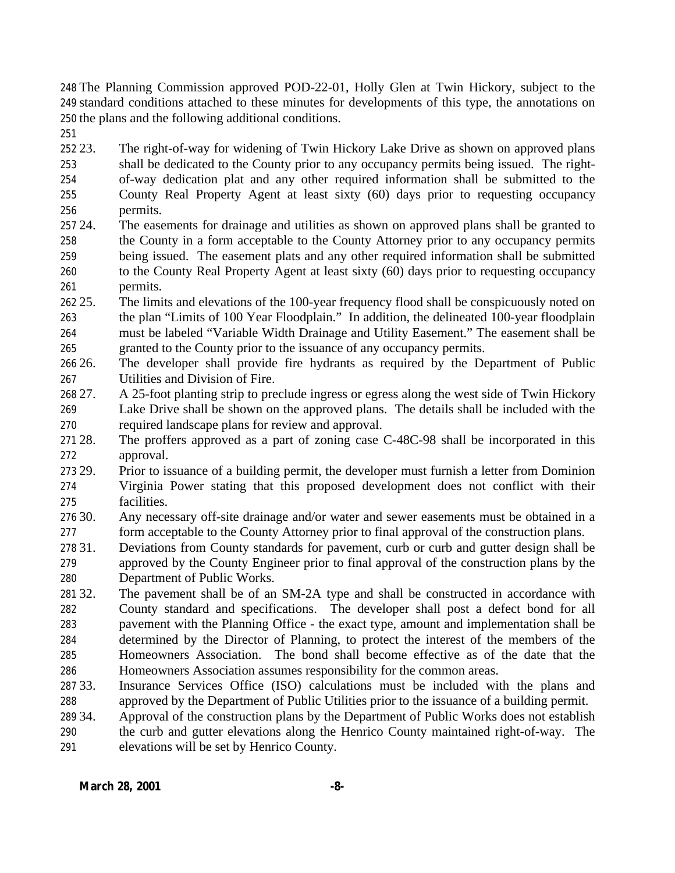The Planning Commission approved POD-22-01, Holly Glen at Twin Hickory, subject to the standard conditions attached to these minutes for developments of this type, the annotations on the plans and the following additional conditions.

 23. The right-of-way for widening of Twin Hickory Lake Drive as shown on approved plans shall be dedicated to the County prior to any occupancy permits being issued. The right- of-way dedication plat and any other required information shall be submitted to the County Real Property Agent at least sixty (60) days prior to requesting occupancy permits.

- 24. The easements for drainage and utilities as shown on approved plans shall be granted to the County in a form acceptable to the County Attorney prior to any occupancy permits being issued. The easement plats and any other required information shall be submitted to the County Real Property Agent at least sixty (60) days prior to requesting occupancy permits.
- 25. The limits and elevations of the 100-year frequency flood shall be conspicuously noted on the plan "Limits of 100 Year Floodplain." In addition, the delineated 100-year floodplain must be labeled "Variable Width Drainage and Utility Easement." The easement shall be granted to the County prior to the issuance of any occupancy permits.

 26. The developer shall provide fire hydrants as required by the Department of Public Utilities and Division of Fire.

- 27. A 25-foot planting strip to preclude ingress or egress along the west side of Twin Hickory
- Lake Drive shall be shown on the approved plans. The details shall be included with the required landscape plans for review and approval.
- 28. The proffers approved as a part of zoning case C-48C-98 shall be incorporated in this approval.

 29. Prior to issuance of a building permit, the developer must furnish a letter from Dominion Virginia Power stating that this proposed development does not conflict with their facilities.

- 30. Any necessary off-site drainage and/or water and sewer easements must be obtained in a form acceptable to the County Attorney prior to final approval of the construction plans.
- 31. Deviations from County standards for pavement, curb or curb and gutter design shall be approved by the County Engineer prior to final approval of the construction plans by the Department of Public Works.
- 32. The pavement shall be of an SM-2A type and shall be constructed in accordance with County standard and specifications. The developer shall post a defect bond for all pavement with the Planning Office - the exact type, amount and implementation shall be determined by the Director of Planning, to protect the interest of the members of the Homeowners Association. The bond shall become effective as of the date that the Homeowners Association assumes responsibility for the common areas.
- 33. Insurance Services Office (ISO) calculations must be included with the plans and approved by the Department of Public Utilities prior to the issuance of a building permit.
- 34. Approval of the construction plans by the Department of Public Works does not establish
- the curb and gutter elevations along the Henrico County maintained right-of-way. The elevations will be set by Henrico County.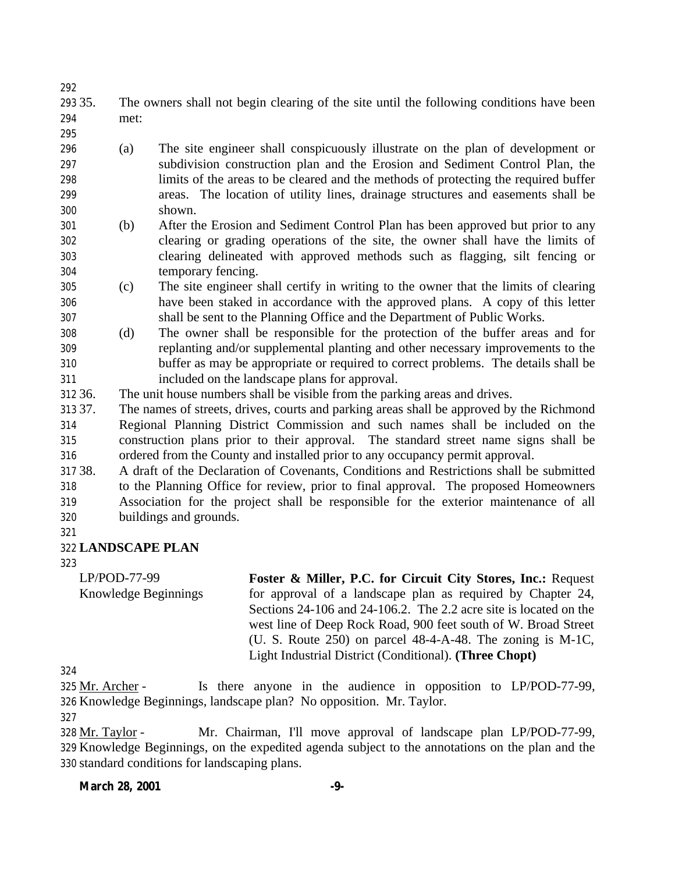- 35. The owners shall not begin clearing of the site until the following conditions have been met:
- (a) The site engineer shall conspicuously illustrate on the plan of development or subdivision construction plan and the Erosion and Sediment Control Plan, the limits of the areas to be cleared and the methods of protecting the required buffer areas. The location of utility lines, drainage structures and easements shall be shown.
- (b) After the Erosion and Sediment Control Plan has been approved but prior to any clearing or grading operations of the site, the owner shall have the limits of clearing delineated with approved methods such as flagging, silt fencing or temporary fencing.
- (c) The site engineer shall certify in writing to the owner that the limits of clearing have been staked in accordance with the approved plans. A copy of this letter shall be sent to the Planning Office and the Department of Public Works.
- (d) The owner shall be responsible for the protection of the buffer areas and for replanting and/or supplemental planting and other necessary improvements to the buffer as may be appropriate or required to correct problems. The details shall be included on the landscape plans for approval.
- 36. The unit house numbers shall be visible from the parking areas and drives.
- 37. The names of streets, drives, courts and parking areas shall be approved by the Richmond Regional Planning District Commission and such names shall be included on the construction plans prior to their approval. The standard street name signs shall be ordered from the County and installed prior to any occupancy permit approval.
- 38. A draft of the Declaration of Covenants, Conditions and Restrictions shall be submitted to the Planning Office for review, prior to final approval. The proposed Homeowners Association for the project shall be responsible for the exterior maintenance of all buildings and grounds.
- 

## **LANDSCAPE PLAN**

LP/POD-77-99 Knowledge Beginnings **Foster & Miller, P.C. for Circuit City Stores, Inc.:** Request for approval of a landscape plan as required by Chapter 24, Sections 24-106 and 24-106.2. The 2.2 acre site is located on the west line of Deep Rock Road, 900 feet south of W. Broad Street (U. S. Route 250) on parcel 48-4-A-48. The zoning is M-1C, Light Industrial District (Conditional). **(Three Chopt)**

 Mr. Archer - Is there anyone in the audience in opposition to LP/POD-77-99, Knowledge Beginnings, landscape plan? No opposition. Mr. Taylor.

 Mr. Taylor - Mr. Chairman, I'll move approval of landscape plan LP/POD-77-99, Knowledge Beginnings, on the expedited agenda subject to the annotations on the plan and the standard conditions for landscaping plans.

## **March 28, 2001 -9-**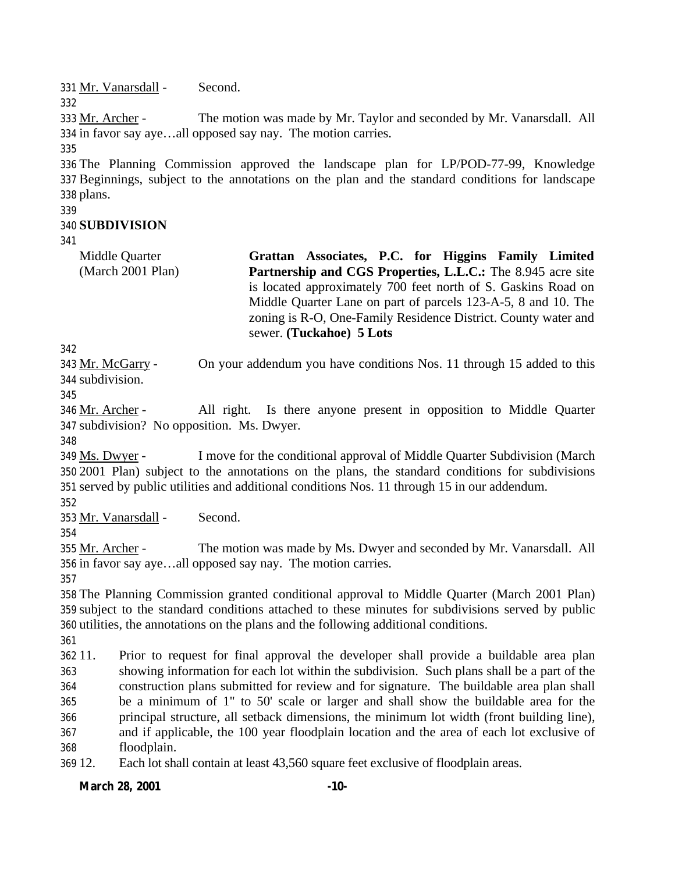Mr. Vanarsdall - Second.

 Mr. Archer - The motion was made by Mr. Taylor and seconded by Mr. Vanarsdall. All in favor say aye…all opposed say nay. The motion carries.

 The Planning Commission approved the landscape plan for LP/POD-77-99, Knowledge Beginnings, subject to the annotations on the plan and the standard conditions for landscape plans.

## **SUBDIVISION**

Middle Quarter (March 2001 Plan) **Grattan Associates, P.C. for Higgins Family Limited Partnership and CGS Properties, L.L.C.:** The 8.945 acre site is located approximately 700 feet north of S. Gaskins Road on Middle Quarter Lane on part of parcels 123-A-5, 8 and 10. The zoning is R-O, One-Family Residence District. County water and sewer. **(Tuckahoe) 5 Lots**

 Mr. McGarry - On your addendum you have conditions Nos. 11 through 15 added to this subdivision.

 Mr. Archer - All right. Is there anyone present in opposition to Middle Quarter subdivision? No opposition. Ms. Dwyer.

 Ms. Dwyer - I move for the conditional approval of Middle Quarter Subdivision (March 2001 Plan) subject to the annotations on the plans, the standard conditions for subdivisions served by public utilities and additional conditions Nos. 11 through 15 in our addendum.

Mr. Vanarsdall - Second.

 Mr. Archer - The motion was made by Ms. Dwyer and seconded by Mr. Vanarsdall. All in favor say aye…all opposed say nay. The motion carries.

 The Planning Commission granted conditional approval to Middle Quarter (March 2001 Plan) subject to the standard conditions attached to these minutes for subdivisions served by public utilities, the annotations on the plans and the following additional conditions.

 11. Prior to request for final approval the developer shall provide a buildable area plan showing information for each lot within the subdivision. Such plans shall be a part of the construction plans submitted for review and for signature. The buildable area plan shall be a minimum of 1" to 50' scale or larger and shall show the buildable area for the principal structure, all setback dimensions, the minimum lot width (front building line), and if applicable, the 100 year floodplain location and the area of each lot exclusive of floodplain.

12. Each lot shall contain at least 43,560 square feet exclusive of floodplain areas.

**March 28, 2001 -10-**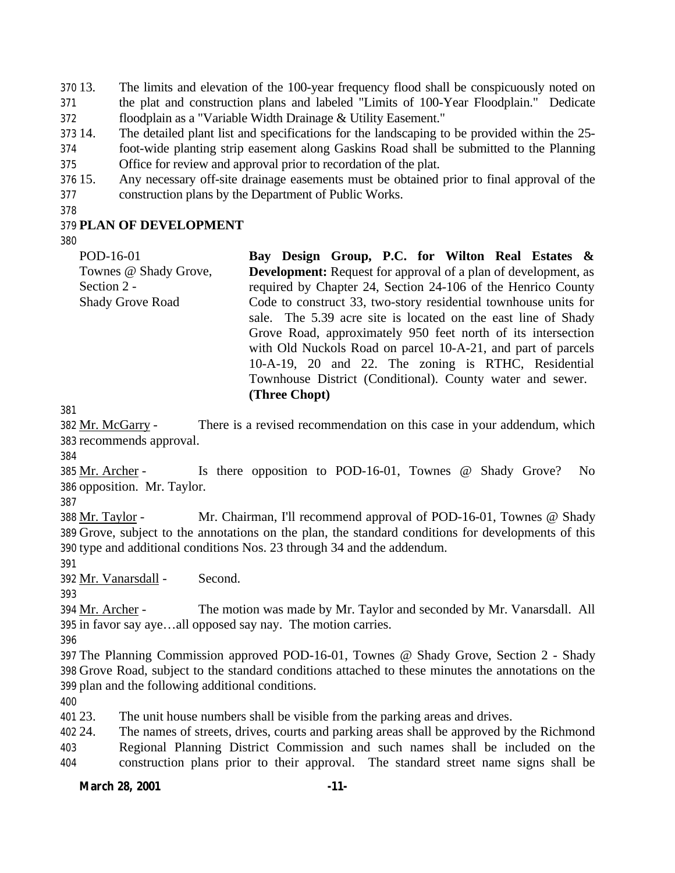13. The limits and elevation of the 100-year frequency flood shall be conspicuously noted on the plat and construction plans and labeled "Limits of 100-Year Floodplain." Dedicate floodplain as a "Variable Width Drainage & Utility Easement."

14. The detailed plant list and specifications for the landscaping to be provided within the 25-

 foot-wide planting strip easement along Gaskins Road shall be submitted to the Planning Office for review and approval prior to recordation of the plat.

 15. Any necessary off-site drainage easements must be obtained prior to final approval of the construction plans by the Department of Public Works.

## **PLAN OF DEVELOPMENT**

| POD-16-01               | Bay Design Group, P.C. for Wilton Real Estates &                      |
|-------------------------|-----------------------------------------------------------------------|
| Townes @ Shady Grove,   | <b>Development:</b> Request for approval of a plan of development, as |
| Section 2 -             | required by Chapter 24, Section 24-106 of the Henrico County          |
| <b>Shady Grove Road</b> | Code to construct 33, two-story residential townhouse units for       |
|                         | sale. The 5.39 acre site is located on the east line of Shady         |
|                         | Grove Road, approximately 950 feet north of its intersection          |
|                         | with Old Nuckols Road on parcel 10-A-21, and part of parcels          |
|                         | 10-A-19, 20 and 22. The zoning is RTHC, Residential                   |
|                         | Townhouse District (Conditional). County water and sewer.             |
|                         | (Three Chopt)                                                         |

 Mr. McGarry - There is a revised recommendation on this case in your addendum, which recommends approval.

385 Mr. Archer - Is there opposition to POD-16-01, Townes @ Shady Grove? No opposition. Mr. Taylor.

 Mr. Taylor - Mr. Chairman, I'll recommend approval of POD-16-01, Townes @ Shady Grove, subject to the annotations on the plan, the standard conditions for developments of this type and additional conditions Nos. 23 through 34 and the addendum.

Mr. Vanarsdall - Second.

394 Mr. Archer - The motion was made by Mr. Taylor and seconded by Mr. Vanarsdall. All in favor say aye…all opposed say nay. The motion carries.

 The Planning Commission approved POD-16-01, Townes @ Shady Grove, Section 2 - Shady Grove Road, subject to the standard conditions attached to these minutes the annotations on the plan and the following additional conditions.

23. The unit house numbers shall be visible from the parking areas and drives.

 24. The names of streets, drives, courts and parking areas shall be approved by the Richmond Regional Planning District Commission and such names shall be included on the construction plans prior to their approval. The standard street name signs shall be

**March 28, 2001 -11-**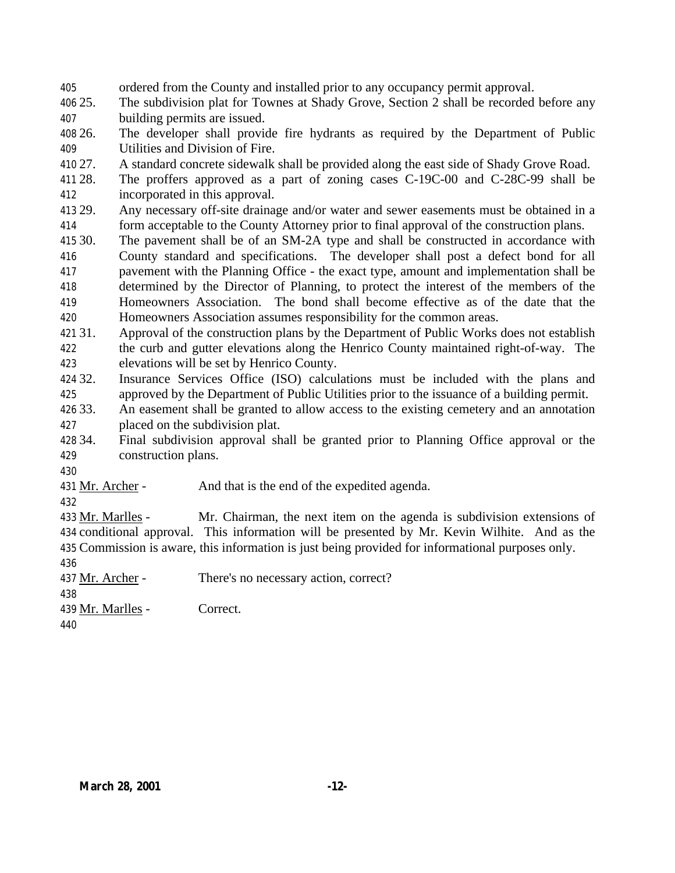ordered from the County and installed prior to any occupancy permit approval.

 25. The subdivision plat for Townes at Shady Grove, Section 2 shall be recorded before any building permits are issued.

 26. The developer shall provide fire hydrants as required by the Department of Public Utilities and Division of Fire.

27. A standard concrete sidewalk shall be provided along the east side of Shady Grove Road.

 28. The proffers approved as a part of zoning cases C-19C-00 and C-28C-99 shall be incorporated in this approval.

 29. Any necessary off-site drainage and/or water and sewer easements must be obtained in a form acceptable to the County Attorney prior to final approval of the construction plans.

 30. The pavement shall be of an SM-2A type and shall be constructed in accordance with County standard and specifications. The developer shall post a defect bond for all pavement with the Planning Office - the exact type, amount and implementation shall be determined by the Director of Planning, to protect the interest of the members of the Homeowners Association. The bond shall become effective as of the date that the Homeowners Association assumes responsibility for the common areas.

 31. Approval of the construction plans by the Department of Public Works does not establish the curb and gutter elevations along the Henrico County maintained right-of-way. The elevations will be set by Henrico County.

 32. Insurance Services Office (ISO) calculations must be included with the plans and approved by the Department of Public Utilities prior to the issuance of a building permit.

 33. An easement shall be granted to allow access to the existing cemetery and an annotation placed on the subdivision plat.

 34. Final subdivision approval shall be granted prior to Planning Office approval or the construction plans.

431 Mr. Archer - And that is the end of the expedited agenda.

 Mr. Marlles - Mr. Chairman, the next item on the agenda is subdivision extensions of conditional approval. This information will be presented by Mr. Kevin Wilhite. And as the Commission is aware, this information is just being provided for informational purposes only.

Mr. Archer - There's no necessary action, correct?

Mr. Marlles - Correct.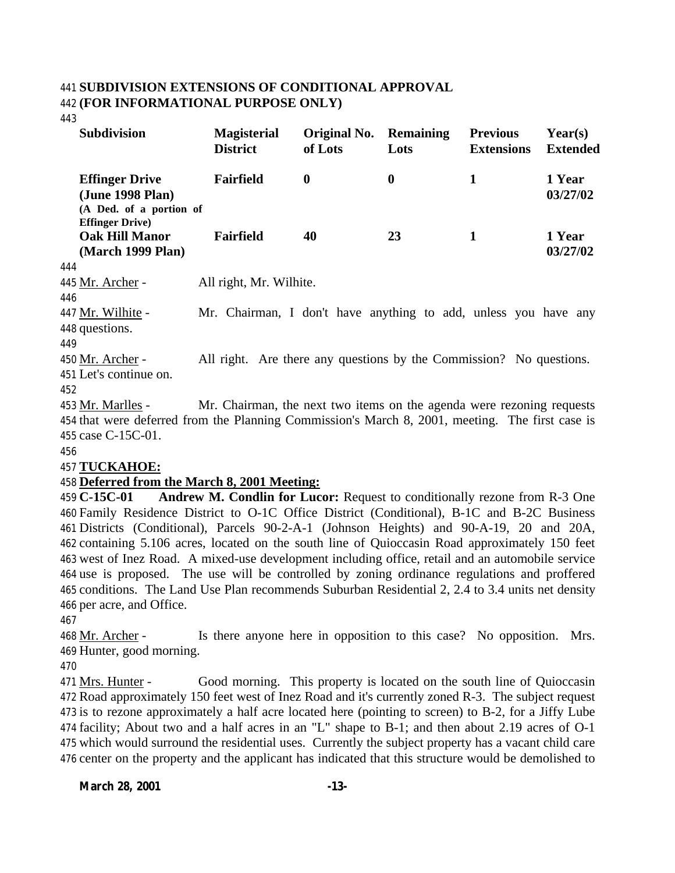### **SUBDIVISION EXTENSIONS OF CONDITIONAL APPROVAL (FOR INFORMATIONAL PURPOSE ONLY)**

|     | <b>Subdivision</b>                                                                              | <b>Magisterial</b><br><b>District</b>                                 | Original No.<br>of Lots | <b>Remaining</b><br>Lots | <b>Previous</b><br><b>Extensions</b> | $\text{Year}(s)$<br><b>Extended</b> |
|-----|-------------------------------------------------------------------------------------------------|-----------------------------------------------------------------------|-------------------------|--------------------------|--------------------------------------|-------------------------------------|
|     | <b>Effinger Drive</b><br>(June 1998 Plan)<br>(A Ded. of a portion of                            | <b>Fairfield</b>                                                      | $\bf{0}$                | $\boldsymbol{0}$         | $\mathbf{1}$                         | 1 Year<br>03/27/02                  |
|     | <b>Effinger Drive</b> )<br><b>Oak Hill Manor</b><br>(March 1999 Plan)                           | <b>Fairfield</b>                                                      | 40                      | 23                       | 1                                    | 1 Year<br>03/27/02                  |
| 444 |                                                                                                 |                                                                       |                         |                          |                                      |                                     |
|     | 445 Mr. Archer -                                                                                | All right, Mr. Wilhite.                                               |                         |                          |                                      |                                     |
| 446 |                                                                                                 |                                                                       |                         |                          |                                      |                                     |
|     | 447 Mr. Wilhite -                                                                               | Mr. Chairman, I don't have anything to add, unless you have any       |                         |                          |                                      |                                     |
|     | 448 questions.                                                                                  |                                                                       |                         |                          |                                      |                                     |
| 449 |                                                                                                 |                                                                       |                         |                          |                                      |                                     |
|     | 450 <u>Mr. Archer</u> -                                                                         | All right. Are there any questions by the Commission? No questions.   |                         |                          |                                      |                                     |
|     | 451 Let's continue on.                                                                          |                                                                       |                         |                          |                                      |                                     |
| 452 |                                                                                                 |                                                                       |                         |                          |                                      |                                     |
|     | 453 Mr. Marlles -                                                                               | Mr. Chairman, the next two items on the agenda were rezoning requests |                         |                          |                                      |                                     |
|     | 454 that were deferred from the Planning Commission's March 8, 2001, meeting. The first case is |                                                                       |                         |                          |                                      |                                     |

 that were deferred from the Planning Commission's March 8, 2001, meeting. The first case is case C-15C-01.

## **TUCKAHOE:**

## **Deferred from the March 8, 2001 Meeting:**

 **C-15C-01 Andrew M. Condlin for Lucor:** Request to conditionally rezone from R-3 One Family Residence District to O-1C Office District (Conditional), B-1C and B-2C Business Districts (Conditional), Parcels 90-2-A-1 (Johnson Heights) and 90-A-19, 20 and 20A, containing 5.106 acres, located on the south line of Quioccasin Road approximately 150 feet west of Inez Road. A mixed-use development including office, retail and an automobile service use is proposed. The use will be controlled by zoning ordinance regulations and proffered conditions. The Land Use Plan recommends Suburban Residential 2, 2.4 to 3.4 units net density per acre, and Office.

468 Mr. Archer - Is there anyone here in opposition to this case? No opposition. Mrs. Hunter, good morning.

 Mrs. Hunter - Good morning. This property is located on the south line of Quioccasin Road approximately 150 feet west of Inez Road and it's currently zoned R-3. The subject request is to rezone approximately a half acre located here (pointing to screen) to B-2, for a Jiffy Lube facility; About two and a half acres in an "L" shape to B-1; and then about 2.19 acres of O-1 which would surround the residential uses. Currently the subject property has a vacant child care center on the property and the applicant has indicated that this structure would be demolished to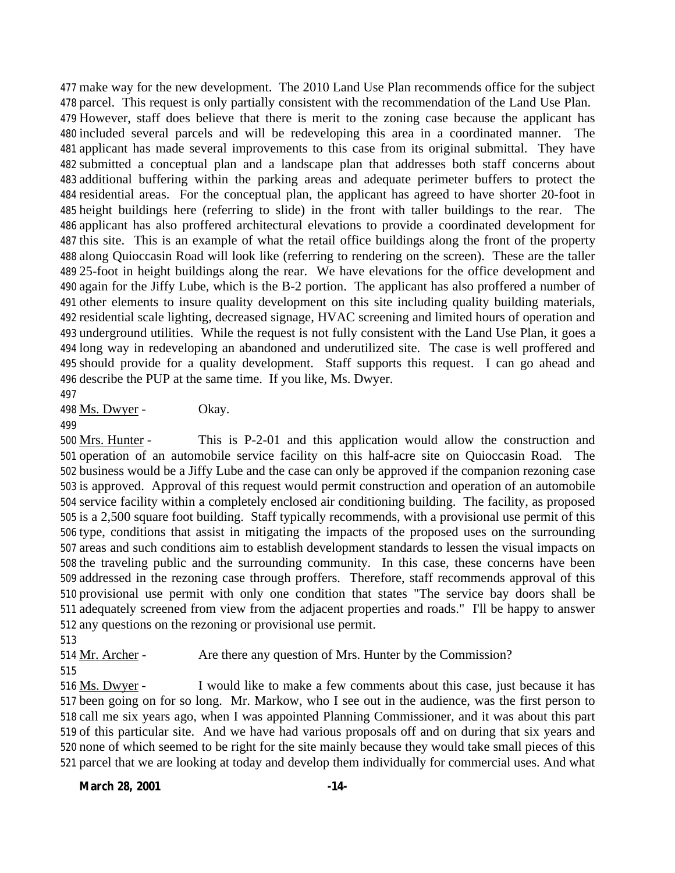make way for the new development. The 2010 Land Use Plan recommends office for the subject parcel. This request is only partially consistent with the recommendation of the Land Use Plan. However, staff does believe that there is merit to the zoning case because the applicant has included several parcels and will be redeveloping this area in a coordinated manner. The applicant has made several improvements to this case from its original submittal. They have submitted a conceptual plan and a landscape plan that addresses both staff concerns about additional buffering within the parking areas and adequate perimeter buffers to protect the residential areas. For the conceptual plan, the applicant has agreed to have shorter 20-foot in height buildings here (referring to slide) in the front with taller buildings to the rear. The applicant has also proffered architectural elevations to provide a coordinated development for this site. This is an example of what the retail office buildings along the front of the property along Quioccasin Road will look like (referring to rendering on the screen). These are the taller 25-foot in height buildings along the rear. We have elevations for the office development and again for the Jiffy Lube, which is the B-2 portion. The applicant has also proffered a number of other elements to insure quality development on this site including quality building materials, residential scale lighting, decreased signage, HVAC screening and limited hours of operation and underground utilities. While the request is not fully consistent with the Land Use Plan, it goes a long way in redeveloping an abandoned and underutilized site. The case is well proffered and should provide for a quality development. Staff supports this request. I can go ahead and describe the PUP at the same time. If you like, Ms. Dwyer.

498 Ms. Dwyer - Okay.

 Mrs. Hunter - This is P-2-01 and this application would allow the construction and operation of an automobile service facility on this half-acre site on Quioccasin Road. The business would be a Jiffy Lube and the case can only be approved if the companion rezoning case is approved. Approval of this request would permit construction and operation of an automobile service facility within a completely enclosed air conditioning building. The facility, as proposed is a 2,500 square foot building. Staff typically recommends, with a provisional use permit of this type, conditions that assist in mitigating the impacts of the proposed uses on the surrounding areas and such conditions aim to establish development standards to lessen the visual impacts on the traveling public and the surrounding community. In this case, these concerns have been addressed in the rezoning case through proffers. Therefore, staff recommends approval of this provisional use permit with only one condition that states "The service bay doors shall be adequately screened from view from the adjacent properties and roads." I'll be happy to answer any questions on the rezoning or provisional use permit.

Mr. Archer - Are there any question of Mrs. Hunter by the Commission?

 Ms. Dwyer - I would like to make a few comments about this case, just because it has been going on for so long. Mr. Markow, who I see out in the audience, was the first person to call me six years ago, when I was appointed Planning Commissioner, and it was about this part of this particular site. And we have had various proposals off and on during that six years and none of which seemed to be right for the site mainly because they would take small pieces of this parcel that we are looking at today and develop them individually for commercial uses. And what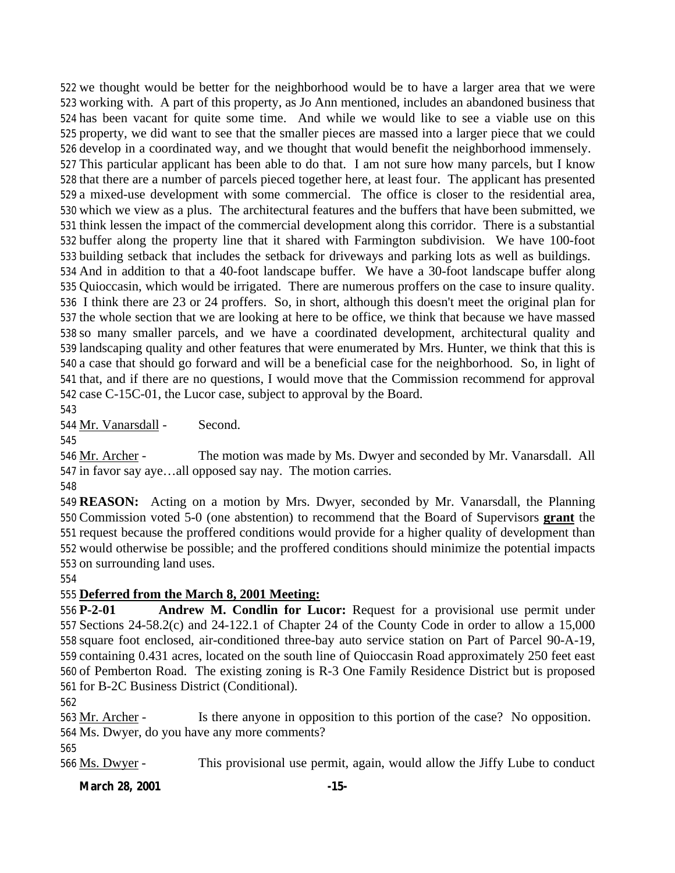we thought would be better for the neighborhood would be to have a larger area that we were working with. A part of this property, as Jo Ann mentioned, includes an abandoned business that has been vacant for quite some time. And while we would like to see a viable use on this property, we did want to see that the smaller pieces are massed into a larger piece that we could develop in a coordinated way, and we thought that would benefit the neighborhood immensely. This particular applicant has been able to do that. I am not sure how many parcels, but I know that there are a number of parcels pieced together here, at least four. The applicant has presented a mixed-use development with some commercial. The office is closer to the residential area, which we view as a plus. The architectural features and the buffers that have been submitted, we think lessen the impact of the commercial development along this corridor. There is a substantial buffer along the property line that it shared with Farmington subdivision. We have 100-foot building setback that includes the setback for driveways and parking lots as well as buildings. And in addition to that a 40-foot landscape buffer. We have a 30-foot landscape buffer along Quioccasin, which would be irrigated. There are numerous proffers on the case to insure quality. I think there are 23 or 24 proffers. So, in short, although this doesn't meet the original plan for the whole section that we are looking at here to be office, we think that because we have massed so many smaller parcels, and we have a coordinated development, architectural quality and landscaping quality and other features that were enumerated by Mrs. Hunter, we think that this is a case that should go forward and will be a beneficial case for the neighborhood. So, in light of that, and if there are no questions, I would move that the Commission recommend for approval case C-15C-01, the Lucor case, subject to approval by the Board.

Mr. Vanarsdall - Second.

 Mr. Archer - The motion was made by Ms. Dwyer and seconded by Mr. Vanarsdall. All in favor say aye…all opposed say nay. The motion carries.

 **REASON:** Acting on a motion by Mrs. Dwyer, seconded by Mr. Vanarsdall, the Planning Commission voted 5-0 (one abstention) to recommend that the Board of Supervisors **grant** the request because the proffered conditions would provide for a higher quality of development than would otherwise be possible; and the proffered conditions should minimize the potential impacts on surrounding land uses.

## **Deferred from the March 8, 2001 Meeting:**

 **P-2-01 Andrew M. Condlin for Lucor:** Request for a provisional use permit under Sections 24-58.2(c) and 24-122.1 of Chapter 24 of the County Code in order to allow a 15,000 square foot enclosed, air-conditioned three-bay auto service station on Part of Parcel 90-A-19, containing 0.431 acres, located on the south line of Quioccasin Road approximately 250 feet east of Pemberton Road. The existing zoning is R-3 One Family Residence District but is proposed for B-2C Business District (Conditional).

 Mr. Archer - Is there anyone in opposition to this portion of the case? No opposition. Ms. Dwyer, do you have any more comments?

Ms. Dwyer - This provisional use permit, again, would allow the Jiffy Lube to conduct

## **March 28, 2001 -15-**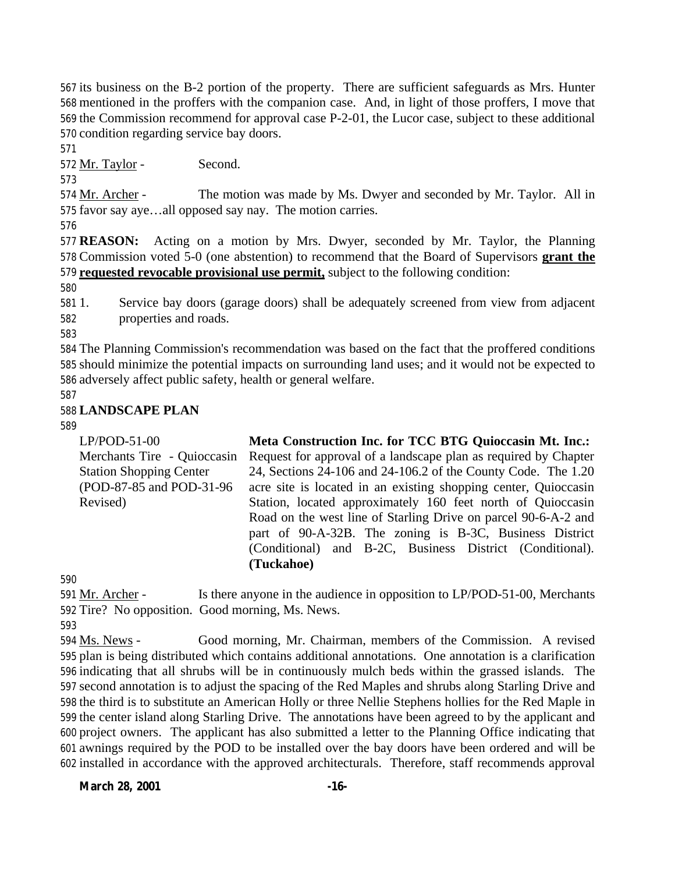its business on the B-2 portion of the property. There are sufficient safeguards as Mrs. Hunter mentioned in the proffers with the companion case. And, in light of those proffers, I move that the Commission recommend for approval case P-2-01, the Lucor case, subject to these additional condition regarding service bay doors.

Mr. Taylor - Second.

 Mr. Archer - The motion was made by Ms. Dwyer and seconded by Mr. Taylor. All in favor say aye…all opposed say nay. The motion carries.

 **REASON:** Acting on a motion by Mrs. Dwyer, seconded by Mr. Taylor, the Planning Commission voted 5-0 (one abstention) to recommend that the Board of Supervisors **grant the requested revocable provisional use permit,** subject to the following condition:

 1. Service bay doors (garage doors) shall be adequately screened from view from adjacent properties and roads.

 The Planning Commission's recommendation was based on the fact that the proffered conditions should minimize the potential impacts on surrounding land uses; and it would not be expected to adversely affect public safety, health or general welfare.

## **LANDSCAPE PLAN**

LP/POD-51-00 Merchants Tire - Quioccasin Station Shopping Center (POD-87-85 and POD-31-96 Revised) **Meta Construction Inc. for TCC BTG Quioccasin Mt. Inc.:**  Request for approval of a landscape plan as required by Chapter 24, Sections 24-106 and 24-106.2 of the County Code. The 1.20 acre site is located in an existing shopping center, Quioccasin Station, located approximately 160 feet north of Quioccasin Road on the west line of Starling Drive on parcel 90-6-A-2 and part of 90-A-32B. The zoning is B-3C, Business District (Conditional) and B-2C, Business District (Conditional). **(Tuckahoe)**

 Mr. Archer - Is there anyone in the audience in opposition to LP/POD-51-00, Merchants Tire? No opposition. Good morning, Ms. News.

 Ms. News - Good morning, Mr. Chairman, members of the Commission. A revised plan is being distributed which contains additional annotations. One annotation is a clarification indicating that all shrubs will be in continuously mulch beds within the grassed islands. The second annotation is to adjust the spacing of the Red Maples and shrubs along Starling Drive and the third is to substitute an American Holly or three Nellie Stephens hollies for the Red Maple in the center island along Starling Drive. The annotations have been agreed to by the applicant and project owners. The applicant has also submitted a letter to the Planning Office indicating that awnings required by the POD to be installed over the bay doors have been ordered and will be installed in accordance with the approved architecturals. Therefore, staff recommends approval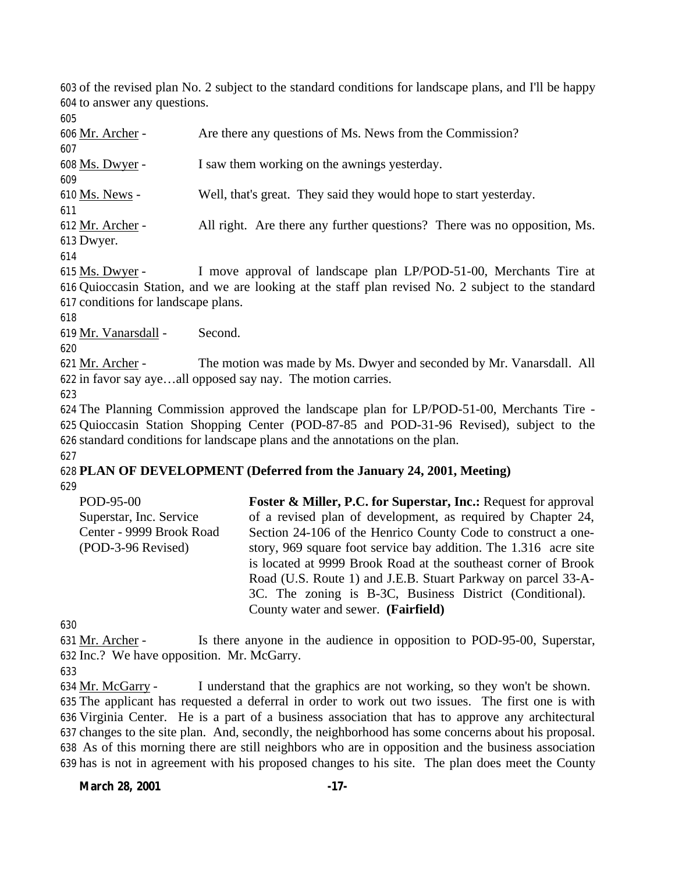of the revised plan No. 2 subject to the standard conditions for landscape plans, and I'll be happy to answer any questions.

 Mr. Archer - Are there any questions of Ms. News from the Commission? Ms. Dwyer - I saw them working on the awnings yesterday. Ms. News - Well, that's great. They said they would hope to start yesterday. 612 Mr. Archer - All right. Are there any further questions? There was no opposition, Ms. Dwyer. Ms. Dwyer - I move approval of landscape plan LP/POD-51-00, Merchants Tire at

 Quioccasin Station, and we are looking at the staff plan revised No. 2 subject to the standard conditions for landscape plans.

Mr. Vanarsdall - Second.

621 Mr. Archer - The motion was made by Ms. Dwyer and seconded by Mr. Vanarsdall. All in favor say aye…all opposed say nay. The motion carries.

 The Planning Commission approved the landscape plan for LP/POD-51-00, Merchants Tire - Quioccasin Station Shopping Center (POD-87-85 and POD-31-96 Revised), subject to the standard conditions for landscape plans and the annotations on the plan. 

## **PLAN OF DEVELOPMENT (Deferred from the January 24, 2001, Meeting)**

| POD-95-00                | <b>Foster &amp; Miller, P.C. for Superstar, Inc.: Request for approval</b> |
|--------------------------|----------------------------------------------------------------------------|
| Superstar, Inc. Service  | of a revised plan of development, as required by Chapter 24,               |
| Center - 9999 Brook Road | Section 24-106 of the Henrico County Code to construct a one-              |
| (POD-3-96 Revised)       | story, 969 square foot service bay addition. The 1.316 acre site           |
|                          | is located at 9999 Brook Road at the southeast corner of Brook             |
|                          | Road (U.S. Route 1) and J.E.B. Stuart Parkway on parcel 33-A-              |
|                          | 3C. The zoning is B-3C, Business District (Conditional).                   |
|                          | County water and sewer. (Fairfield)                                        |

631 Mr. Archer - Is there anyone in the audience in opposition to POD-95-00, Superstar, Inc.? We have opposition. Mr. McGarry.

 Mr. McGarry - I understand that the graphics are not working, so they won't be shown. The applicant has requested a deferral in order to work out two issues. The first one is with Virginia Center. He is a part of a business association that has to approve any architectural changes to the site plan. And, secondly, the neighborhood has some concerns about his proposal. As of this morning there are still neighbors who are in opposition and the business association has is not in agreement with his proposed changes to his site. The plan does meet the County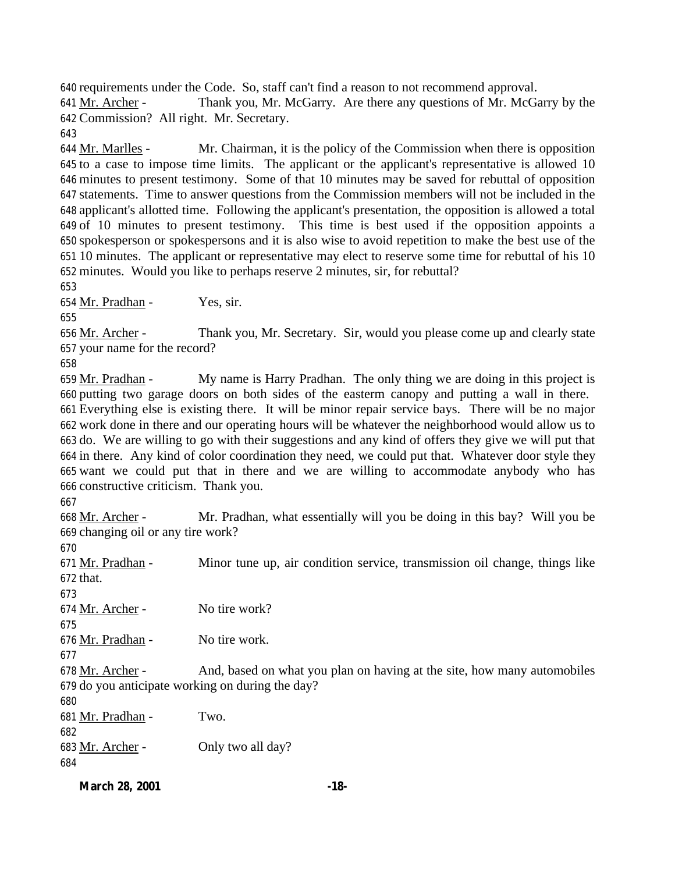requirements under the Code. So, staff can't find a reason to not recommend approval.

 Mr. Archer - Thank you, Mr. McGarry. Are there any questions of Mr. McGarry by the Commission? All right. Mr. Secretary.

644 Mr. Marlles - Mr. Chairman, it is the policy of the Commission when there is opposition to a case to impose time limits. The applicant or the applicant's representative is allowed 10 minutes to present testimony. Some of that 10 minutes may be saved for rebuttal of opposition statements. Time to answer questions from the Commission members will not be included in the applicant's allotted time. Following the applicant's presentation, the opposition is allowed a total of 10 minutes to present testimony. This time is best used if the opposition appoints a spokesperson or spokespersons and it is also wise to avoid repetition to make the best use of the 10 minutes. The applicant or representative may elect to reserve some time for rebuttal of his 10 minutes. Would you like to perhaps reserve 2 minutes, sir, for rebuttal?

Mr. Pradhan - Yes, sir.

656 Mr. Archer - Thank you, Mr. Secretary. Sir, would you please come up and clearly state your name for the record?

 Mr. Pradhan - My name is Harry Pradhan. The only thing we are doing in this project is putting two garage doors on both sides of the easterm canopy and putting a wall in there. Everything else is existing there. It will be minor repair service bays. There will be no major work done in there and our operating hours will be whatever the neighborhood would allow us to do. We are willing to go with their suggestions and any kind of offers they give we will put that in there. Any kind of color coordination they need, we could put that. Whatever door style they want we could put that in there and we are willing to accommodate anybody who has constructive criticism. Thank you.

 Mr. Archer - Mr. Pradhan, what essentially will you be doing in this bay? Will you be changing oil or any tire work?

671 Mr. Pradhan - Minor tune up, air condition service, transmission oil change, things like that. 674 Mr. Archer - No tire work? Mr. Pradhan - No tire work. 678 Mr. Archer - And, based on what you plan on having at the site, how many automobiles do you anticipate working on during the day? Mr. Pradhan - Two. Mr. Archer - Only two all day?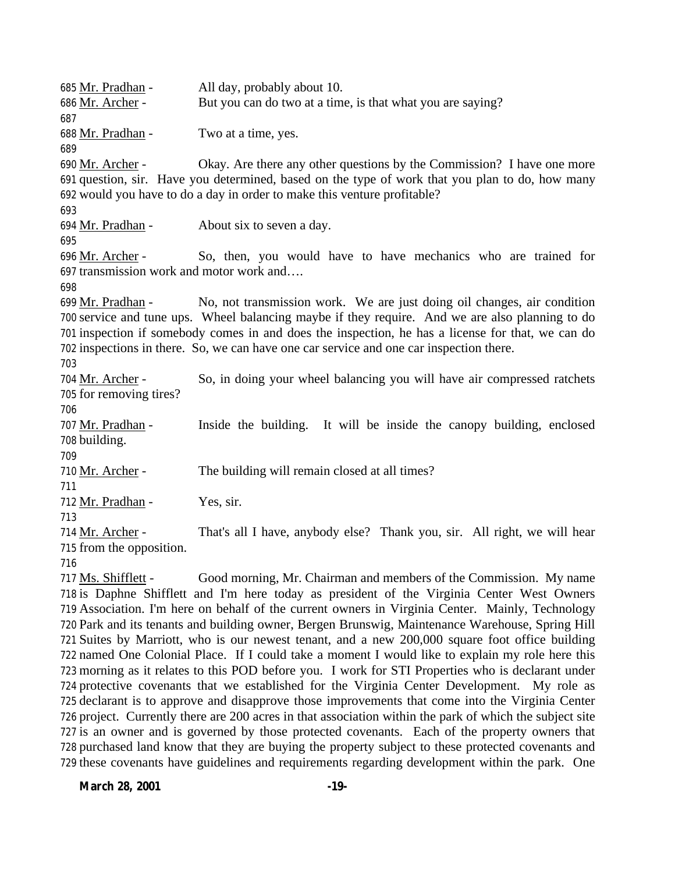Mr. Pradhan - All day, probably about 10. Mr. Archer - But you can do two at a time, is that what you are saying? Mr. Pradhan - Two at a time, yes. Mr. Archer - Okay. Are there any other questions by the Commission? I have one more question, sir. Have you determined, based on the type of work that you plan to do, how many would you have to do a day in order to make this venture profitable? Mr. Pradhan - About six to seven a day. Mr. Archer - So, then, you would have to have mechanics who are trained for transmission work and motor work and…. 699 Mr. Pradhan - No, not transmission work. We are just doing oil changes, air condition service and tune ups. Wheel balancing maybe if they require. And we are also planning to do inspection if somebody comes in and does the inspection, he has a license for that, we can do inspections in there. So, we can have one car service and one car inspection there. Mr. Archer - So, in doing your wheel balancing you will have air compressed ratchets for removing tires? Mr. Pradhan - Inside the building. It will be inside the canopy building, enclosed building. Mr. Archer - The building will remain closed at all times? Mr. Pradhan - Yes, sir. 714 Mr. Archer - That's all I have, anybody else? Thank you, sir. All right, we will hear from the opposition. Ms. Shifflett - Good morning, Mr. Chairman and members of the Commission. My name is Daphne Shifflett and I'm here today as president of the Virginia Center West Owners Association. I'm here on behalf of the current owners in Virginia Center. Mainly, Technology

 Park and its tenants and building owner, Bergen Brunswig, Maintenance Warehouse, Spring Hill Suites by Marriott, who is our newest tenant, and a new 200,000 square foot office building named One Colonial Place. If I could take a moment I would like to explain my role here this morning as it relates to this POD before you. I work for STI Properties who is declarant under protective covenants that we established for the Virginia Center Development. My role as declarant is to approve and disapprove those improvements that come into the Virginia Center project. Currently there are 200 acres in that association within the park of which the subject site is an owner and is governed by those protected covenants. Each of the property owners that purchased land know that they are buying the property subject to these protected covenants and these covenants have guidelines and requirements regarding development within the park. One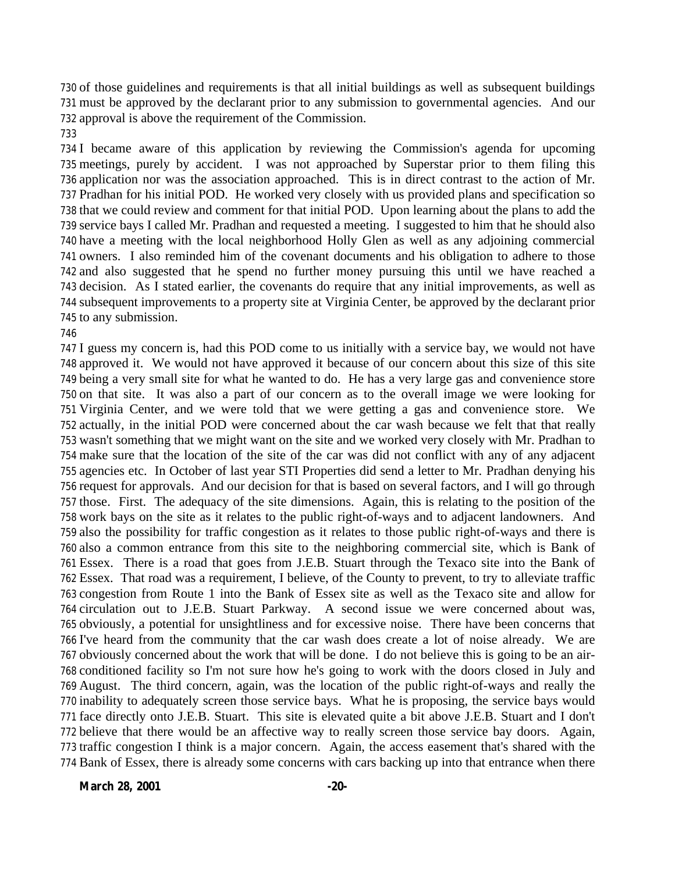of those guidelines and requirements is that all initial buildings as well as subsequent buildings must be approved by the declarant prior to any submission to governmental agencies. And our approval is above the requirement of the Commission.

 I became aware of this application by reviewing the Commission's agenda for upcoming meetings, purely by accident. I was not approached by Superstar prior to them filing this application nor was the association approached. This is in direct contrast to the action of Mr. Pradhan for his initial POD. He worked very closely with us provided plans and specification so that we could review and comment for that initial POD. Upon learning about the plans to add the service bays I called Mr. Pradhan and requested a meeting. I suggested to him that he should also have a meeting with the local neighborhood Holly Glen as well as any adjoining commercial owners. I also reminded him of the covenant documents and his obligation to adhere to those and also suggested that he spend no further money pursuing this until we have reached a decision. As I stated earlier, the covenants do require that any initial improvements, as well as subsequent improvements to a property site at Virginia Center, be approved by the declarant prior to any submission.

 I guess my concern is, had this POD come to us initially with a service bay, we would not have approved it. We would not have approved it because of our concern about this size of this site being a very small site for what he wanted to do. He has a very large gas and convenience store on that site. It was also a part of our concern as to the overall image we were looking for Virginia Center, and we were told that we were getting a gas and convenience store. We actually, in the initial POD were concerned about the car wash because we felt that that really wasn't something that we might want on the site and we worked very closely with Mr. Pradhan to make sure that the location of the site of the car was did not conflict with any of any adjacent agencies etc. In October of last year STI Properties did send a letter to Mr. Pradhan denying his request for approvals. And our decision for that is based on several factors, and I will go through those. First. The adequacy of the site dimensions. Again, this is relating to the position of the work bays on the site as it relates to the public right-of-ways and to adjacent landowners. And also the possibility for traffic congestion as it relates to those public right-of-ways and there is also a common entrance from this site to the neighboring commercial site, which is Bank of Essex. There is a road that goes from J.E.B. Stuart through the Texaco site into the Bank of Essex. That road was a requirement, I believe, of the County to prevent, to try to alleviate traffic congestion from Route 1 into the Bank of Essex site as well as the Texaco site and allow for circulation out to J.E.B. Stuart Parkway. A second issue we were concerned about was, obviously, a potential for unsightliness and for excessive noise. There have been concerns that I've heard from the community that the car wash does create a lot of noise already. We are obviously concerned about the work that will be done. I do not believe this is going to be an air- conditioned facility so I'm not sure how he's going to work with the doors closed in July and August. The third concern, again, was the location of the public right-of-ways and really the inability to adequately screen those service bays. What he is proposing, the service bays would face directly onto J.E.B. Stuart. This site is elevated quite a bit above J.E.B. Stuart and I don't believe that there would be an affective way to really screen those service bay doors. Again, traffic congestion I think is a major concern. Again, the access easement that's shared with the Bank of Essex, there is already some concerns with cars backing up into that entrance when there

**March 28, 2001 -20-**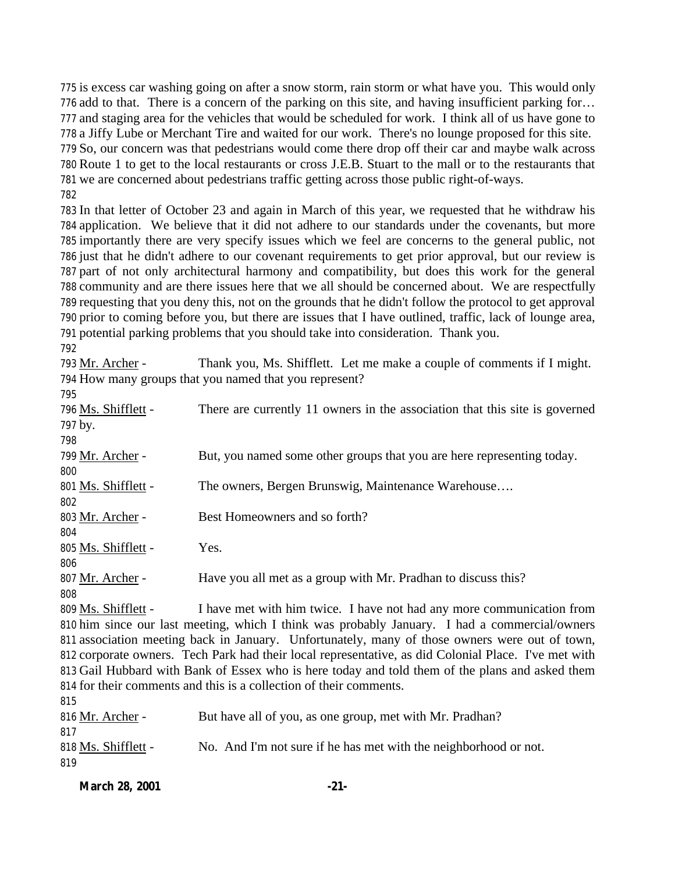is excess car washing going on after a snow storm, rain storm or what have you. This would only add to that. There is a concern of the parking on this site, and having insufficient parking for… and staging area for the vehicles that would be scheduled for work. I think all of us have gone to a Jiffy Lube or Merchant Tire and waited for our work. There's no lounge proposed for this site. So, our concern was that pedestrians would come there drop off their car and maybe walk across Route 1 to get to the local restaurants or cross J.E.B. Stuart to the mall or to the restaurants that we are concerned about pedestrians traffic getting across those public right-of-ways. 

 In that letter of October 23 and again in March of this year, we requested that he withdraw his application. We believe that it did not adhere to our standards under the covenants, but more importantly there are very specify issues which we feel are concerns to the general public, not just that he didn't adhere to our covenant requirements to get prior approval, but our review is part of not only architectural harmony and compatibility, but does this work for the general community and are there issues here that we all should be concerned about. We are respectfully requesting that you deny this, not on the grounds that he didn't follow the protocol to get approval prior to coming before you, but there are issues that I have outlined, traffic, lack of lounge area, potential parking problems that you should take into consideration. Thank you.

| 793 Mr. Archer -    | Thank you, Ms. Shifflett. Let me make a couple of comments if I might.      |
|---------------------|-----------------------------------------------------------------------------|
|                     | 794 How many groups that you named that you represent?                      |
| 795                 |                                                                             |
| 796 Ms. Shifflett - | There are currently 11 owners in the association that this site is governed |
| 797 by.             |                                                                             |
| 798                 |                                                                             |
| 799 Mr. Archer -    | But, you named some other groups that you are here representing today.      |
| 800                 |                                                                             |
| 801 Ms. Shifflett - | The owners, Bergen Brunswig, Maintenance Warehouse                          |
| 802                 |                                                                             |
| 803 Mr. Archer -    | Best Homeowners and so forth?                                               |
| 804                 |                                                                             |
| 805 Ms. Shifflett - | Yes.                                                                        |
| 806                 |                                                                             |
| 807 Mr. Archer -    | Have you all met as a group with Mr. Pradhan to discuss this?               |
| 808                 |                                                                             |
| 809 Ms. Shifflett - | I have met with him twice. I have not had any more communication from       |

 him since our last meeting, which I think was probably January. I had a commercial/owners association meeting back in January. Unfortunately, many of those owners were out of town, corporate owners. Tech Park had their local representative, as did Colonial Place. I've met with Gail Hubbard with Bank of Essex who is here today and told them of the plans and asked them for their comments and this is a collection of their comments. 

| 01J                 |                                                                  |
|---------------------|------------------------------------------------------------------|
| 816 Mr. Archer -    | But have all of you, as one group, met with Mr. Pradhan?         |
| 817                 |                                                                  |
| 818 Ms. Shifflett - | No. And I'm not sure if he has met with the neighborhood or not. |
| 819                 |                                                                  |
|                     |                                                                  |

| <b>March 28, 2001</b> | $-21-$ |
|-----------------------|--------|
|                       |        |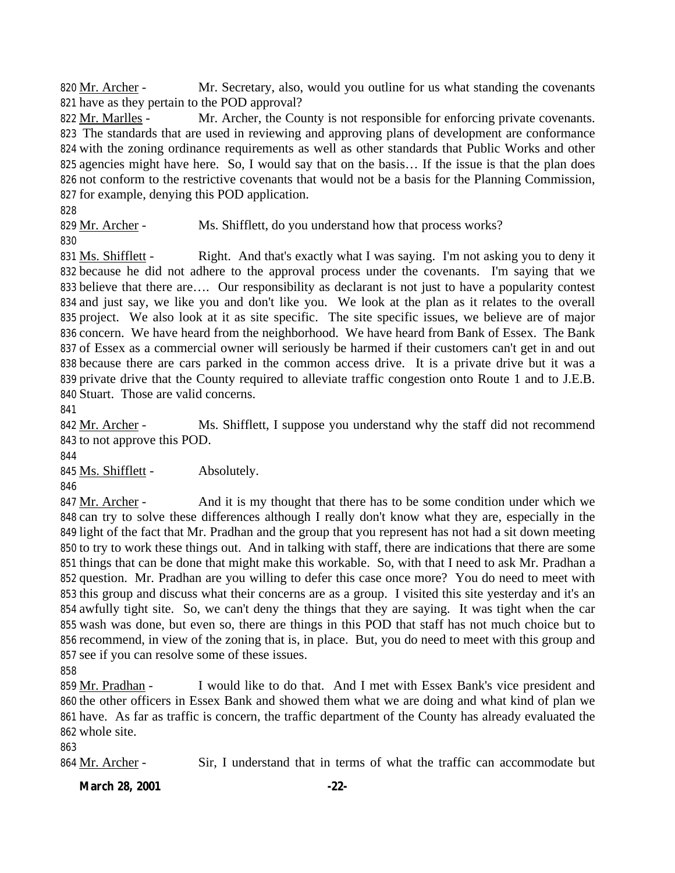820 Mr. Archer - Mr. Secretary, also, would you outline for us what standing the covenants have as they pertain to the POD approval?

822 Mr. Marlles - Mr. Archer, the County is not responsible for enforcing private covenants. The standards that are used in reviewing and approving plans of development are conformance with the zoning ordinance requirements as well as other standards that Public Works and other agencies might have here. So, I would say that on the basis… If the issue is that the plan does not conform to the restrictive covenants that would not be a basis for the Planning Commission, for example, denying this POD application.

829 Mr. Archer - Ms. Shifflett, do you understand how that process works?

831 Ms. Shifflett - Right. And that's exactly what I was saying. I'm not asking you to deny it because he did not adhere to the approval process under the covenants. I'm saying that we believe that there are…. Our responsibility as declarant is not just to have a popularity contest and just say, we like you and don't like you. We look at the plan as it relates to the overall project. We also look at it as site specific. The site specific issues, we believe are of major concern. We have heard from the neighborhood. We have heard from Bank of Essex. The Bank of Essex as a commercial owner will seriously be harmed if their customers can't get in and out because there are cars parked in the common access drive. It is a private drive but it was a private drive that the County required to alleviate traffic congestion onto Route 1 and to J.E.B. Stuart. Those are valid concerns.

 Mr. Archer - Ms. Shifflett, I suppose you understand why the staff did not recommend to not approve this POD.

845 Ms. Shifflett - Absolutely.

847 Mr. Archer - And it is my thought that there has to be some condition under which we can try to solve these differences although I really don't know what they are, especially in the light of the fact that Mr. Pradhan and the group that you represent has not had a sit down meeting to try to work these things out. And in talking with staff, there are indications that there are some things that can be done that might make this workable. So, with that I need to ask Mr. Pradhan a question. Mr. Pradhan are you willing to defer this case once more? You do need to meet with this group and discuss what their concerns are as a group. I visited this site yesterday and it's an awfully tight site. So, we can't deny the things that they are saying. It was tight when the car wash was done, but even so, there are things in this POD that staff has not much choice but to recommend, in view of the zoning that is, in place. But, you do need to meet with this group and see if you can resolve some of these issues.

 Mr. Pradhan - I would like to do that. And I met with Essex Bank's vice president and the other officers in Essex Bank and showed them what we are doing and what kind of plan we have. As far as traffic is concern, the traffic department of the County has already evaluated the whole site.

Mr. Archer - Sir, I understand that in terms of what the traffic can accommodate but

**March 28, 2001 -22-**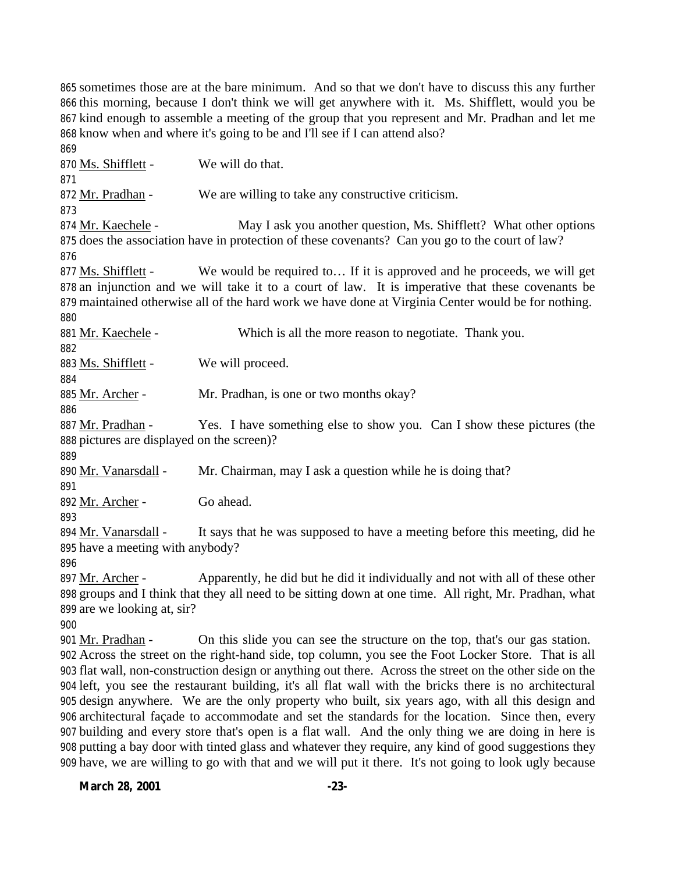sometimes those are at the bare minimum. And so that we don't have to discuss this any further this morning, because I don't think we will get anywhere with it. Ms. Shifflett, would you be kind enough to assemble a meeting of the group that you represent and Mr. Pradhan and let me know when and where it's going to be and I'll see if I can attend also? 

870 Ms. Shifflett - We will do that. 872 Mr. Pradhan - We are willing to take any constructive criticism. 874 Mr. Kaechele - May I ask you another question, Ms. Shifflett? What other options does the association have in protection of these covenants? Can you go to the court of law? 877 Ms. Shifflett - We would be required to... If it is approved and he proceeds, we will get an injunction and we will take it to a court of law. It is imperative that these covenants be maintained otherwise all of the hard work we have done at Virginia Center would be for nothing. 881 Mr. Kaechele - Which is all the more reason to negotiate. Thank you. 883 Ms. Shifflett - We will proceed. Mr. Archer - Mr. Pradhan, is one or two months okay? Mr. Pradhan - Yes. I have something else to show you. Can I show these pictures (the pictures are displayed on the screen)? 890 Mr. Vanarsdall - Mr. Chairman, may I ask a question while he is doing that? Mr. Archer - Go ahead. 894 Mr. Vanarsdall - It says that he was supposed to have a meeting before this meeting, did he have a meeting with anybody? Mr. Archer - Apparently, he did but he did it individually and not with all of these other groups and I think that they all need to be sitting down at one time. All right, Mr. Pradhan, what are we looking at, sir? Mr. Pradhan - On this slide you can see the structure on the top, that's our gas station. Across the street on the right-hand side, top column, you see the Foot Locker Store. That is all flat wall, non-construction design or anything out there. Across the street on the other side on the left, you see the restaurant building, it's all flat wall with the bricks there is no architectural design anywhere. We are the only property who built, six years ago, with all this design and architectural façade to accommodate and set the standards for the location. Since then, every building and every store that's open is a flat wall. And the only thing we are doing in here is

 putting a bay door with tinted glass and whatever they require, any kind of good suggestions they have, we are willing to go with that and we will put it there. It's not going to look ugly because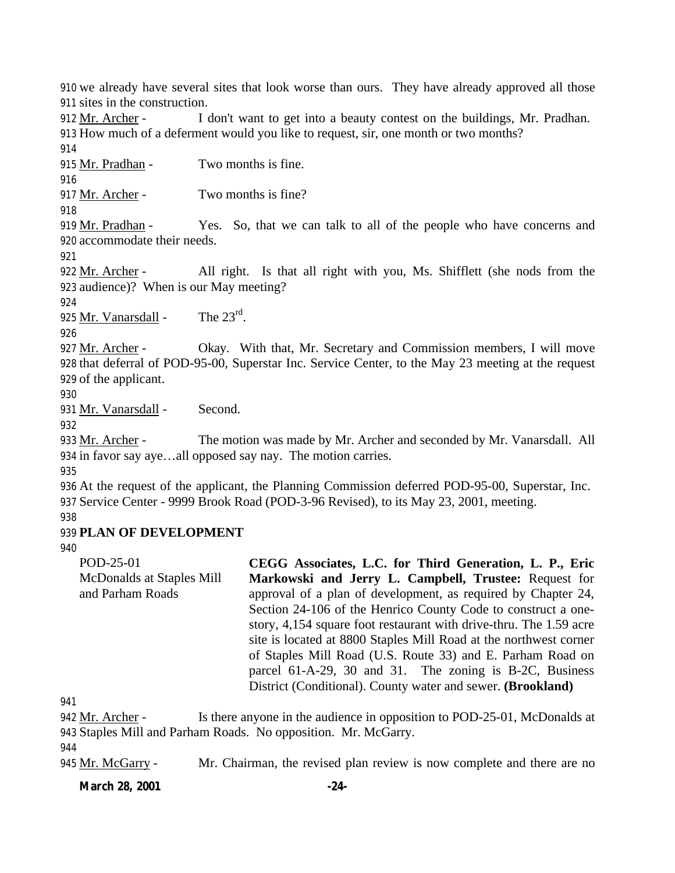910 we already have several sites that look worse than ours. They have already approved all those 911 sites in the construction.

912 Mr. Archer - I don't want to get into a beauty contest on the buildings, Mr. Pradhan. 913 How much of a deferment would you like to request, sir, one month or two months?

914

916

915 Mr. Pradhan - Two months is fine.

917 Mr. Archer - Two months is fine?

918

919 Mr. Pradhan - Yes. So, that we can talk to all of the people who have concerns and 920 accommodate their needs.

921

922 Mr. Archer - All right. Is that all right with you, Ms. Shifflett (she nods from the 923 audience)? When is our May meeting?

924

925 Mr. Vanarsdall - The  $23^{\text{rd}}$ .

926

927 Mr. Archer - Okay. With that, Mr. Secretary and Commission members, I will move 928 that deferral of POD-95-00, Superstar Inc. Service Center, to the May 23 meeting at the request 929 of the applicant.

930

931 Mr. Vanarsdall - Second.

932

933 Mr. Archer - The motion was made by Mr. Archer and seconded by Mr. Vanarsdall. All 934 in favor say aye…all opposed say nay. The motion carries.

935

936 At the request of the applicant, the Planning Commission deferred POD-95-00, Superstar, Inc. 937 Service Center - 9999 Brook Road (POD-3-96 Revised), to its May 23, 2001, meeting.

938

# 939 **PLAN OF DEVELOPMENT**

940

POD-25-01 McDonalds at Staples Mill and Parham Roads **CEGG Associates, L.C. for Third Generation, L. P., Eric Markowski and Jerry L. Campbell, Trustee:** Request for approval of a plan of development, as required by Chapter 24, Section 24-106 of the Henrico County Code to construct a onestory, 4,154 square foot restaurant with drive-thru. The 1.59 acre site is located at 8800 Staples Mill Road at the northwest corner of Staples Mill Road (U.S. Route 33) and E. Parham Road on parcel 61-A-29, 30 and 31. The zoning is B-2C, Business District (Conditional). County water and sewer. **(Brookland)**

941

942 Mr. Archer - Is there anyone in the audience in opposition to POD-25-01, McDonalds at 943 Staples Mill and Parham Roads. No opposition. Mr. McGarry. 944 945 Mr. McGarry - Mr. Chairman, the revised plan review is now complete and there are no

**March 28, 2001 -24-**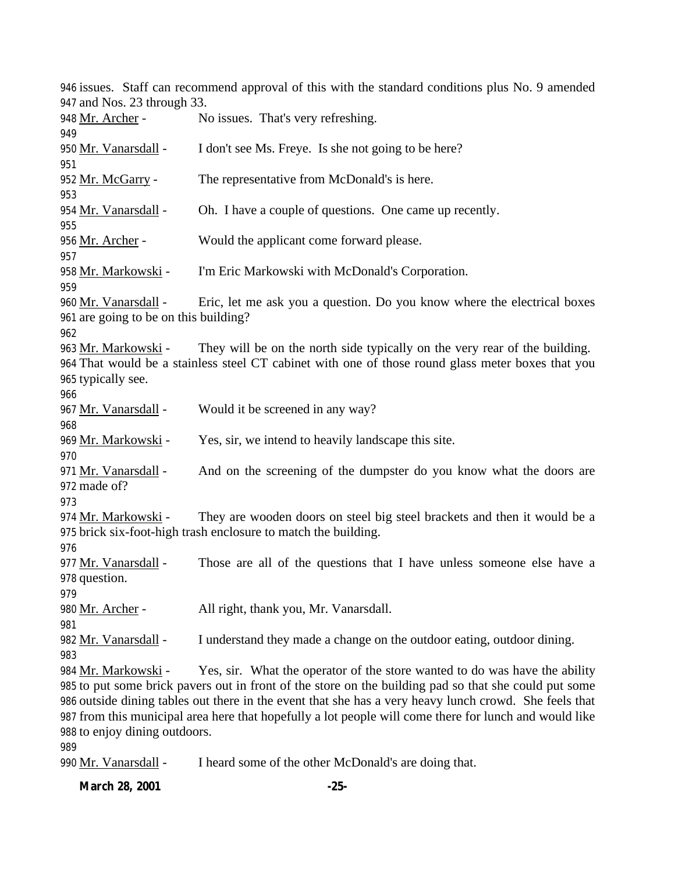issues. Staff can recommend approval of this with the standard conditions plus No. 9 amended and Nos. 23 through 33. 948 Mr. Archer - No issues. That's very refreshing. 950 Mr. Vanarsdall - I don't see Ms. Freye. Is she not going to be here? Mr. McGarry - The representative from McDonald's is here. Mr. Vanarsdall - Oh. I have a couple of questions. One came up recently. Mr. Archer - Would the applicant come forward please. Mr. Markowski - I'm Eric Markowski with McDonald's Corporation. 960 Mr. Vanarsdall - Eric, let me ask you a question. Do you know where the electrical boxes are going to be on this building? Mr. Markowski - They will be on the north side typically on the very rear of the building. That would be a stainless steel CT cabinet with one of those round glass meter boxes that you typically see. 967 Mr. Vanarsdall - Would it be screened in any way? 969 Mr. Markowski - Yes, sir, we intend to heavily landscape this site. 971 Mr. Vanarsdall - And on the screening of the dumpster do you know what the doors are made of? Mr. Markowski - They are wooden doors on steel big steel brackets and then it would be a brick six-foot-high trash enclosure to match the building. 977 Mr. Vanarsdall - Those are all of the questions that I have unless someone else have a question. 980 Mr. Archer - All right, thank you, Mr. Vanarsdall. 982 Mr. Vanarsdall - I understand they made a change on the outdoor eating, outdoor dining. 984 Mr. Markowski - Yes, sir. What the operator of the store wanted to do was have the ability to put some brick pavers out in front of the store on the building pad so that she could put some outside dining tables out there in the event that she has a very heavy lunch crowd. She feels that from this municipal area here that hopefully a lot people will come there for lunch and would like to enjoy dining outdoors. 

Mr. Vanarsdall - I heard some of the other McDonald's are doing that.

**March 28, 2001 -25-**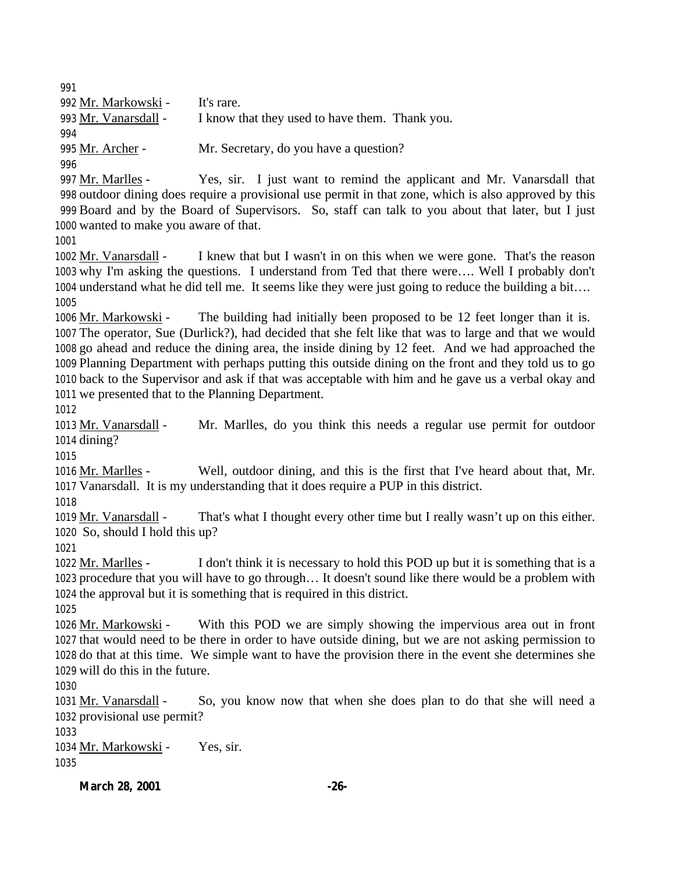Mr. Markowski - It's rare. Mr. Vanarsdall - I know that they used to have them. Thank you. 995 Mr. Archer - Mr. Secretary, do you have a question? 

 Mr. Marlles - Yes, sir. I just want to remind the applicant and Mr. Vanarsdall that outdoor dining does require a provisional use permit in that zone, which is also approved by this Board and by the Board of Supervisors. So, staff can talk to you about that later, but I just wanted to make you aware of that.

 Mr. Vanarsdall - I knew that but I wasn't in on this when we were gone. That's the reason why I'm asking the questions. I understand from Ted that there were…. Well I probably don't understand what he did tell me. It seems like they were just going to reduce the building a bit…. 

 $Mr. Markowski$  - The building had initially been proposed to be 12 feet longer than it is. The operator, Sue (Durlick?), had decided that she felt like that was to large and that we would go ahead and reduce the dining area, the inside dining by 12 feet. And we had approached the Planning Department with perhaps putting this outside dining on the front and they told us to go back to the Supervisor and ask if that was acceptable with him and he gave us a verbal okay and we presented that to the Planning Department.

 Mr. Vanarsdall - Mr. Marlles, do you think this needs a regular use permit for outdoor dining?

 Mr. Marlles - Well, outdoor dining, and this is the first that I've heard about that, Mr. Vanarsdall. It is my understanding that it does require a PUP in this district.

 Mr. Vanarsdall - That's what I thought every other time but I really wasn't up on this either. So, should I hold this up?

1022 Mr. Marlles - I don't think it is necessary to hold this POD up but it is something that is a procedure that you will have to go through… It doesn't sound like there would be a problem with the approval but it is something that is required in this district.

 Mr. Markowski - With this POD we are simply showing the impervious area out in front that would need to be there in order to have outside dining, but we are not asking permission to do that at this time. We simple want to have the provision there in the event she determines she will do this in the future.

 Mr. Vanarsdall - So, you know now that when she does plan to do that she will need a provisional use permit?

 Mr. Markowski - Yes, sir. 

**March 28, 2001 -26-**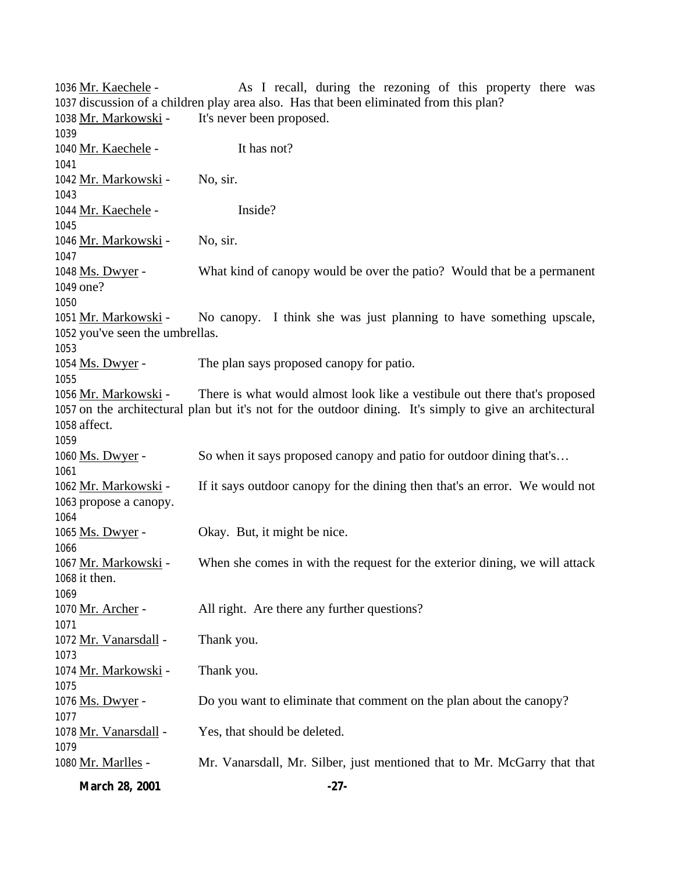1036 Mr. Kaechele - As I recall, during the rezoning of this property there was discussion of a children play area also. Has that been eliminated from this plan? Mr. Markowski - It's never been proposed. 1040 Mr. Kaechele - It has not? Mr. Markowski - No, sir. Mr. Kaechele - Inside? 1046 Mr. Markowski - No, sir. Ms. Dwyer - What kind of canopy would be over the patio? Would that be a permanent one? Mr. Markowski - No canopy. I think she was just planning to have something upscale, you've seen the umbrellas. 1054 Ms. Dwyer - The plan says proposed canopy for patio. 1056 Mr. Markowski - There is what would almost look like a vestibule out there that's proposed on the architectural plan but it's not for the outdoor dining. It's simply to give an architectural affect. Ms. Dwyer - So when it says proposed canopy and patio for outdoor dining that's… Mr. Markowski - If it says outdoor canopy for the dining then that's an error. We would not propose a canopy. 1065 Ms. Dwyer - Okay. But, it might be nice. 1067 Mr. Markowski - When she comes in with the request for the exterior dining, we will attack it then. 1070 Mr. Archer - All right. Are there any further questions? Mr. Vanarsdall - Thank you. Mr. Markowski - Thank you. Ms. Dwyer - Do you want to eliminate that comment on the plan about the canopy? 1078 Mr. Vanarsdall - Yes, that should be deleted. Mr. Marlles - Mr. Vanarsdall, Mr. Silber, just mentioned that to Mr. McGarry that that

**March 28, 2001 -27-**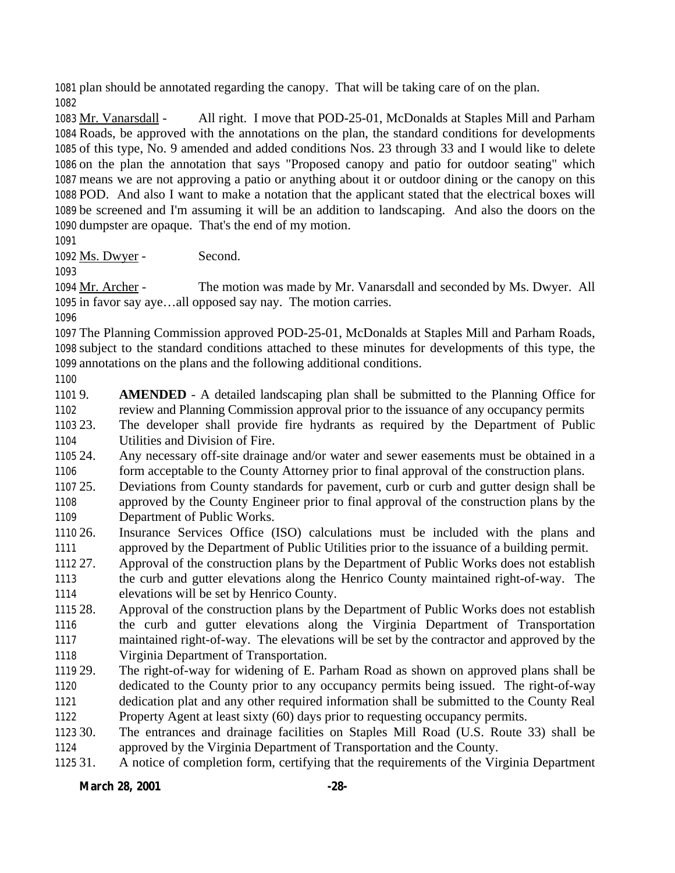plan should be annotated regarding the canopy. That will be taking care of on the plan. 

 Mr. Vanarsdall - All right. I move that POD-25-01, McDonalds at Staples Mill and Parham Roads, be approved with the annotations on the plan, the standard conditions for developments of this type, No. 9 amended and added conditions Nos. 23 through 33 and I would like to delete on the plan the annotation that says "Proposed canopy and patio for outdoor seating" which means we are not approving a patio or anything about it or outdoor dining or the canopy on this POD. And also I want to make a notation that the applicant stated that the electrical boxes will be screened and I'm assuming it will be an addition to landscaping. And also the doors on the dumpster are opaque. That's the end of my motion.

Ms. Dwyer - Second.

 Mr. Archer - The motion was made by Mr. Vanarsdall and seconded by Ms. Dwyer. All in favor say aye…all opposed say nay. The motion carries.

 The Planning Commission approved POD-25-01, McDonalds at Staples Mill and Parham Roads, subject to the standard conditions attached to these minutes for developments of this type, the annotations on the plans and the following additional conditions.

 9. **AMENDED** - A detailed landscaping plan shall be submitted to the Planning Office for review and Planning Commission approval prior to the issuance of any occupancy permits

 23. The developer shall provide fire hydrants as required by the Department of Public Utilities and Division of Fire.

 24. Any necessary off-site drainage and/or water and sewer easements must be obtained in a form acceptable to the County Attorney prior to final approval of the construction plans.

 25. Deviations from County standards for pavement, curb or curb and gutter design shall be approved by the County Engineer prior to final approval of the construction plans by the Department of Public Works.

 26. Insurance Services Office (ISO) calculations must be included with the plans and approved by the Department of Public Utilities prior to the issuance of a building permit.

 27. Approval of the construction plans by the Department of Public Works does not establish the curb and gutter elevations along the Henrico County maintained right-of-way. The elevations will be set by Henrico County.

 28. Approval of the construction plans by the Department of Public Works does not establish the curb and gutter elevations along the Virginia Department of Transportation maintained right-of-way. The elevations will be set by the contractor and approved by the Virginia Department of Transportation.

 29. The right-of-way for widening of E. Parham Road as shown on approved plans shall be dedicated to the County prior to any occupancy permits being issued. The right-of-way dedication plat and any other required information shall be submitted to the County Real Property Agent at least sixty (60) days prior to requesting occupancy permits.

30. The entrances and drainage facilities on Staples Mill Road (U.S. Route 33) shall be

approved by the Virginia Department of Transportation and the County.

31. A notice of completion form, certifying that the requirements of the Virginia Department

**March 28, 2001 -28-**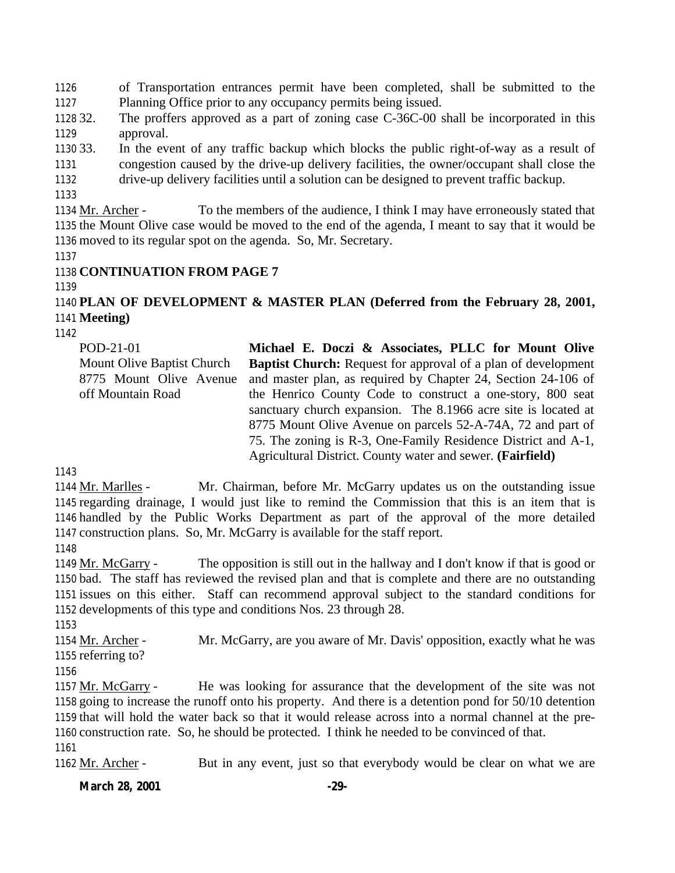of Transportation entrances permit have been completed, shall be submitted to the Planning Office prior to any occupancy permits being issued.

 32. The proffers approved as a part of zoning case C-36C-00 shall be incorporated in this approval.

 33. In the event of any traffic backup which blocks the public right-of-way as a result of congestion caused by the drive-up delivery facilities, the owner/occupant shall close the drive-up delivery facilities until a solution can be designed to prevent traffic backup.

 Mr. Archer - To the members of the audience, I think I may have erroneously stated that the Mount Olive case would be moved to the end of the agenda, I meant to say that it would be moved to its regular spot on the agenda. So, Mr. Secretary.

## **CONTINUATION FROM PAGE 7**

#### 

## **PLAN OF DEVELOPMENT & MASTER PLAN (Deferred from the February 28, 2001, Meeting)**

POD-21-01 Mount Olive Baptist Church 8775 Mount Olive Avenue off Mountain Road **Michael E. Doczi & Associates, PLLC for Mount Olive Baptist Church:** Request for approval of a plan of development and master plan, as required by Chapter 24, Section 24-106 of the Henrico County Code to construct a one-story, 800 seat sanctuary church expansion. The 8.1966 acre site is located at 8775 Mount Olive Avenue on parcels 52-A-74A, 72 and part of 75. The zoning is R-3, One-Family Residence District and A-1, Agricultural District. County water and sewer. **(Fairfield)**

 Mr. Marlles - Mr. Chairman, before Mr. McGarry updates us on the outstanding issue regarding drainage, I would just like to remind the Commission that this is an item that is handled by the Public Works Department as part of the approval of the more detailed construction plans. So, Mr. McGarry is available for the staff report.

 Mr. McGarry - The opposition is still out in the hallway and I don't know if that is good or bad. The staff has reviewed the revised plan and that is complete and there are no outstanding issues on this either. Staff can recommend approval subject to the standard conditions for developments of this type and conditions Nos. 23 through 28.

1154 Mr. Archer - Mr. McGarry, are you aware of Mr. Davis' opposition, exactly what he was referring to?

 Mr. McGarry - He was looking for assurance that the development of the site was not going to increase the runoff onto his property. And there is a detention pond for 50/10 detention that will hold the water back so that it would release across into a normal channel at the pre- construction rate. So, he should be protected. I think he needed to be convinced of that. 

1162 Mr. Archer - But in any event, just so that everybody would be clear on what we are

**March 28, 2001 -29-**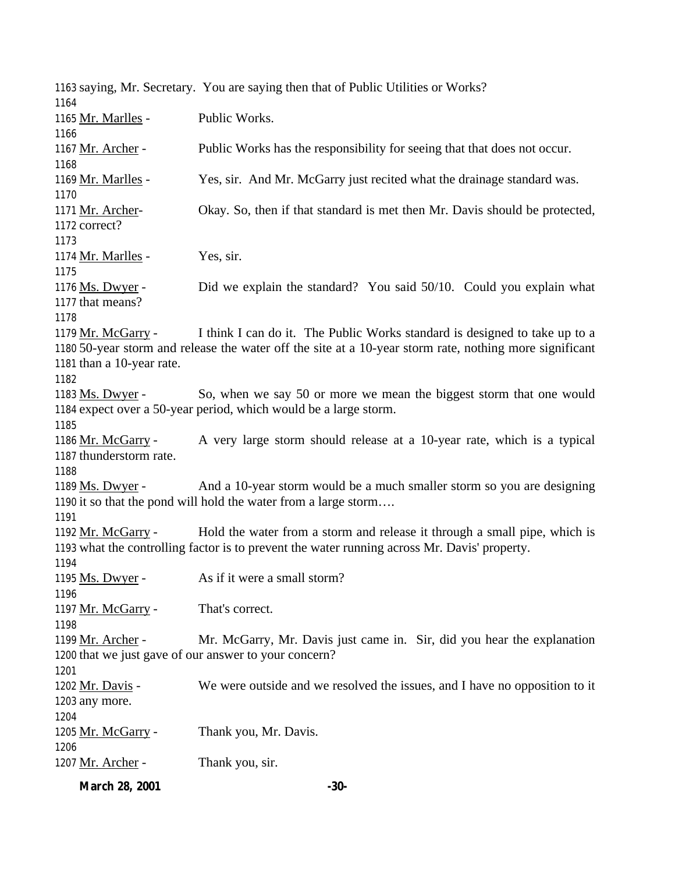saying, Mr. Secretary. You are saying then that of Public Utilities or Works? Mr. Marlles - Public Works. Mr. Archer - Public Works has the responsibility for seeing that that does not occur. 1169 Mr. Marlles - Yes, sir. And Mr. McGarry just recited what the drainage standard was. Mr. Archer- Okay. So, then if that standard is met then Mr. Davis should be protected, correct? Mr. Marlles - Yes, sir. 1176 Ms. Dwyer - Did we explain the standard? You said 50/10. Could you explain what that means? 1179 Mr. McGarry - I think I can do it. The Public Works standard is designed to take up to a 50-year storm and release the water off the site at a 10-year storm rate, nothing more significant than a 10-year rate. 1183 Ms. Dwyer - So, when we say 50 or more we mean the biggest storm that one would expect over a 50-year period, which would be a large storm. Mr. McGarry - A very large storm should release at a 10-year rate, which is a typical thunderstorm rate. Ms. Dwyer - And a 10-year storm would be a much smaller storm so you are designing it so that the pond will hold the water from a large storm…. 1192 Mr. McGarry - Hold the water from a storm and release it through a small pipe, which is what the controlling factor is to prevent the water running across Mr. Davis' property. Ms. Dwyer - As if it were a small storm? 1197 Mr. McGarry - That's correct. 1199 Mr. Archer - Mr. McGarry, Mr. Davis just came in. Sir, did you hear the explanation that we just gave of our answer to your concern? Mr. Davis - We were outside and we resolved the issues, and I have no opposition to it any more. Mr. McGarry - Thank you, Mr. Davis. 1207 Mr. Archer - Thank you, sir.

**March 28, 2001 -30-**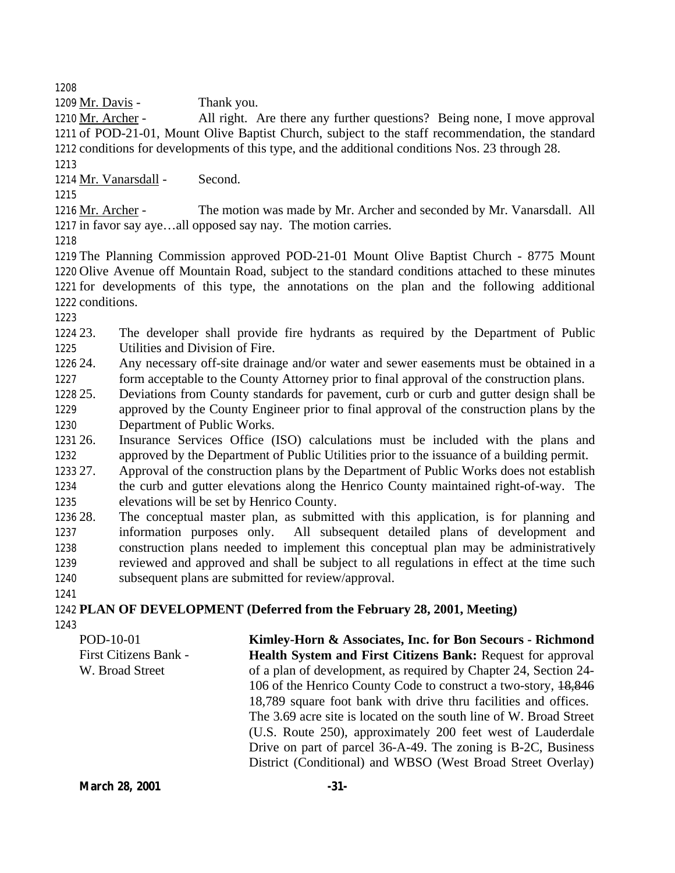1209 Mr. Davis - Thank you.

 Mr. Archer - All right. Are there any further questions? Being none, I move approval of POD-21-01, Mount Olive Baptist Church, subject to the staff recommendation, the standard conditions for developments of this type, and the additional conditions Nos. 23 through 28. 

Mr. Vanarsdall - Second.

 Mr. Archer - The motion was made by Mr. Archer and seconded by Mr. Vanarsdall. All in favor say aye…all opposed say nay. The motion carries.

 The Planning Commission approved POD-21-01 Mount Olive Baptist Church - 8775 Mount Olive Avenue off Mountain Road, subject to the standard conditions attached to these minutes for developments of this type, the annotations on the plan and the following additional conditions.

 23. The developer shall provide fire hydrants as required by the Department of Public Utilities and Division of Fire.

 24. Any necessary off-site drainage and/or water and sewer easements must be obtained in a form acceptable to the County Attorney prior to final approval of the construction plans.

 25. Deviations from County standards for pavement, curb or curb and gutter design shall be approved by the County Engineer prior to final approval of the construction plans by the Department of Public Works.

 26. Insurance Services Office (ISO) calculations must be included with the plans and approved by the Department of Public Utilities prior to the issuance of a building permit.

 27. Approval of the construction plans by the Department of Public Works does not establish the curb and gutter elevations along the Henrico County maintained right-of-way. The elevations will be set by Henrico County.

 28. The conceptual master plan, as submitted with this application, is for planning and information purposes only. All subsequent detailed plans of development and construction plans needed to implement this conceptual plan may be administratively reviewed and approved and shall be subject to all regulations in effect at the time such subsequent plans are submitted for review/approval.

 **PLAN OF DEVELOPMENT (Deferred from the February 28, 2001, Meeting)** 

POD-10-01 First Citizens Bank - W. Broad Street **Kimley-Horn & Associates, Inc. for Bon Secours - Richmond Health System and First Citizens Bank:** Request for approval of a plan of development, as required by Chapter 24, Section 24- 106 of the Henrico County Code to construct a two-story, 18,846 18,789 square foot bank with drive thru facilities and offices. The 3.69 acre site is located on the south line of W. Broad Street (U.S. Route 250), approximately 200 feet west of Lauderdale Drive on part of parcel 36-A-49. The zoning is B-2C, Business District (Conditional) and WBSO (West Broad Street Overlay)

**March 28, 2001 -31**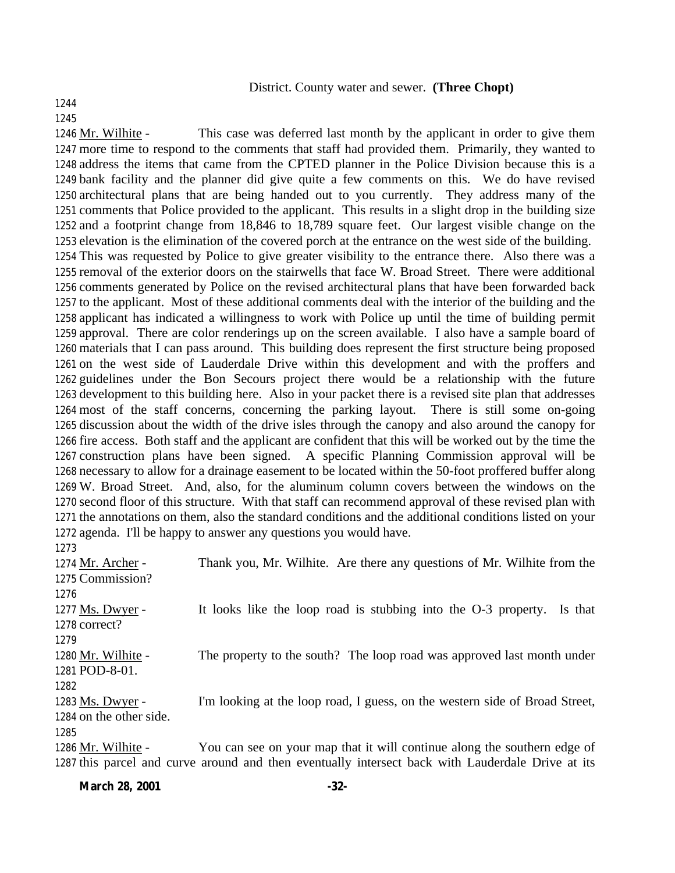#### District. County water and sewer. **(Three Chopt)**

#### 

Mr. Wilhite - This case was deferred last month by the applicant in order to give them

 more time to respond to the comments that staff had provided them. Primarily, they wanted to address the items that came from the CPTED planner in the Police Division because this is a bank facility and the planner did give quite a few comments on this. We do have revised architectural plans that are being handed out to you currently. They address many of the comments that Police provided to the applicant. This results in a slight drop in the building size and a footprint change from 18,846 to 18,789 square feet. Our largest visible change on the elevation is the elimination of the covered porch at the entrance on the west side of the building. This was requested by Police to give greater visibility to the entrance there. Also there was a removal of the exterior doors on the stairwells that face W. Broad Street. There were additional comments generated by Police on the revised architectural plans that have been forwarded back to the applicant. Most of these additional comments deal with the interior of the building and the applicant has indicated a willingness to work with Police up until the time of building permit approval. There are color renderings up on the screen available. I also have a sample board of materials that I can pass around. This building does represent the first structure being proposed on the west side of Lauderdale Drive within this development and with the proffers and guidelines under the Bon Secours project there would be a relationship with the future development to this building here. Also in your packet there is a revised site plan that addresses most of the staff concerns, concerning the parking layout. There is still some on-going discussion about the width of the drive isles through the canopy and also around the canopy for fire access. Both staff and the applicant are confident that this will be worked out by the time the construction plans have been signed. A specific Planning Commission approval will be necessary to allow for a drainage easement to be located within the 50-foot proffered buffer along W. Broad Street. And, also, for the aluminum column covers between the windows on the second floor of this structure. With that staff can recommend approval of these revised plan with the annotations on them, also the standard conditions and the additional conditions listed on your agenda. I'll be happy to answer any questions you would have.

| 1274 Mr. Archer -       | Thank you, Mr. Wilhite. Are there any questions of Mr. Wilhite from the                           |
|-------------------------|---------------------------------------------------------------------------------------------------|
| 1275 Commission?        |                                                                                                   |
| 1276                    |                                                                                                   |
| 1277 Ms. Dwyer -        | It looks like the loop road is stubbing into the O-3 property.<br>Is that                         |
| 1278 correct?           |                                                                                                   |
| 1279                    |                                                                                                   |
| 1280 Mr. Wilhite -      | The property to the south? The loop road was approved last month under                            |
| 1281 POD-8-01.          |                                                                                                   |
| 1282                    |                                                                                                   |
| 1283 Ms. Dwyer -        | I'm looking at the loop road, I guess, on the western side of Broad Street,                       |
| 1284 on the other side. |                                                                                                   |
| 1285                    |                                                                                                   |
| 1286 Mr. Wilhite -      | You can see on your map that it will continue along the southern edge of                          |
|                         | 1287 this parcel and curve around and then eventually intersect back with Lauderdale Drive at its |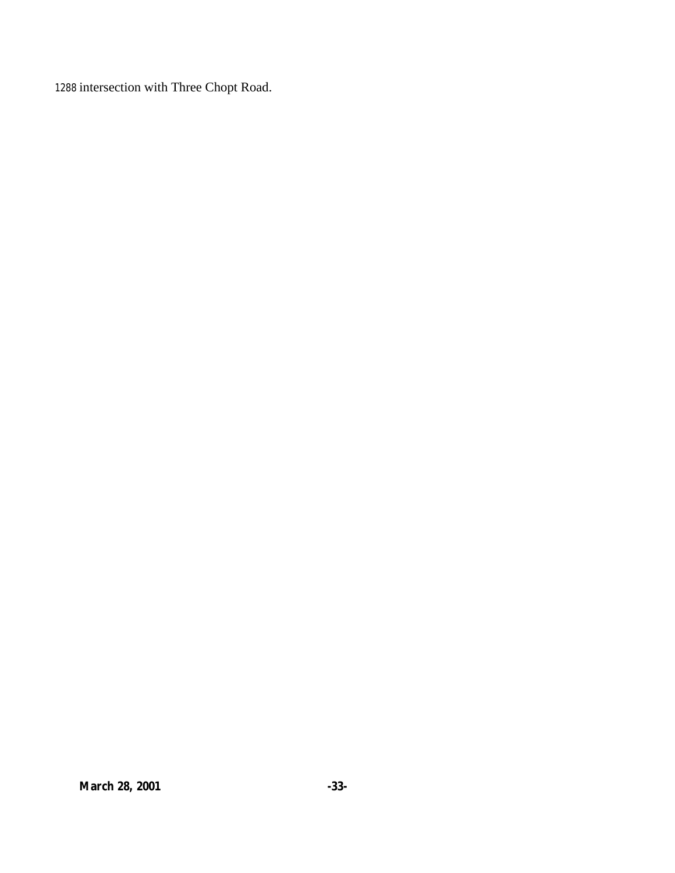1288 intersection with Three Chopt Road.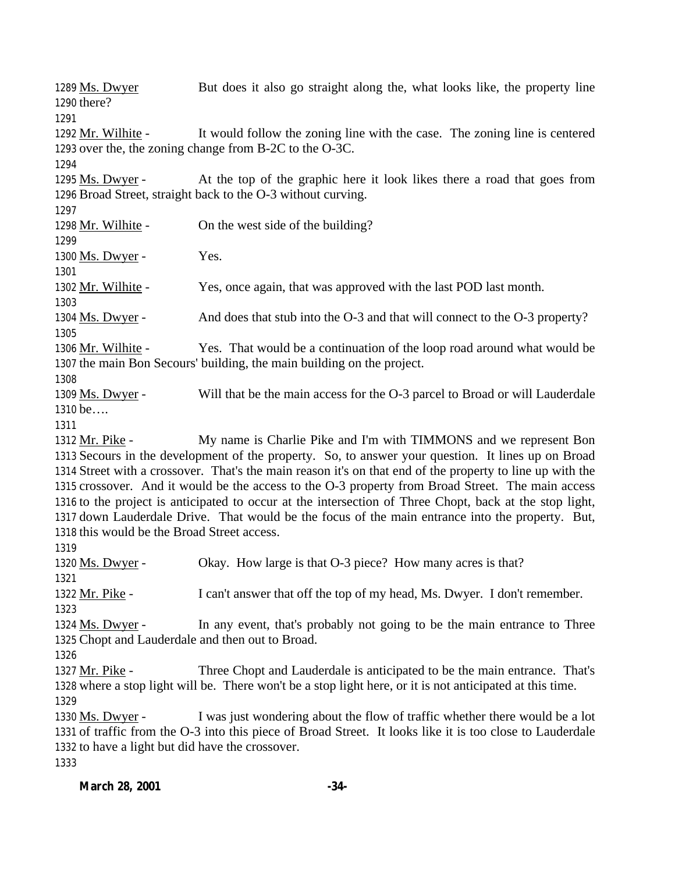1289 Ms. Dwyer But does it also go straight along the, what looks like, the property line there? Mr. Wilhite - It would follow the zoning line with the case. The zoning line is centered over the, the zoning change from B-2C to the O-3C. 1295 Ms. Dwyer - At the top of the graphic here it look likes there a road that goes from Broad Street, straight back to the O-3 without curving. Mr. Wilhite - On the west side of the building? 1300 Ms. Dwyer - Yes. Mr. Wilhite - Yes, once again, that was approved with the last POD last month. Ms. Dwyer - And does that stub into the O-3 and that will connect to the O-3 property? Mr. Wilhite - Yes. That would be a continuation of the loop road around what would be the main Bon Secours' building, the main building on the project. 1309 Ms. Dwyer - Will that be the main access for the O-3 parcel to Broad or will Lauderdale be…. Mr. Pike - My name is Charlie Pike and I'm with TIMMONS and we represent Bon Secours in the development of the property. So, to answer your question. It lines up on Broad Street with a crossover. That's the main reason it's on that end of the property to line up with the crossover. And it would be the access to the O-3 property from Broad Street. The main access to the project is anticipated to occur at the intersection of Three Chopt, back at the stop light, down Lauderdale Drive. That would be the focus of the main entrance into the property. But, this would be the Broad Street access. 1320 Ms. Dwyer - Okay. How large is that O-3 piece? How many acres is that? Mr. Pike - I can't answer that off the top of my head, Ms. Dwyer. I don't remember. Ms. Dwyer - In any event, that's probably not going to be the main entrance to Three Chopt and Lauderdale and then out to Broad. 1327 Mr. Pike - Three Chopt and Lauderdale is anticipated to be the main entrance. That's where a stop light will be. There won't be a stop light here, or it is not anticipated at this time. Ms. Dwyer - I was just wondering about the flow of traffic whether there would be a lot of traffic from the O-3 into this piece of Broad Street. It looks like it is too close to Lauderdale to have a light but did have the crossover.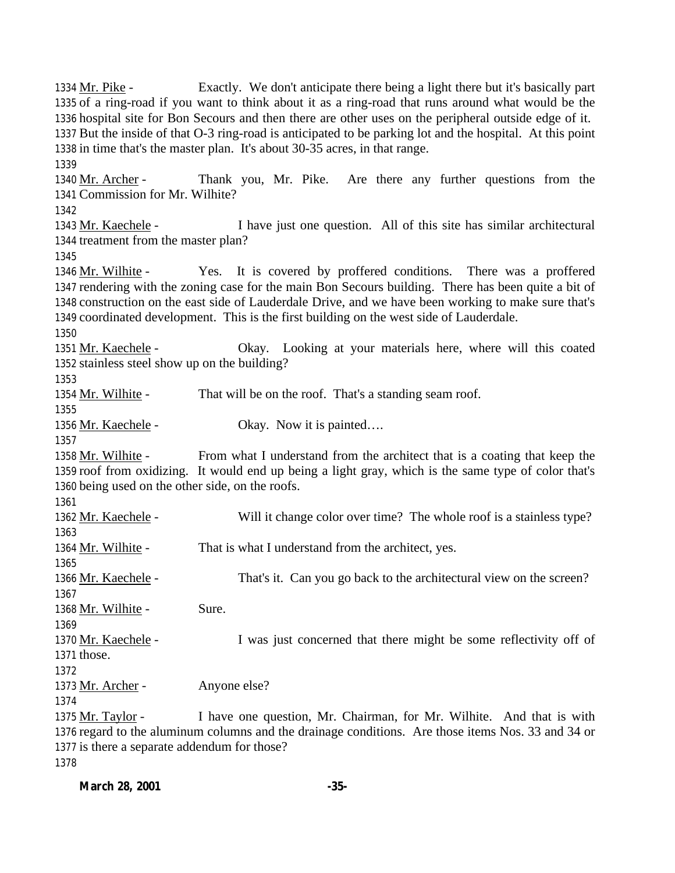Mr. Pike - Exactly. We don't anticipate there being a light there but it's basically part of a ring-road if you want to think about it as a ring-road that runs around what would be the hospital site for Bon Secours and then there are other uses on the peripheral outside edge of it. But the inside of that O-3 ring-road is anticipated to be parking lot and the hospital. At this point in time that's the master plan. It's about 30-35 acres, in that range. 1340 Mr. Archer - Thank you, Mr. Pike. Are there any further questions from the Commission for Mr. Wilhite? Mr. Kaechele - I have just one question. All of this site has similar architectural treatment from the master plan? Mr. Wilhite - Yes. It is covered by proffered conditions. There was a proffered rendering with the zoning case for the main Bon Secours building. There has been quite a bit of construction on the east side of Lauderdale Drive, and we have been working to make sure that's coordinated development. This is the first building on the west side of Lauderdale. Mr. Kaechele - Okay. Looking at your materials here, where will this coated stainless steel show up on the building? 1354 Mr. Wilhite - That will be on the roof. That's a standing seam roof. 1356 Mr. Kaechele - Okay. Now it is painted.... Mr. Wilhite - From what I understand from the architect that is a coating that keep the roof from oxidizing. It would end up being a light gray, which is the same type of color that's being used on the other side, on the roofs. Mr. Kaechele - Will it change color over time? The whole roof is a stainless type? 1364 Mr. Wilhite - That is what I understand from the architect, yes. Mr. Kaechele - That's it. Can you go back to the architectural view on the screen? 1368 Mr. Wilhite - Sure. 1370 Mr. Kaechele - I was just concerned that there might be some reflectivity off of those. 1373 Mr. Archer - Anyone else? Mr. Taylor - I have one question, Mr. Chairman, for Mr. Wilhite. And that is with regard to the aluminum columns and the drainage conditions. Are those items Nos. 33 and 34 or is there a separate addendum for those?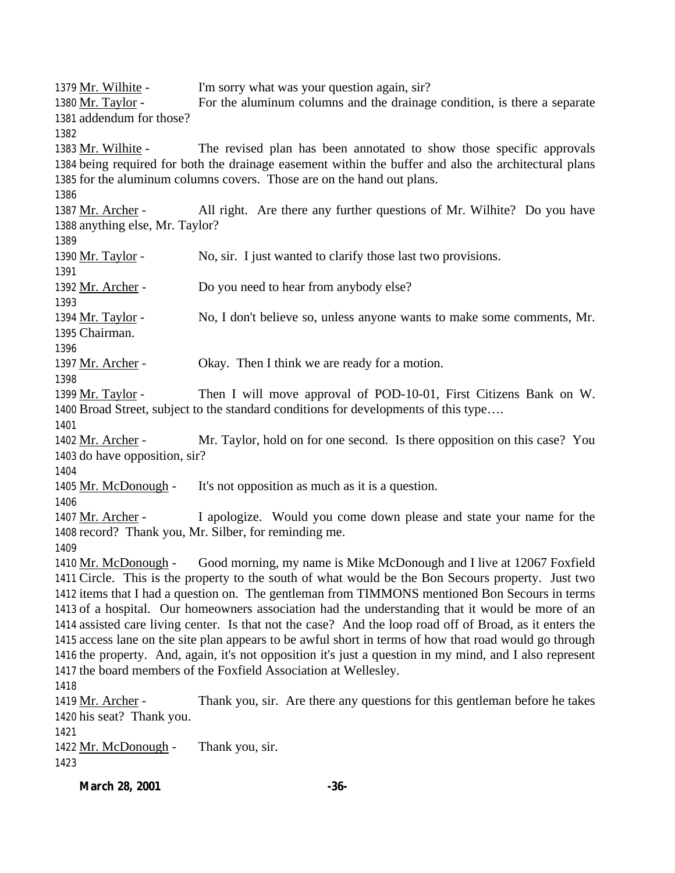1379 Mr. Wilhite - I'm sorry what was your question again, sir? Mr. Taylor - For the aluminum columns and the drainage condition, is there a separate addendum for those? 1383 Mr. Wilhite - The revised plan has been annotated to show those specific approvals being required for both the drainage easement within the buffer and also the architectural plans for the aluminum columns covers. Those are on the hand out plans. Mr. Archer - All right. Are there any further questions of Mr. Wilhite? Do you have anything else, Mr. Taylor? 1390 Mr. Taylor - No, sir. I just wanted to clarify those last two provisions. 1392 Mr. Archer - Do you need to hear from anybody else? Mr. Taylor - No, I don't believe so, unless anyone wants to make some comments, Mr. Chairman. 1397 Mr. Archer - Okay. Then I think we are ready for a motion. 1399 Mr. Taylor - Then I will move approval of POD-10-01, First Citizens Bank on W. Broad Street, subject to the standard conditions for developments of this type…. 1402 Mr. Archer - Mr. Taylor, hold on for one second. Is there opposition on this case? You do have opposition, sir? Mr. McDonough - It's not opposition as much as it is a question. Mr. Archer - I apologize. Would you come down please and state your name for the record? Thank you, Mr. Silber, for reminding me. 1410 Mr. McDonough - Good morning, my name is Mike McDonough and I live at 12067 Foxfield Circle. This is the property to the south of what would be the Bon Secours property. Just two items that I had a question on. The gentleman from TIMMONS mentioned Bon Secours in terms of a hospital. Our homeowners association had the understanding that it would be more of an assisted care living center. Is that not the case? And the loop road off of Broad, as it enters the access lane on the site plan appears to be awful short in terms of how that road would go through the property. And, again, it's not opposition it's just a question in my mind, and I also represent the board members of the Foxfield Association at Wellesley. Mr. Archer - Thank you, sir. Are there any questions for this gentleman before he takes his seat? Thank you. Mr. McDonough - Thank you, sir. 

**March 28, 2001 -36-**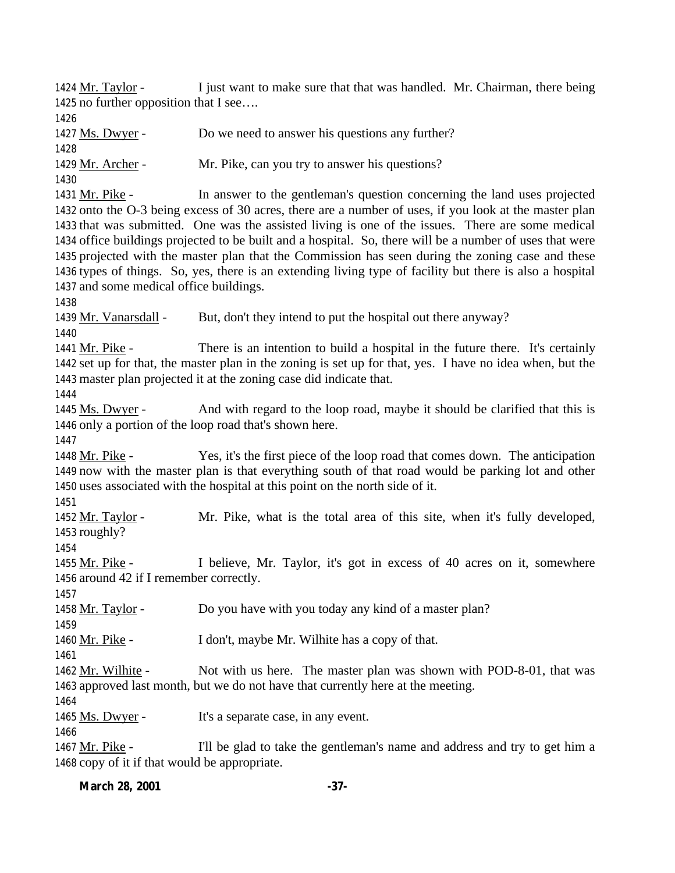1424 Mr. Taylor - I just want to make sure that that was handled. Mr. Chairman, there being no further opposition that I see….

Ms. Dwyer - Do we need to answer his questions any further?

Mr. Archer - Mr. Pike, can you try to answer his questions?

 Mr. Pike - In answer to the gentleman's question concerning the land uses projected onto the O-3 being excess of 30 acres, there are a number of uses, if you look at the master plan that was submitted. One was the assisted living is one of the issues. There are some medical office buildings projected to be built and a hospital. So, there will be a number of uses that were projected with the master plan that the Commission has seen during the zoning case and these types of things. So, yes, there is an extending living type of facility but there is also a hospital and some medical office buildings.

1439 Mr. Vanarsdall - But, don't they intend to put the hospital out there anyway?

 Mr. Pike - There is an intention to build a hospital in the future there. It's certainly set up for that, the master plan in the zoning is set up for that, yes. I have no idea when, but the master plan projected it at the zoning case did indicate that.

 Ms. Dwyer - And with regard to the loop road, maybe it should be clarified that this is only a portion of the loop road that's shown here.

 Mr. Pike - Yes, it's the first piece of the loop road that comes down. The anticipation now with the master plan is that everything south of that road would be parking lot and other uses associated with the hospital at this point on the north side of it.

 Mr. Taylor - Mr. Pike, what is the total area of this site, when it's fully developed, roughly?

1455 Mr. Pike - I believe, Mr. Taylor, it's got in excess of 40 acres on it, somewhere around 42 if I remember correctly.

1458 Mr. Taylor - Do you have with you today any kind of a master plan?

Mr. Pike - I don't, maybe Mr. Wilhite has a copy of that.

1462 Mr. Wilhite - Not with us here. The master plan was shown with POD-8-01, that was approved last month, but we do not have that currently here at the meeting.

1465 Ms. Dwyer - It's a separate case, in any event.

 Mr. Pike - I'll be glad to take the gentleman's name and address and try to get him a copy of it if that would be appropriate.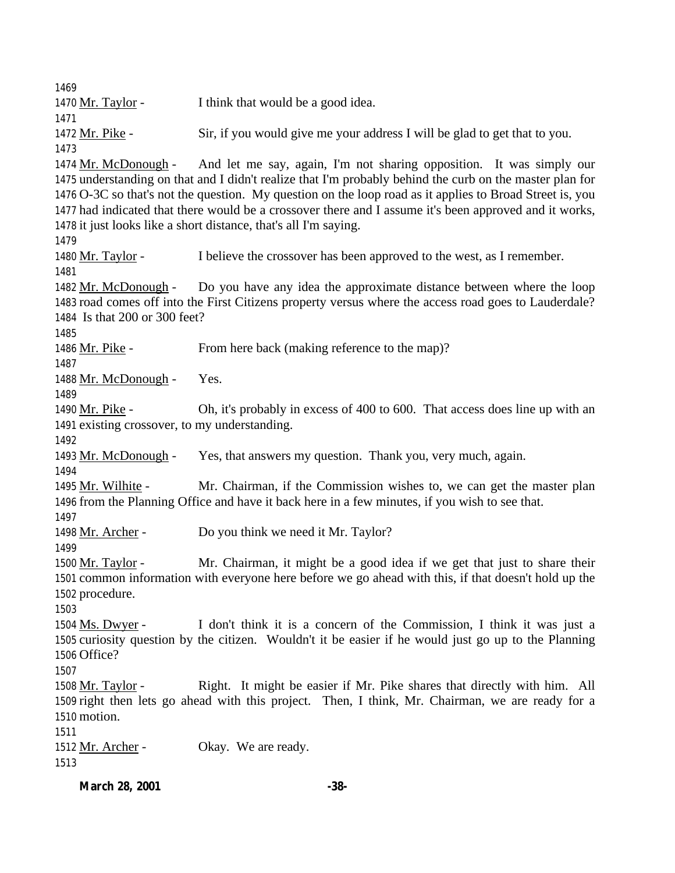1470 Mr. Taylor - I think that would be a good idea. Mr. Pike - Sir, if you would give me your address I will be glad to get that to you. Mr. McDonough - And let me say, again, I'm not sharing opposition. It was simply our understanding on that and I didn't realize that I'm probably behind the curb on the master plan for O-3C so that's not the question. My question on the loop road as it applies to Broad Street is, you had indicated that there would be a crossover there and I assume it's been approved and it works, it just looks like a short distance, that's all I'm saying. Mr. Taylor - I believe the crossover has been approved to the west, as I remember. Mr. McDonough - Do you have any idea the approximate distance between where the loop road comes off into the First Citizens property versus where the access road goes to Lauderdale? Is that 200 or 300 feet? 1486 Mr. Pike - From here back (making reference to the map)? Mr. McDonough - Yes. Mr. Pike - Oh, it's probably in excess of 400 to 600. That access does line up with an existing crossover, to my understanding. Mr. McDonough - Yes, that answers my question. Thank you, very much, again. Mr. Wilhite - Mr. Chairman, if the Commission wishes to, we can get the master plan from the Planning Office and have it back here in a few minutes, if you wish to see that. 1498 Mr. Archer - Do you think we need it Mr. Taylor? 1500 Mr. Taylor - Mr. Chairman, it might be a good idea if we get that just to share their common information with everyone here before we go ahead with this, if that doesn't hold up the procedure. Ms. Dwyer - I don't think it is a concern of the Commission, I think it was just a curiosity question by the citizen. Wouldn't it be easier if he would just go up to the Planning Office? Mr. Taylor - Right. It might be easier if Mr. Pike shares that directly with him. All right then lets go ahead with this project. Then, I think, Mr. Chairman, we are ready for a motion. 1512 Mr. Archer - Okay. We are ready.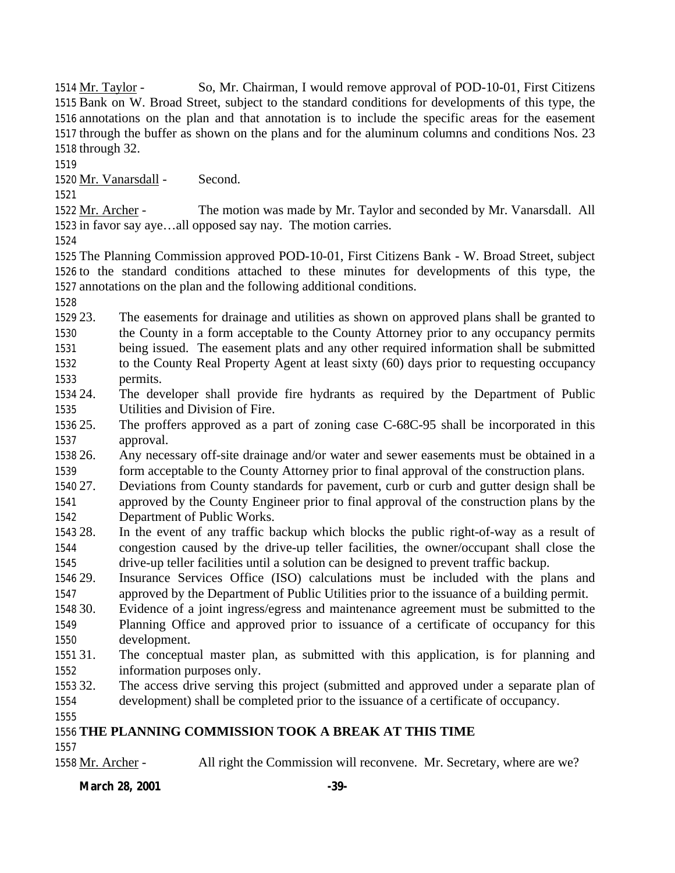Mr. Taylor - So, Mr. Chairman, I would remove approval of POD-10-01, First Citizens Bank on W. Broad Street, subject to the standard conditions for developments of this type, the annotations on the plan and that annotation is to include the specific areas for the easement through the buffer as shown on the plans and for the aluminum columns and conditions Nos. 23 through 32.

Mr. Vanarsdall - Second.

 Mr. Archer - The motion was made by Mr. Taylor and seconded by Mr. Vanarsdall. All in favor say aye…all opposed say nay. The motion carries.

 The Planning Commission approved POD-10-01, First Citizens Bank - W. Broad Street, subject to the standard conditions attached to these minutes for developments of this type, the annotations on the plan and the following additional conditions.

 23. The easements for drainage and utilities as shown on approved plans shall be granted to the County in a form acceptable to the County Attorney prior to any occupancy permits being issued. The easement plats and any other required information shall be submitted to the County Real Property Agent at least sixty (60) days prior to requesting occupancy permits.

 24. The developer shall provide fire hydrants as required by the Department of Public Utilities and Division of Fire.

 25. The proffers approved as a part of zoning case C-68C-95 shall be incorporated in this approval.

 26. Any necessary off-site drainage and/or water and sewer easements must be obtained in a form acceptable to the County Attorney prior to final approval of the construction plans.

 27. Deviations from County standards for pavement, curb or curb and gutter design shall be approved by the County Engineer prior to final approval of the construction plans by the Department of Public Works.

 28. In the event of any traffic backup which blocks the public right-of-way as a result of congestion caused by the drive-up teller facilities, the owner/occupant shall close the drive-up teller facilities until a solution can be designed to prevent traffic backup.

 29. Insurance Services Office (ISO) calculations must be included with the plans and approved by the Department of Public Utilities prior to the issuance of a building permit.

 30. Evidence of a joint ingress/egress and maintenance agreement must be submitted to the Planning Office and approved prior to issuance of a certificate of occupancy for this

 development. 31. The conceptual master plan, as submitted with this application, is for planning and

information purposes only.

 32. The access drive serving this project (submitted and approved under a separate plan of development) shall be completed prior to the issuance of a certificate of occupancy.

## **THE PLANNING COMMISSION TOOK A BREAK AT THIS TIME**

Mr. Archer - All right the Commission will reconvene. Mr. Secretary, where are we?

## **March 28, 2001 -39-**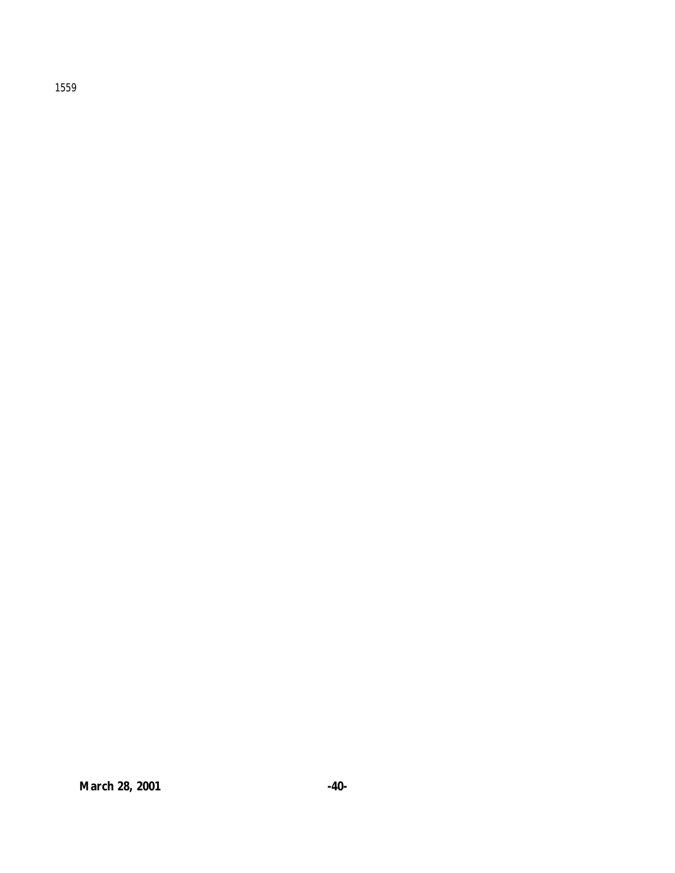1559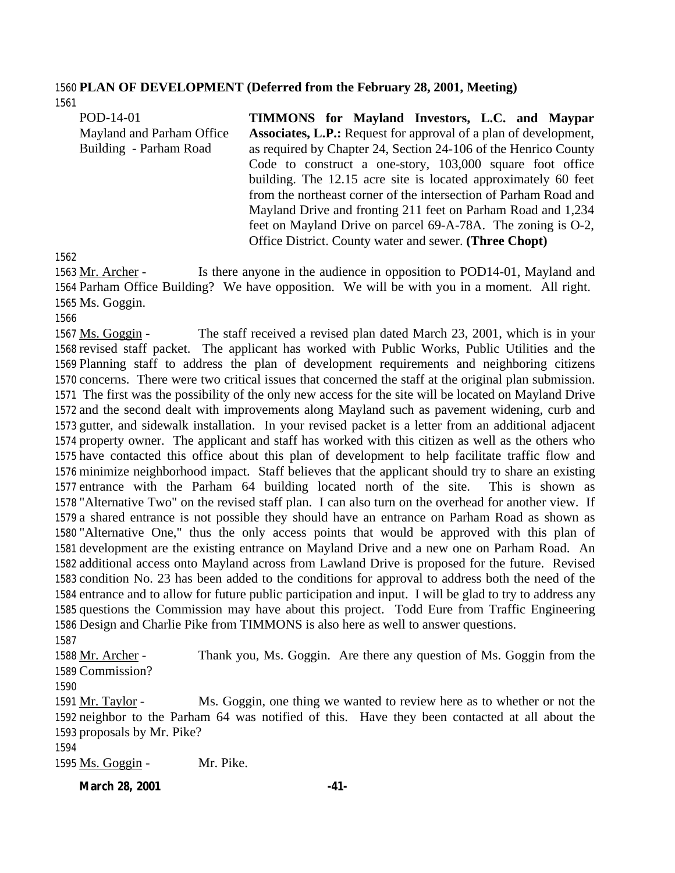#### **PLAN OF DEVELOPMENT (Deferred from the February 28, 2001, Meeting)**

| POD-14-01                 | TIMMONS for Mayland Investors, L.C. and Maypar                          |
|---------------------------|-------------------------------------------------------------------------|
| Mayland and Parham Office | <b>Associates, L.P.:</b> Request for approval of a plan of development, |
| Building - Parham Road    | as required by Chapter 24, Section 24-106 of the Henrico County         |
|                           | Code to construct a one-story, 103,000 square foot office               |
|                           | building. The 12.15 acre site is located approximately 60 feet          |
|                           | from the northeast corner of the intersection of Parham Road and        |
|                           | Mayland Drive and fronting 211 feet on Parham Road and 1,234            |
|                           | feet on Mayland Drive on parcel 69-A-78A. The zoning is O-2,            |
|                           | Office District. County water and sewer. (Three Chopt)                  |

1563 Mr. Archer - Is there anyone in the audience in opposition to POD14-01, Mayland and Parham Office Building? We have opposition. We will be with you in a moment. All right. Ms. Goggin.

 Ms. Goggin - The staff received a revised plan dated March 23, 2001, which is in your revised staff packet. The applicant has worked with Public Works, Public Utilities and the Planning staff to address the plan of development requirements and neighboring citizens concerns. There were two critical issues that concerned the staff at the original plan submission. The first was the possibility of the only new access for the site will be located on Mayland Drive and the second dealt with improvements along Mayland such as pavement widening, curb and gutter, and sidewalk installation. In your revised packet is a letter from an additional adjacent property owner. The applicant and staff has worked with this citizen as well as the others who have contacted this office about this plan of development to help facilitate traffic flow and minimize neighborhood impact. Staff believes that the applicant should try to share an existing entrance with the Parham 64 building located north of the site. This is shown as "Alternative Two" on the revised staff plan. I can also turn on the overhead for another view. If a shared entrance is not possible they should have an entrance on Parham Road as shown as "Alternative One," thus the only access points that would be approved with this plan of development are the existing entrance on Mayland Drive and a new one on Parham Road. An additional access onto Mayland across from Lawland Drive is proposed for the future. Revised condition No. 23 has been added to the conditions for approval to address both the need of the entrance and to allow for future public participation and input. I will be glad to try to address any questions the Commission may have about this project. Todd Eure from Traffic Engineering Design and Charlie Pike from TIMMONS is also here as well to answer questions.

 Mr. Archer - Thank you, Ms. Goggin. Are there any question of Ms. Goggin from the Commission? 1591 Mr. Taylor - Ms. Goggin, one thing we wanted to review here as to whether or not the neighbor to the Parham 64 was notified of this. Have they been contacted at all about the proposals by Mr. Pike?

1595 Ms. Goggin - Mr. Pike.

#### **March 28, 2001 -41-**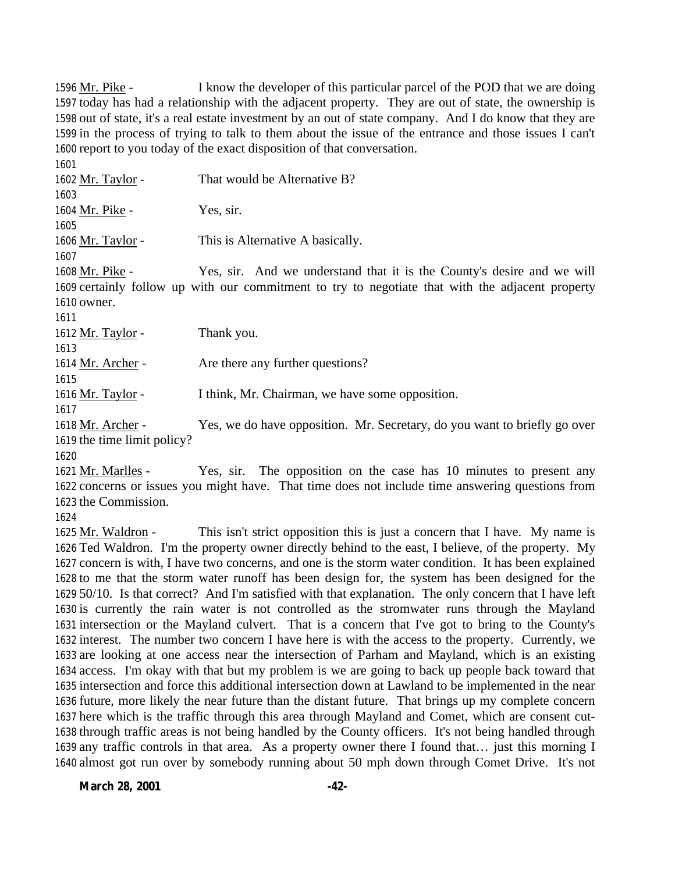1596 Mr. Pike - I know the developer of this particular parcel of the POD that we are doing today has had a relationship with the adjacent property. They are out of state, the ownership is out of state, it's a real estate investment by an out of state company. And I do know that they are in the process of trying to talk to them about the issue of the entrance and those issues I can't report to you today of the exact disposition of that conversation.

 1602 Mr. Taylor - That would be Alternative B? Mr. Pike - Yes, sir. Mr. Taylor - This is Alternative A basically. Mr. Pike - Yes, sir. And we understand that it is the County's desire and we will certainly follow up with our commitment to try to negotiate that with the adjacent property owner. 1612 Mr. Taylor - Thank you. 1614 Mr. Archer - Are there any further questions? 1616 Mr. Taylor - I think, Mr. Chairman, we have some opposition. Mr. Archer - Yes, we do have opposition. Mr. Secretary, do you want to briefly go over the time limit policy? 

 Mr. Marlles - Yes, sir. The opposition on the case has 10 minutes to present any concerns or issues you might have. That time does not include time answering questions from the Commission.

1625 Mr. Waldron - This isn't strict opposition this is just a concern that I have. My name is Ted Waldron. I'm the property owner directly behind to the east, I believe, of the property. My concern is with, I have two concerns, and one is the storm water condition. It has been explained to me that the storm water runoff has been design for, the system has been designed for the 50/10. Is that correct? And I'm satisfied with that explanation. The only concern that I have left is currently the rain water is not controlled as the stromwater runs through the Mayland intersection or the Mayland culvert. That is a concern that I've got to bring to the County's interest. The number two concern I have here is with the access to the property. Currently, we are looking at one access near the intersection of Parham and Mayland, which is an existing access. I'm okay with that but my problem is we are going to back up people back toward that intersection and force this additional intersection down at Lawland to be implemented in the near future, more likely the near future than the distant future. That brings up my complete concern here which is the traffic through this area through Mayland and Comet, which are consent cut- through traffic areas is not being handled by the County officers. It's not being handled through any traffic controls in that area. As a property owner there I found that… just this morning I almost got run over by somebody running about 50 mph down through Comet Drive. It's not

**March 28, 2001 -42-**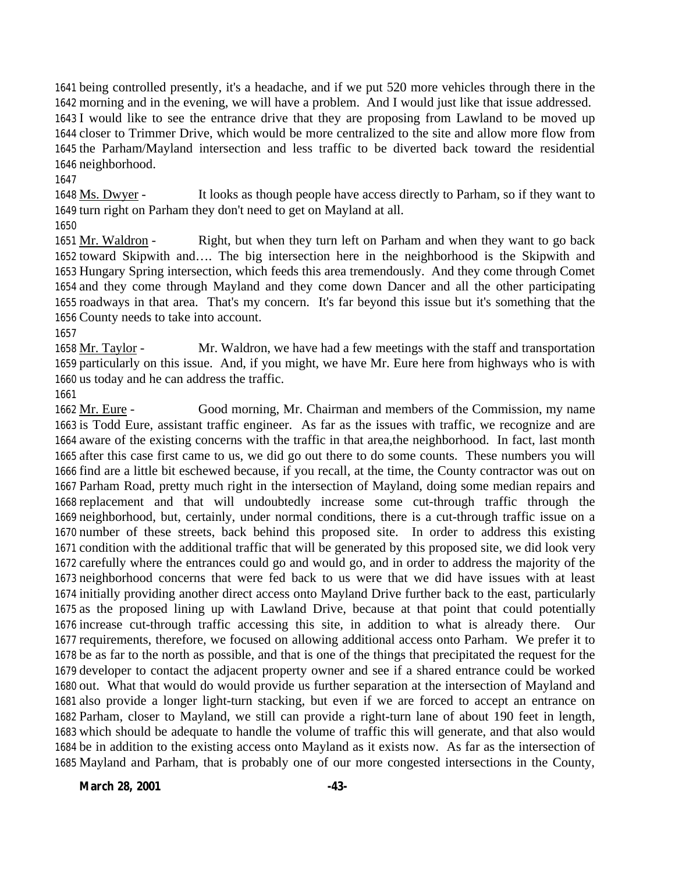being controlled presently, it's a headache, and if we put 520 more vehicles through there in the morning and in the evening, we will have a problem. And I would just like that issue addressed. I would like to see the entrance drive that they are proposing from Lawland to be moved up closer to Trimmer Drive, which would be more centralized to the site and allow more flow from the Parham/Mayland intersection and less traffic to be diverted back toward the residential neighborhood.

 Ms. Dwyer - It looks as though people have access directly to Parham, so if they want to turn right on Parham they don't need to get on Mayland at all.

 Mr. Waldron - Right, but when they turn left on Parham and when they want to go back toward Skipwith and…. The big intersection here in the neighborhood is the Skipwith and Hungary Spring intersection, which feeds this area tremendously. And they come through Comet and they come through Mayland and they come down Dancer and all the other participating roadways in that area. That's my concern. It's far beyond this issue but it's something that the County needs to take into account.

 Mr. Taylor - Mr. Waldron, we have had a few meetings with the staff and transportation particularly on this issue. And, if you might, we have Mr. Eure here from highways who is with us today and he can address the traffic.

 Mr. Eure - Good morning, Mr. Chairman and members of the Commission, my name is Todd Eure, assistant traffic engineer. As far as the issues with traffic, we recognize and are aware of the existing concerns with the traffic in that area,the neighborhood. In fact, last month after this case first came to us, we did go out there to do some counts. These numbers you will find are a little bit eschewed because, if you recall, at the time, the County contractor was out on Parham Road, pretty much right in the intersection of Mayland, doing some median repairs and replacement and that will undoubtedly increase some cut-through traffic through the neighborhood, but, certainly, under normal conditions, there is a cut-through traffic issue on a number of these streets, back behind this proposed site. In order to address this existing condition with the additional traffic that will be generated by this proposed site, we did look very carefully where the entrances could go and would go, and in order to address the majority of the neighborhood concerns that were fed back to us were that we did have issues with at least initially providing another direct access onto Mayland Drive further back to the east, particularly as the proposed lining up with Lawland Drive, because at that point that could potentially increase cut-through traffic accessing this site, in addition to what is already there. Our requirements, therefore, we focused on allowing additional access onto Parham. We prefer it to be as far to the north as possible, and that is one of the things that precipitated the request for the developer to contact the adjacent property owner and see if a shared entrance could be worked out. What that would do would provide us further separation at the intersection of Mayland and also provide a longer light-turn stacking, but even if we are forced to accept an entrance on Parham, closer to Mayland, we still can provide a right-turn lane of about 190 feet in length, which should be adequate to handle the volume of traffic this will generate, and that also would be in addition to the existing access onto Mayland as it exists now. As far as the intersection of Mayland and Parham, that is probably one of our more congested intersections in the County,

**March 28, 2001 -43-**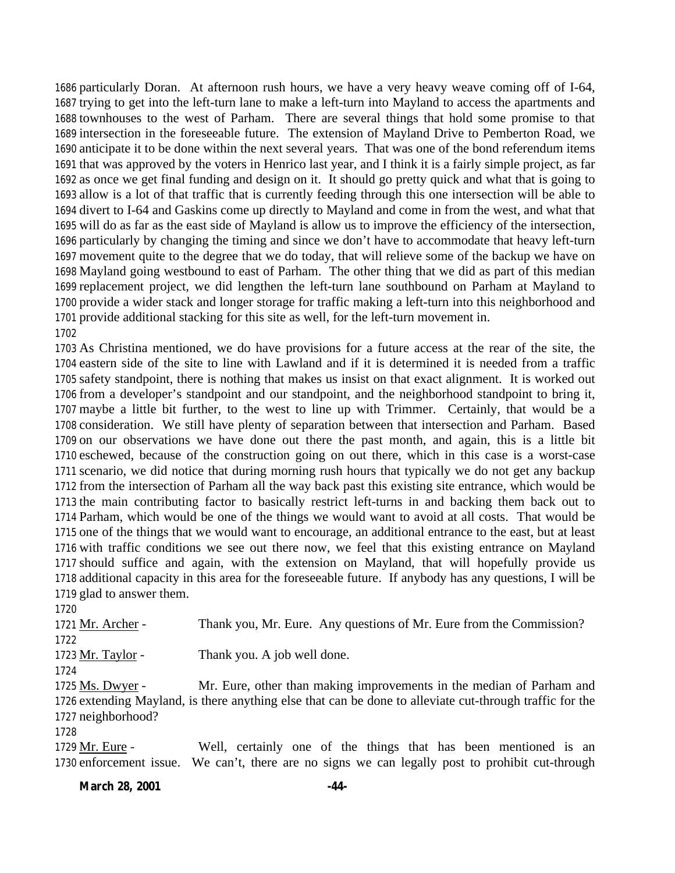particularly Doran. At afternoon rush hours, we have a very heavy weave coming off of I-64, trying to get into the left-turn lane to make a left-turn into Mayland to access the apartments and townhouses to the west of Parham. There are several things that hold some promise to that intersection in the foreseeable future. The extension of Mayland Drive to Pemberton Road, we anticipate it to be done within the next several years. That was one of the bond referendum items that was approved by the voters in Henrico last year, and I think it is a fairly simple project, as far as once we get final funding and design on it. It should go pretty quick and what that is going to allow is a lot of that traffic that is currently feeding through this one intersection will be able to divert to I-64 and Gaskins come up directly to Mayland and come in from the west, and what that will do as far as the east side of Mayland is allow us to improve the efficiency of the intersection, particularly by changing the timing and since we don't have to accommodate that heavy left-turn movement quite to the degree that we do today, that will relieve some of the backup we have on Mayland going westbound to east of Parham. The other thing that we did as part of this median replacement project, we did lengthen the left-turn lane southbound on Parham at Mayland to provide a wider stack and longer storage for traffic making a left-turn into this neighborhood and provide additional stacking for this site as well, for the left-turn movement in. 

 As Christina mentioned, we do have provisions for a future access at the rear of the site, the eastern side of the site to line with Lawland and if it is determined it is needed from a traffic safety standpoint, there is nothing that makes us insist on that exact alignment. It is worked out from a developer's standpoint and our standpoint, and the neighborhood standpoint to bring it, maybe a little bit further, to the west to line up with Trimmer. Certainly, that would be a consideration. We still have plenty of separation between that intersection and Parham. Based on our observations we have done out there the past month, and again, this is a little bit eschewed, because of the construction going on out there, which in this case is a worst-case scenario, we did notice that during morning rush hours that typically we do not get any backup from the intersection of Parham all the way back past this existing site entrance, which would be the main contributing factor to basically restrict left-turns in and backing them back out to Parham, which would be one of the things we would want to avoid at all costs. That would be one of the things that we would want to encourage, an additional entrance to the east, but at least with traffic conditions we see out there now, we feel that this existing entrance on Mayland should suffice and again, with the extension on Mayland, that will hopefully provide us additional capacity in this area for the foreseeable future. If anybody has any questions, I will be glad to answer them.

 Mr. Archer - Thank you, Mr. Eure. Any questions of Mr. Eure from the Commission? Mr. Taylor - Thank you. A job well done. Ms. Dwyer - Mr. Eure, other than making improvements in the median of Parham and extending Mayland, is there anything else that can be done to alleviate cut-through traffic for the neighborhood? 

 Mr. Eure - Well, certainly one of the things that has been mentioned is an enforcement issue. We can't, there are no signs we can legally post to prohibit cut-through

#### **March 28, 2001 -44-**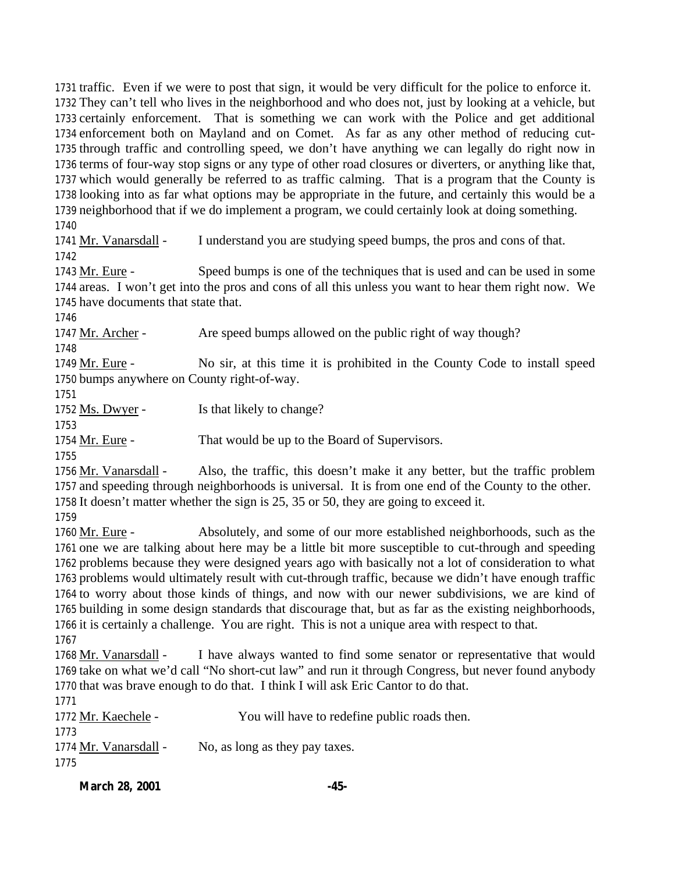traffic. Even if we were to post that sign, it would be very difficult for the police to enforce it. They can't tell who lives in the neighborhood and who does not, just by looking at a vehicle, but certainly enforcement. That is something we can work with the Police and get additional enforcement both on Mayland and on Comet. As far as any other method of reducing cut- through traffic and controlling speed, we don't have anything we can legally do right now in terms of four-way stop signs or any type of other road closures or diverters, or anything like that, which would generally be referred to as traffic calming. That is a program that the County is looking into as far what options may be appropriate in the future, and certainly this would be a neighborhood that if we do implement a program, we could certainly look at doing something.

 Mr. Vanarsdall - I understand you are studying speed bumps, the pros and cons of that. 

 Mr. Eure - Speed bumps is one of the techniques that is used and can be used in some areas. I won't get into the pros and cons of all this unless you want to hear them right now. We have documents that state that.

1747 Mr. Archer - Are speed bumps allowed on the public right of way though?

1749 Mr. Eure - No sir, at this time it is prohibited in the County Code to install speed bumps anywhere on County right-of-way.

1752 Ms. Dwyer - Is that likely to change?

1754 Mr. Eure - That would be up to the Board of Supervisors.

 Mr. Vanarsdall - Also, the traffic, this doesn't make it any better, but the traffic problem and speeding through neighborhoods is universal. It is from one end of the County to the other. It doesn't matter whether the sign is 25, 35 or 50, they are going to exceed it.

1760 Mr. Eure - Absolutely, and some of our more established neighborhoods, such as the one we are talking about here may be a little bit more susceptible to cut-through and speeding problems because they were designed years ago with basically not a lot of consideration to what problems would ultimately result with cut-through traffic, because we didn't have enough traffic to worry about those kinds of things, and now with our newer subdivisions, we are kind of building in some design standards that discourage that, but as far as the existing neighborhoods, it is certainly a challenge. You are right. This is not a unique area with respect to that. 

 Mr. Vanarsdall - I have always wanted to find some senator or representative that would take on what we'd call "No short-cut law" and run it through Congress, but never found anybody that was brave enough to do that. I think I will ask Eric Cantor to do that.

| 1772 Mr. Kaechele -   | You will have to redefine public roads then. |
|-----------------------|----------------------------------------------|
| 1773                  |                                              |
| 1774 Mr. Vanarsdall - | No, as long as they pay taxes.               |
| 1775                  |                                              |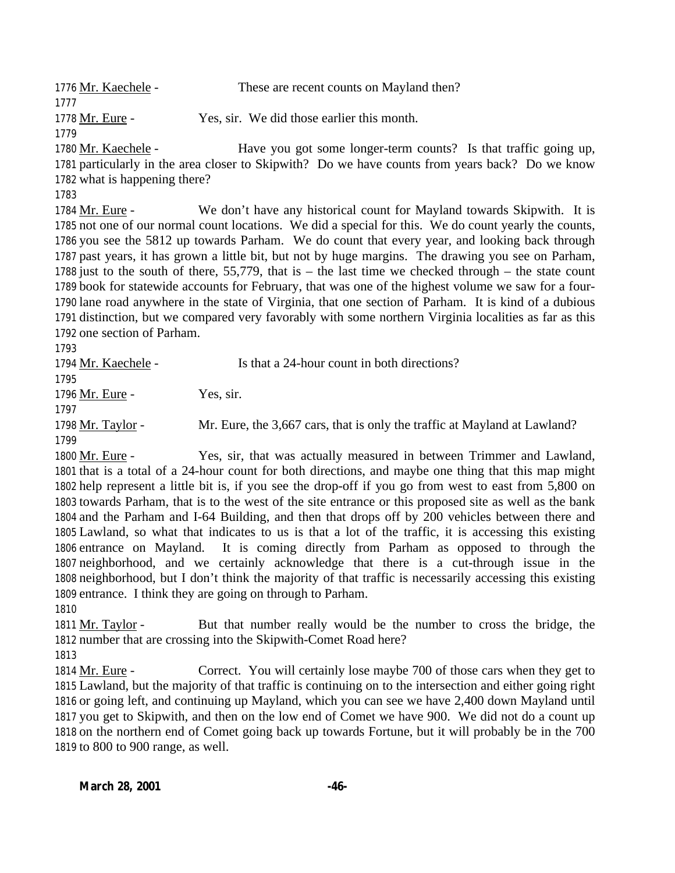Mr. Kaechele - These are recent counts on Mayland then? Mr. Eure - Yes, sir. We did those earlier this month. 

1780 Mr. Kaechele - Have you got some longer-term counts? Is that traffic going up, particularly in the area closer to Skipwith? Do we have counts from years back? Do we know what is happening there?

 Mr. Eure - We don't have any historical count for Mayland towards Skipwith. It is not one of our normal count locations. We did a special for this. We do count yearly the counts, you see the 5812 up towards Parham. We do count that every year, and looking back through past years, it has grown a little bit, but not by huge margins. The drawing you see on Parham, just to the south of there, 55,779, that is – the last time we checked through – the state count book for statewide accounts for February, that was one of the highest volume we saw for a four- lane road anywhere in the state of Virginia, that one section of Parham. It is kind of a dubious distinction, but we compared very favorably with some northern Virginia localities as far as this one section of Parham.

1794 Mr. Kaechele - Is that a 24-hour count in both directions? 1796 Mr. Eure - Yes, sir. Mr. Taylor - Mr. Eure, the 3,667 cars, that is only the traffic at Mayland at Lawland? Mr. Eure - Yes, sir, that was actually measured in between Trimmer and Lawland,

 that is a total of a 24-hour count for both directions, and maybe one thing that this map might help represent a little bit is, if you see the drop-off if you go from west to east from 5,800 on towards Parham, that is to the west of the site entrance or this proposed site as well as the bank and the Parham and I-64 Building, and then that drops off by 200 vehicles between there and Lawland, so what that indicates to us is that a lot of the traffic, it is accessing this existing entrance on Mayland. It is coming directly from Parham as opposed to through the neighborhood, and we certainly acknowledge that there is a cut-through issue in the neighborhood, but I don't think the majority of that traffic is necessarily accessing this existing entrance. I think they are going on through to Parham. 

 Mr. Taylor - But that number really would be the number to cross the bridge, the number that are crossing into the Skipwith-Comet Road here? 

 Mr. Eure - Correct. You will certainly lose maybe 700 of those cars when they get to Lawland, but the majority of that traffic is continuing on to the intersection and either going right or going left, and continuing up Mayland, which you can see we have 2,400 down Mayland until you get to Skipwith, and then on the low end of Comet we have 900. We did not do a count up on the northern end of Comet going back up towards Fortune, but it will probably be in the 700 to 800 to 900 range, as well.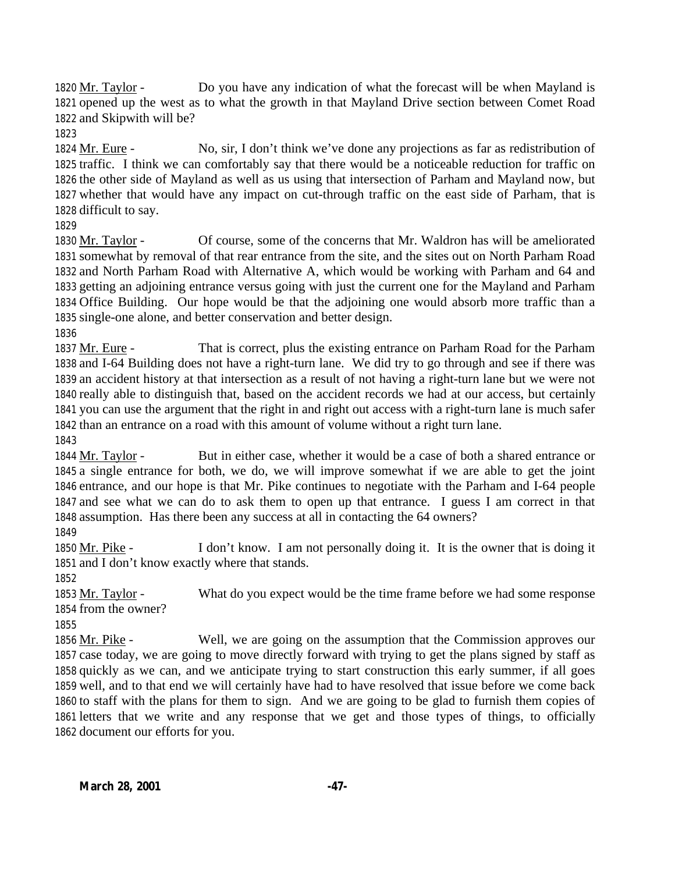Mr. Taylor - Do you have any indication of what the forecast will be when Mayland is opened up the west as to what the growth in that Mayland Drive section between Comet Road and Skipwith will be?

 Mr. Eure - No, sir, I don't think we've done any projections as far as redistribution of traffic. I think we can comfortably say that there would be a noticeable reduction for traffic on the other side of Mayland as well as us using that intersection of Parham and Mayland now, but whether that would have any impact on cut-through traffic on the east side of Parham, that is difficult to say.

 Mr. Taylor - Of course, some of the concerns that Mr. Waldron has will be ameliorated somewhat by removal of that rear entrance from the site, and the sites out on North Parham Road and North Parham Road with Alternative A, which would be working with Parham and 64 and getting an adjoining entrance versus going with just the current one for the Mayland and Parham Office Building. Our hope would be that the adjoining one would absorb more traffic than a single-one alone, and better conservation and better design. 

 Mr. Eure - That is correct, plus the existing entrance on Parham Road for the Parham and I-64 Building does not have a right-turn lane. We did try to go through and see if there was an accident history at that intersection as a result of not having a right-turn lane but we were not really able to distinguish that, based on the accident records we had at our access, but certainly you can use the argument that the right in and right out access with a right-turn lane is much safer than an entrance on a road with this amount of volume without a right turn lane.

 Mr. Taylor - But in either case, whether it would be a case of both a shared entrance or a single entrance for both, we do, we will improve somewhat if we are able to get the joint entrance, and our hope is that Mr. Pike continues to negotiate with the Parham and I-64 people and see what we can do to ask them to open up that entrance. I guess I am correct in that assumption. Has there been any success at all in contacting the 64 owners?

1850 Mr. Pike - I don't know. I am not personally doing it. It is the owner that is doing it and I don't know exactly where that stands.

 Mr. Taylor - What do you expect would be the time frame before we had some response from the owner?

 Mr. Pike - Well, we are going on the assumption that the Commission approves our case today, we are going to move directly forward with trying to get the plans signed by staff as quickly as we can, and we anticipate trying to start construction this early summer, if all goes well, and to that end we will certainly have had to have resolved that issue before we come back to staff with the plans for them to sign. And we are going to be glad to furnish them copies of letters that we write and any response that we get and those types of things, to officially document our efforts for you.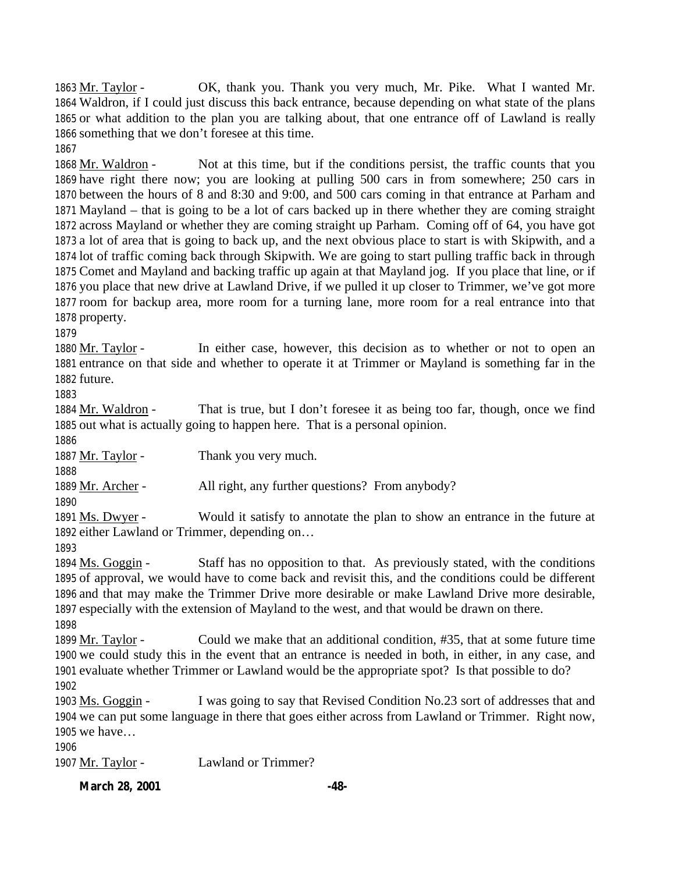Mr. Taylor - OK, thank you. Thank you very much, Mr. Pike. What I wanted Mr. Waldron, if I could just discuss this back entrance, because depending on what state of the plans or what addition to the plan you are talking about, that one entrance off of Lawland is really something that we don't foresee at this time. 

1868 Mr. Waldron - Not at this time, but if the conditions persist, the traffic counts that you have right there now; you are looking at pulling 500 cars in from somewhere; 250 cars in between the hours of 8 and 8:30 and 9:00, and 500 cars coming in that entrance at Parham and Mayland – that is going to be a lot of cars backed up in there whether they are coming straight across Mayland or whether they are coming straight up Parham. Coming off of 64, you have got a lot of area that is going to back up, and the next obvious place to start is with Skipwith, and a lot of traffic coming back through Skipwith. We are going to start pulling traffic back in through Comet and Mayland and backing traffic up again at that Mayland jog. If you place that line, or if you place that new drive at Lawland Drive, if we pulled it up closer to Trimmer, we've got more room for backup area, more room for a turning lane, more room for a real entrance into that property.

 Mr. Taylor - In either case, however, this decision as to whether or not to open an entrance on that side and whether to operate it at Trimmer or Mayland is something far in the future.

 Mr. Waldron - That is true, but I don't foresee it as being too far, though, once we find out what is actually going to happen here. That is a personal opinion.

1887 Mr. Taylor - Thank you very much.

Mr. Archer - All right, any further questions? From anybody?

 Ms. Dwyer - Would it satisfy to annotate the plan to show an entrance in the future at either Lawland or Trimmer, depending on…

1894 Ms. Goggin - Staff has no opposition to that. As previously stated, with the conditions of approval, we would have to come back and revisit this, and the conditions could be different and that may make the Trimmer Drive more desirable or make Lawland Drive more desirable, especially with the extension of Mayland to the west, and that would be drawn on there. 

 Mr. Taylor - Could we make that an additional condition, #35, that at some future time we could study this in the event that an entrance is needed in both, in either, in any case, and evaluate whether Trimmer or Lawland would be the appropriate spot? Is that possible to do? 

 Ms. Goggin - I was going to say that Revised Condition No.23 sort of addresses that and we can put some language in there that goes either across from Lawland or Trimmer. Right now, we have…

1907 Mr. Taylor - Lawland or Trimmer?

**March 28, 2001 -48-**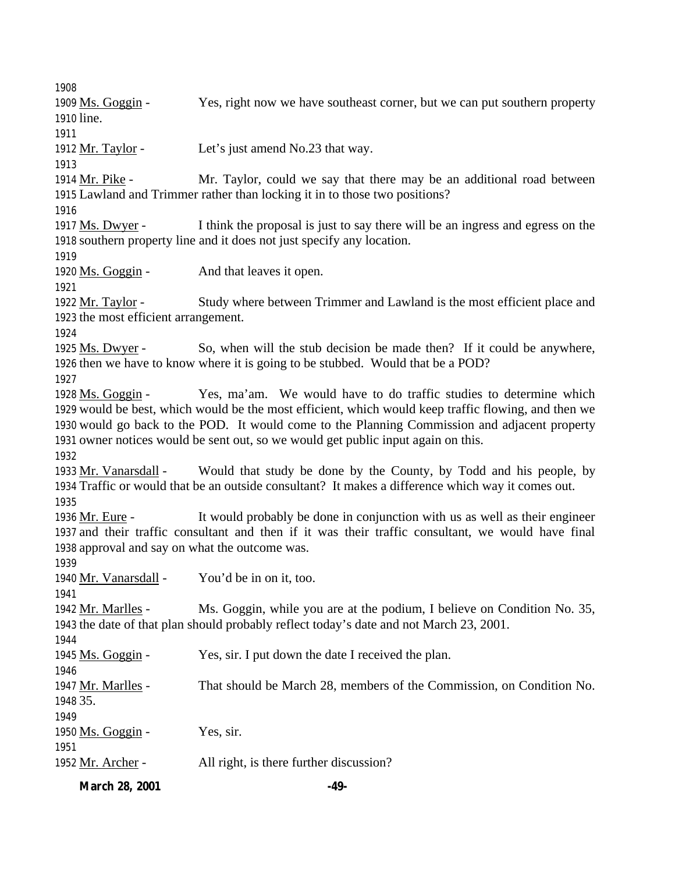Ms. Goggin - Yes, right now we have southeast corner, but we can put southern property line. 1912 Mr. Taylor - Let's just amend No.23 that way. Mr. Pike - Mr. Taylor, could we say that there may be an additional road between Lawland and Trimmer rather than locking it in to those two positions? Ms. Dwyer - I think the proposal is just to say there will be an ingress and egress on the southern property line and it does not just specify any location. Ms. Goggin - And that leaves it open. 1922 Mr. Taylor - Study where between Trimmer and Lawland is the most efficient place and the most efficient arrangement. 1925 Ms. Dwyer - So, when will the stub decision be made then? If it could be anywhere, then we have to know where it is going to be stubbed. Would that be a POD? 1928 Ms. Goggin - Yes, ma'am. We would have to do traffic studies to determine which would be best, which would be the most efficient, which would keep traffic flowing, and then we would go back to the POD. It would come to the Planning Commission and adjacent property owner notices would be sent out, so we would get public input again on this. Mr. Vanarsdall - Would that study be done by the County, by Todd and his people, by Traffic or would that be an outside consultant? It makes a difference which way it comes out. Mr. Eure - It would probably be done in conjunction with us as well as their engineer and their traffic consultant and then if it was their traffic consultant, we would have final approval and say on what the outcome was. Mr. Vanarsdall - You'd be in on it, too. Mr. Marlles - Ms. Goggin, while you are at the podium, I believe on Condition No. 35, the date of that plan should probably reflect today's date and not March 23, 2001. Ms. Goggin - Yes, sir. I put down the date I received the plan. Mr. Marlles - That should be March 28, members of the Commission, on Condition No. 35. 1950 Ms. Goggin - Yes, sir. Mr. Archer - All right, is there further discussion?

**March 28, 2001 -49-**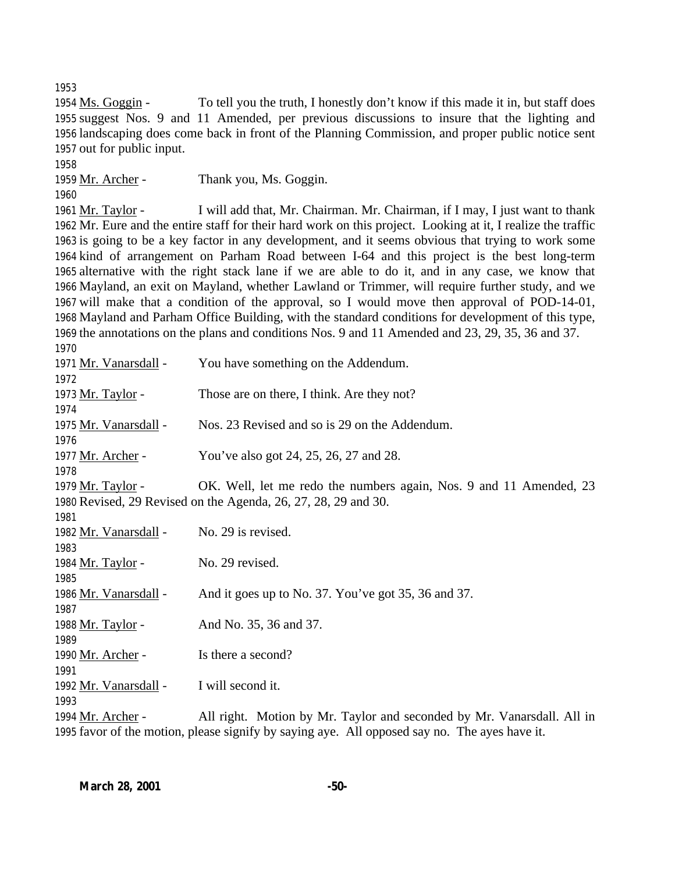1954 Ms. Goggin - To tell you the truth, I honestly don't know if this made it in, but staff does suggest Nos. 9 and 11 Amended, per previous discussions to insure that the lighting and landscaping does come back in front of the Planning Commission, and proper public notice sent out for public input.

| 1958                  |                                                                                                              |
|-----------------------|--------------------------------------------------------------------------------------------------------------|
| 1959 Mr. Archer -     | Thank you, Ms. Goggin.                                                                                       |
| 1960                  |                                                                                                              |
| 1961 Mr. Taylor -     | I will add that, Mr. Chairman. Mr. Chairman, if I may, I just want to thank                                  |
|                       | 1962 Mr. Eure and the entire staff for their hard work on this project. Looking at it, I realize the traffic |
|                       | 1963 is going to be a key factor in any development, and it seems obvious that trying to work some           |
|                       | 1964 kind of arrangement on Parham Road between I-64 and this project is the best long-term                  |
|                       | 1965 alternative with the right stack lane if we are able to do it, and in any case, we know that            |
|                       | 1966 Mayland, an exit on Mayland, whether Lawland or Trimmer, will require further study, and we             |
|                       | 1967 will make that a condition of the approval, so I would move then approval of POD-14-01,                 |
|                       | 1968 Mayland and Parham Office Building, with the standard conditions for development of this type,          |
|                       | 1969 the annotations on the plans and conditions Nos. 9 and 11 Amended and 23, 29, 35, 36 and 37.            |
| 1970                  |                                                                                                              |
| 1971 Mr. Vanarsdall - | You have something on the Addendum.                                                                          |
| 1972                  |                                                                                                              |
| 1973 Mr. Taylor -     | Those are on there, I think. Are they not?                                                                   |
| 1974                  |                                                                                                              |
| 1975 Mr. Vanarsdall - | Nos. 23 Revised and so is 29 on the Addendum.                                                                |
| 1976                  |                                                                                                              |
| 1977 Mr. Archer -     | You've also got 24, 25, 26, 27 and 28.                                                                       |
| 1978                  |                                                                                                              |
| 1979 Mr. Taylor -     | OK. Well, let me redo the numbers again, Nos. 9 and 11 Amended, 23                                           |
|                       | 1980 Revised, 29 Revised on the Agenda, 26, 27, 28, 29 and 30.                                               |
| 1981                  |                                                                                                              |
| 1982 Mr. Vanarsdall - | No. 29 is revised.                                                                                           |
| 1983                  |                                                                                                              |
| 1984 Mr. Taylor -     | No. 29 revised.                                                                                              |
| 1985                  |                                                                                                              |
| 1986 Mr. Vanarsdall - | And it goes up to No. 37. You've got 35, 36 and 37.                                                          |
| 1987                  |                                                                                                              |
| 1988 Mr. Taylor -     | And No. 35, 36 and 37.                                                                                       |
| 1989                  |                                                                                                              |
| 1990 Mr. Archer -     | Is there a second?                                                                                           |
| 1991                  |                                                                                                              |
| 1992 Mr. Vanarsdall - | I will second it.                                                                                            |
| 1993                  |                                                                                                              |

1994 Mr. Archer - All right. Motion by Mr. Taylor and seconded by Mr. Vanarsdall. All in favor of the motion, please signify by saying aye. All opposed say no. The ayes have it.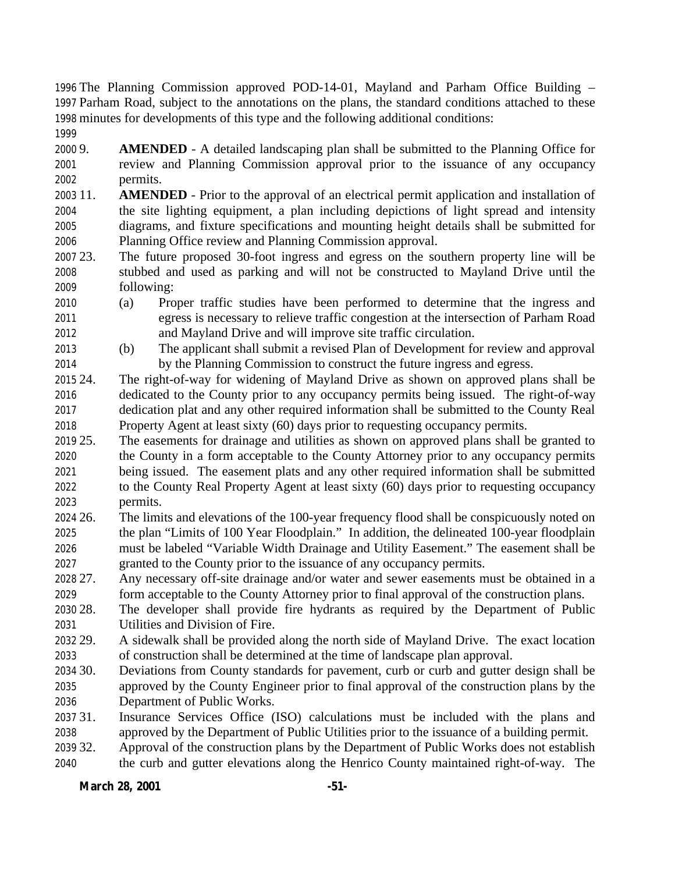The Planning Commission approved POD-14-01, Mayland and Parham Office Building – Parham Road, subject to the annotations on the plans, the standard conditions attached to these minutes for developments of this type and the following additional conditions: 

 9. **AMENDED** - A detailed landscaping plan shall be submitted to the Planning Office for review and Planning Commission approval prior to the issuance of any occupancy permits.

 11. **AMENDED** - Prior to the approval of an electrical permit application and installation of the site lighting equipment, a plan including depictions of light spread and intensity diagrams, and fixture specifications and mounting height details shall be submitted for Planning Office review and Planning Commission approval.

- 23. The future proposed 30-foot ingress and egress on the southern property line will be stubbed and used as parking and will not be constructed to Mayland Drive until the following:
- (a) Proper traffic studies have been performed to determine that the ingress and egress is necessary to relieve traffic congestion at the intersection of Parham Road and Mayland Drive and will improve site traffic circulation.
- (b) The applicant shall submit a revised Plan of Development for review and approval by the Planning Commission to construct the future ingress and egress.
- 24. The right-of-way for widening of Mayland Drive as shown on approved plans shall be dedicated to the County prior to any occupancy permits being issued. The right-of-way dedication plat and any other required information shall be submitted to the County Real Property Agent at least sixty (60) days prior to requesting occupancy permits.
- 25. The easements for drainage and utilities as shown on approved plans shall be granted to the County in a form acceptable to the County Attorney prior to any occupancy permits being issued. The easement plats and any other required information shall be submitted to the County Real Property Agent at least sixty (60) days prior to requesting occupancy permits.
- 26. The limits and elevations of the 100-year frequency flood shall be conspicuously noted on the plan "Limits of 100 Year Floodplain." In addition, the delineated 100-year floodplain must be labeled "Variable Width Drainage and Utility Easement." The easement shall be granted to the County prior to the issuance of any occupancy permits.
- 27. Any necessary off-site drainage and/or water and sewer easements must be obtained in a form acceptable to the County Attorney prior to final approval of the construction plans.
- 28. The developer shall provide fire hydrants as required by the Department of Public Utilities and Division of Fire.
- 29. A sidewalk shall be provided along the north side of Mayland Drive. The exact location of construction shall be determined at the time of landscape plan approval.
- 30. Deviations from County standards for pavement, curb or curb and gutter design shall be approved by the County Engineer prior to final approval of the construction plans by the Department of Public Works.
- 31. Insurance Services Office (ISO) calculations must be included with the plans and approved by the Department of Public Utilities prior to the issuance of a building permit.
- 32. Approval of the construction plans by the Department of Public Works does not establish the curb and gutter elevations along the Henrico County maintained right-of-way. The

## **March 28, 2001 -51-**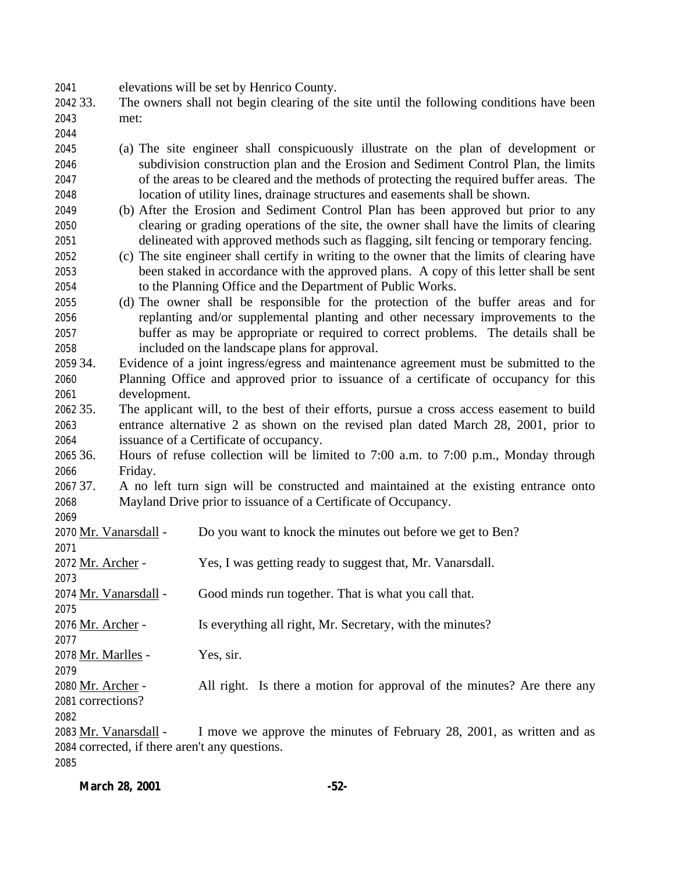elevations will be set by Henrico County.

- 33. The owners shall not begin clearing of the site until the following conditions have been met:
- 
- (a) The site engineer shall conspicuously illustrate on the plan of development or subdivision construction plan and the Erosion and Sediment Control Plan, the limits of the areas to be cleared and the methods of protecting the required buffer areas. The location of utility lines, drainage structures and easements shall be shown.
- (b) After the Erosion and Sediment Control Plan has been approved but prior to any clearing or grading operations of the site, the owner shall have the limits of clearing delineated with approved methods such as flagging, silt fencing or temporary fencing.
- (c) The site engineer shall certify in writing to the owner that the limits of clearing have been staked in accordance with the approved plans. A copy of this letter shall be sent to the Planning Office and the Department of Public Works.
- (d) The owner shall be responsible for the protection of the buffer areas and for replanting and/or supplemental planting and other necessary improvements to the buffer as may be appropriate or required to correct problems. The details shall be included on the landscape plans for approval.
- 34. Evidence of a joint ingress/egress and maintenance agreement must be submitted to the Planning Office and approved prior to issuance of a certificate of occupancy for this development.
- 35. The applicant will, to the best of their efforts, pursue a cross access easement to build entrance alternative 2 as shown on the revised plan dated March 28, 2001, prior to issuance of a Certificate of occupancy.
- 36. Hours of refuse collection will be limited to 7:00 a.m. to 7:00 p.m., Monday through Friday.
- 37. A no left turn sign will be constructed and maintained at the existing entrance onto Mayland Drive prior to issuance of a Certificate of Occupancy.
- 

- Mr. Vanarsdall Do you want to knock the minutes out before we get to Ben?
- 2072 Mr. Archer Yes, I was getting ready to suggest that, Mr. Vanarsdall.
- Mr. Vanarsdall Good minds run together. That is what you call that.
- Mr. Archer Is everything all right, Mr. Secretary, with the minutes?

- Mr. Marlles Yes, sir.
- 
- Mr. Archer All right. Is there a motion for approval of the minutes? Are there any corrections?
- 

 Mr. Vanarsdall - I move we approve the minutes of February 28, 2001, as written and as corrected, if there aren't any questions.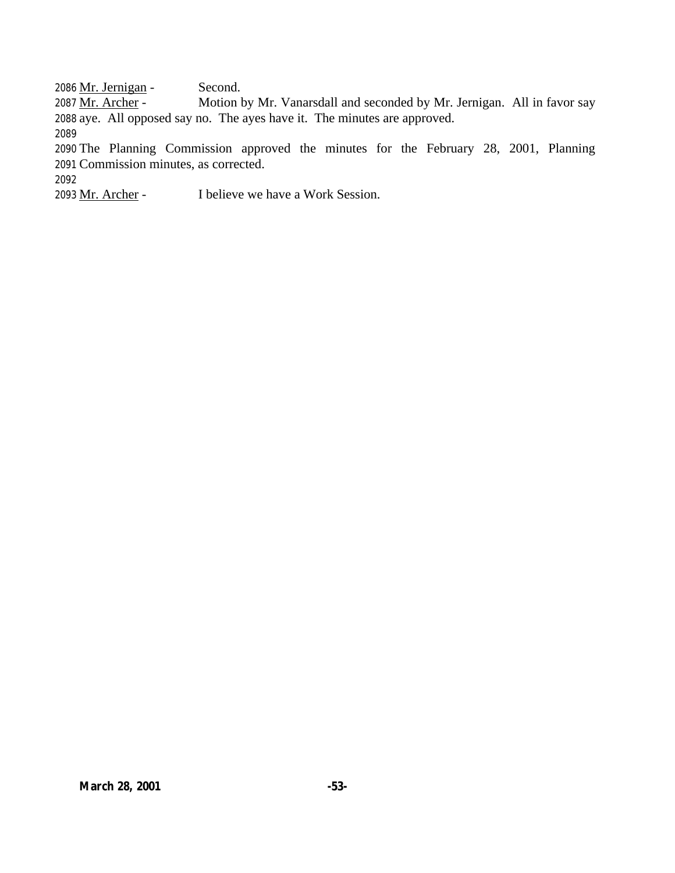2086 Mr. Jernigan - Second.

2087 Mr. Archer - Motion by Mr. Vanarsdall and seconded by Mr. Jernigan. All in favor say aye. All opposed say no. The ayes have it. The minutes are approved. 

 The Planning Commission approved the minutes for the February 28, 2001, Planning Commission minutes, as corrected.

Mr. Archer - I believe we have a Work Session.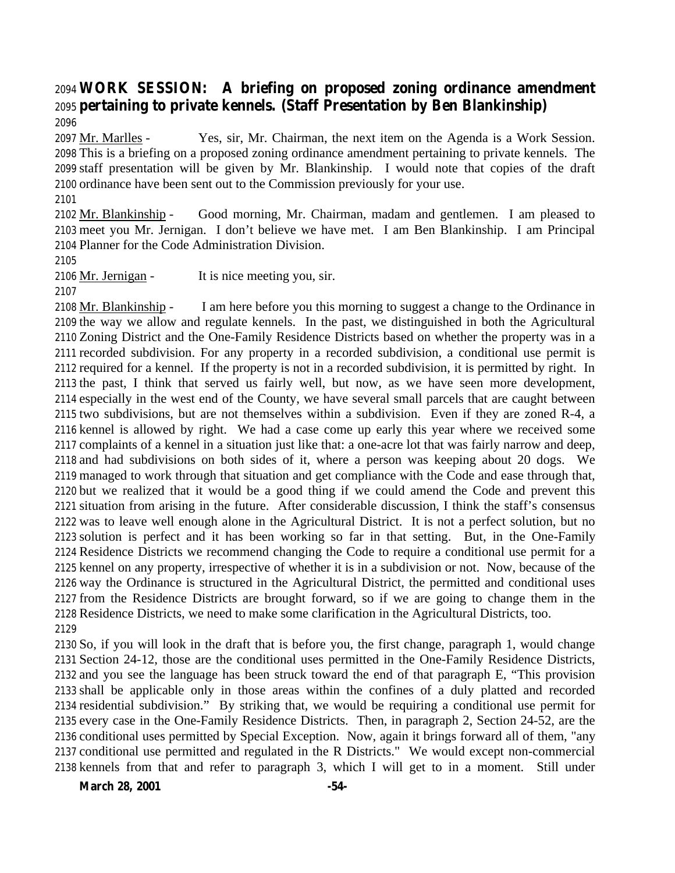## **WORK SESSION: A briefing on proposed zoning ordinance amendment pertaining to private kennels. (Staff Presentation by Ben Blankinship)**

2097 Mr. Marlles - Yes, sir, Mr. Chairman, the next item on the Agenda is a Work Session. This is a briefing on a proposed zoning ordinance amendment pertaining to private kennels. The staff presentation will be given by Mr. Blankinship. I would note that copies of the draft ordinance have been sent out to the Commission previously for your use.

 Mr. Blankinship - Good morning, Mr. Chairman, madam and gentlemen. I am pleased to meet you Mr. Jernigan. I don't believe we have met. I am Ben Blankinship. I am Principal Planner for the Code Administration Division.

Mr. Jernigan - It is nice meeting you, sir.

2108 Mr. Blankinship - I am here before you this morning to suggest a change to the Ordinance in the way we allow and regulate kennels. In the past, we distinguished in both the Agricultural Zoning District and the One-Family Residence Districts based on whether the property was in a recorded subdivision. For any property in a recorded subdivision, a conditional use permit is required for a kennel. If the property is not in a recorded subdivision, it is permitted by right. In the past, I think that served us fairly well, but now, as we have seen more development, especially in the west end of the County, we have several small parcels that are caught between two subdivisions, but are not themselves within a subdivision. Even if they are zoned R-4, a kennel is allowed by right. We had a case come up early this year where we received some complaints of a kennel in a situation just like that: a one-acre lot that was fairly narrow and deep, and had subdivisions on both sides of it, where a person was keeping about 20 dogs. We managed to work through that situation and get compliance with the Code and ease through that, but we realized that it would be a good thing if we could amend the Code and prevent this situation from arising in the future. After considerable discussion, I think the staff's consensus was to leave well enough alone in the Agricultural District. It is not a perfect solution, but no solution is perfect and it has been working so far in that setting. But, in the One-Family Residence Districts we recommend changing the Code to require a conditional use permit for a kennel on any property, irrespective of whether it is in a subdivision or not. Now, because of the way the Ordinance is structured in the Agricultural District, the permitted and conditional uses from the Residence Districts are brought forward, so if we are going to change them in the Residence Districts, we need to make some clarification in the Agricultural Districts, too. 

 So, if you will look in the draft that is before you, the first change, paragraph 1, would change Section 24-12, those are the conditional uses permitted in the One-Family Residence Districts, and you see the language has been struck toward the end of that paragraph E, "This provision shall be applicable only in those areas within the confines of a duly platted and recorded residential subdivision." By striking that, we would be requiring a conditional use permit for every case in the One-Family Residence Districts. Then, in paragraph 2, Section 24-52, are the conditional uses permitted by Special Exception. Now, again it brings forward all of them, "any conditional use permitted and regulated in the R Districts." We would except non-commercial kennels from that and refer to paragraph 3, which I will get to in a moment. Still under

**March 28, 2001 -54-**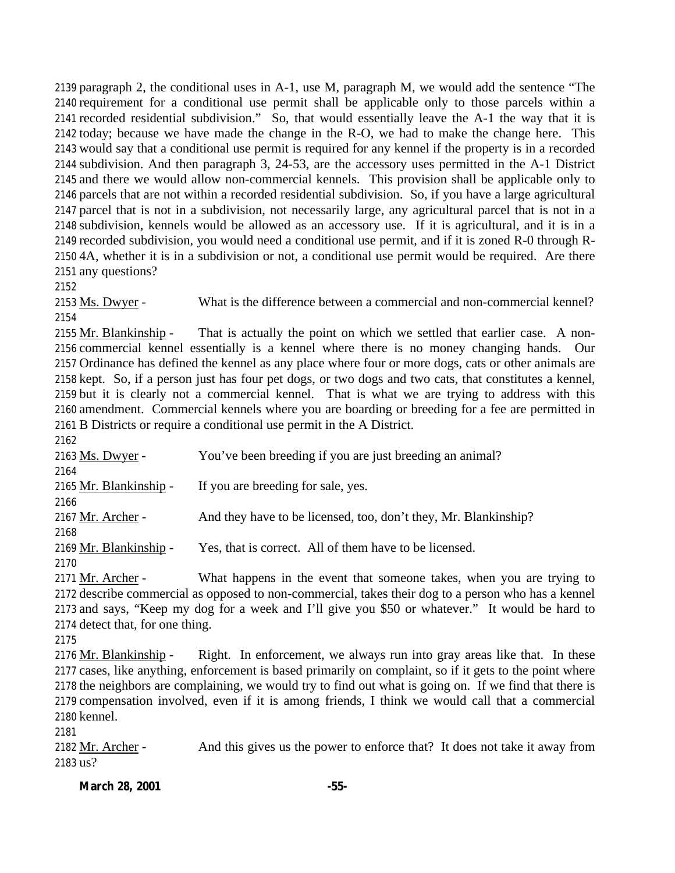paragraph 2, the conditional uses in A-1, use M, paragraph M, we would add the sentence "The requirement for a conditional use permit shall be applicable only to those parcels within a recorded residential subdivision." So, that would essentially leave the A-1 the way that it is today; because we have made the change in the R-O, we had to make the change here. This would say that a conditional use permit is required for any kennel if the property is in a recorded subdivision. And then paragraph 3, 24-53, are the accessory uses permitted in the A-1 District and there we would allow non-commercial kennels. This provision shall be applicable only to parcels that are not within a recorded residential subdivision. So, if you have a large agricultural parcel that is not in a subdivision, not necessarily large, any agricultural parcel that is not in a subdivision, kennels would be allowed as an accessory use. If it is agricultural, and it is in a recorded subdivision, you would need a conditional use permit, and if it is zoned R-0 through R- 4A, whether it is in a subdivision or not, a conditional use permit would be required. Are there any questions?

2153 Ms. Dwyer - What is the difference between a commercial and non-commercial kennel? 

2155 Mr. Blankinship - That is actually the point on which we settled that earlier case. A non- commercial kennel essentially is a kennel where there is no money changing hands. Our Ordinance has defined the kennel as any place where four or more dogs, cats or other animals are kept. So, if a person just has four pet dogs, or two dogs and two cats, that constitutes a kennel, but it is clearly not a commercial kennel. That is what we are trying to address with this amendment. Commercial kennels where you are boarding or breeding for a fee are permitted in B Districts or require a conditional use permit in the A District.

 Ms. Dwyer - You've been breeding if you are just breeding an animal? Mr. Blankinship - If you are breeding for sale, yes. Mr. Archer - And they have to be licensed, too, don't they, Mr. Blankinship? 2169 Mr. Blankinship - Yes, that is correct. All of them have to be licensed. 

 Mr. Archer - What happens in the event that someone takes, when you are trying to describe commercial as opposed to non-commercial, takes their dog to a person who has a kennel and says, "Keep my dog for a week and I'll give you \$50 or whatever." It would be hard to detect that, for one thing.

 Mr. Blankinship - Right. In enforcement, we always run into gray areas like that. In these cases, like anything, enforcement is based primarily on complaint, so if it gets to the point where the neighbors are complaining, we would try to find out what is going on. If we find that there is compensation involved, even if it is among friends, I think we would call that a commercial kennel.

 Mr. Archer - And this gives us the power to enforce that? It does not take it away from us?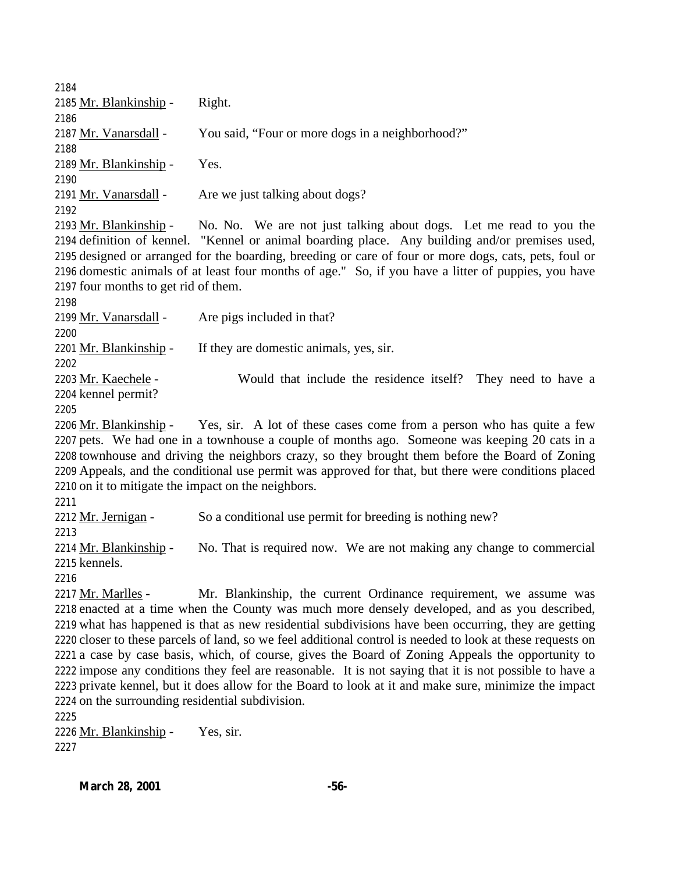| 2184                                                |                                                                                                            |
|-----------------------------------------------------|------------------------------------------------------------------------------------------------------------|
| 2185 Mr. Blankinship -                              | Right.                                                                                                     |
| 2186                                                |                                                                                                            |
| 2187 Mr. Vanarsdall -                               | You said, "Four or more dogs in a neighborhood?"                                                           |
| 2188                                                |                                                                                                            |
| 2189 Mr. Blankinship -                              | Yes.                                                                                                       |
| 2190                                                |                                                                                                            |
| 2191 Mr. Vanarsdall -                               | Are we just talking about dogs?                                                                            |
| 2192                                                |                                                                                                            |
| 2193 Mr. Blankinship -                              | No. No. We are not just talking about dogs. Let me read to you the                                         |
|                                                     | 2194 definition of kennel. "Kennel or animal boarding place. Any building and/or premises used,            |
|                                                     | 2195 designed or arranged for the boarding, breeding or care of four or more dogs, cats, pets, foul or     |
|                                                     | 2196 domestic animals of at least four months of age." So, if you have a litter of puppies, you have       |
| 2197 four months to get rid of them.                |                                                                                                            |
| 2198                                                |                                                                                                            |
| 2199 Mr. Vanarsdall -                               | Are pigs included in that?                                                                                 |
| 2200                                                |                                                                                                            |
| 2201 Mr. Blankinship -                              | If they are domestic animals, yes, sir.                                                                    |
| 2202                                                |                                                                                                            |
| 2203 Mr. Kaechele -                                 | Would that include the residence itself? They need to have a                                               |
| 2204 kennel permit?                                 |                                                                                                            |
| 2205                                                |                                                                                                            |
|                                                     | 2206 Mr. Blankinship - Yes, sir. A lot of these cases come from a person who has quite a few               |
|                                                     | 2207 pets. We had one in a townhouse a couple of months ago. Someone was keeping 20 cats in a              |
|                                                     | 2208 townhouse and driving the neighbors crazy, so they brought them before the Board of Zoning            |
|                                                     | 2209 Appeals, and the conditional use permit was approved for that, but there were conditions placed       |
| 2210 on it to mitigate the impact on the neighbors. |                                                                                                            |
| 2211                                                |                                                                                                            |
| 2212 Mr. Jernigan -                                 | So a conditional use permit for breeding is nothing new?                                                   |
| 2213                                                |                                                                                                            |
| 2214 Mr. Blankinship -                              | No. That is required now. We are not making any change to commercial                                       |
| 2215 kennels.<br>2216                               |                                                                                                            |
| 2217 Mr. Marlles -                                  | Mr. Blankinship, the current Ordinance requirement, we assume was                                          |
|                                                     | 2218 enacted at a time when the County was much more densely developed, and as you described,              |
|                                                     | 2219 what has happened is that as new residential subdivisions have been occurring, they are getting       |
|                                                     | 2220 closer to these parcels of land, so we feel additional control is needed to look at these requests on |
|                                                     | 2221 a case by case basis, which, of course, gives the Board of Zoning Appeals the opportunity to          |
|                                                     | 2222 impose any conditions they feel are reasonable. It is not saying that it is not possible to have a    |
|                                                     | 2223 private kennel, but it does allow for the Board to look at it and make sure, minimize the impact      |
| 2224 on the surrounding residential subdivision.    |                                                                                                            |
| 2225                                                |                                                                                                            |
| 2226 Mr. Blankinship -                              | Yes, sir.                                                                                                  |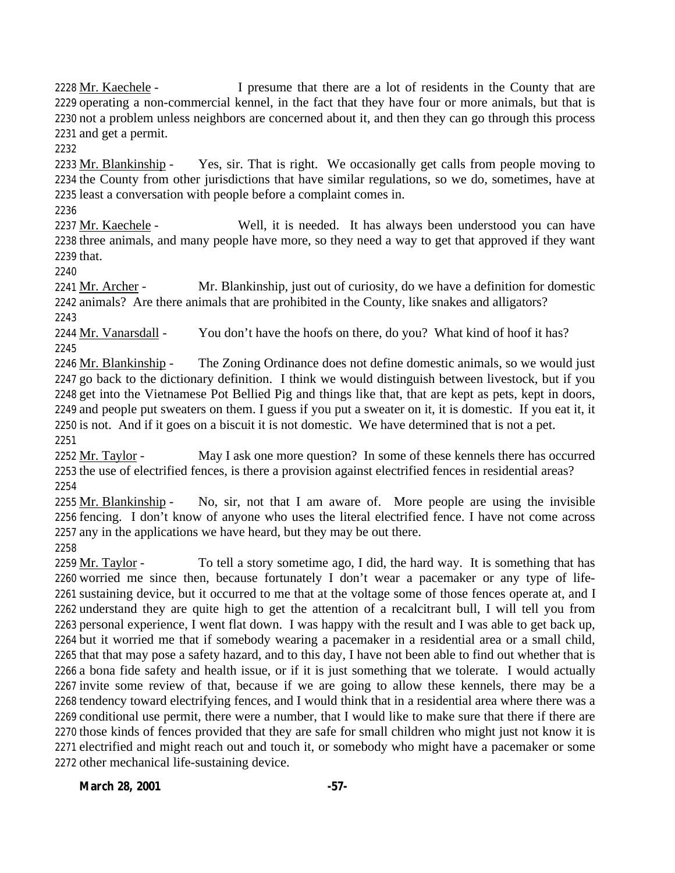2228 Mr. Kaechele - I presume that there are a lot of residents in the County that are operating a non-commercial kennel, in the fact that they have four or more animals, but that is not a problem unless neighbors are concerned about it, and then they can go through this process and get a permit.

 Mr. Blankinship - Yes, sir. That is right. We occasionally get calls from people moving to the County from other jurisdictions that have similar regulations, so we do, sometimes, have at least a conversation with people before a complaint comes in.

 Mr. Kaechele - Well, it is needed. It has always been understood you can have three animals, and many people have more, so they need a way to get that approved if they want that.

2241 Mr. Archer - Mr. Blankinship, just out of curiosity, do we have a definition for domestic animals? Are there animals that are prohibited in the County, like snakes and alligators? 

2244 Mr. Vanarsdall - You don't have the hoofs on there, do you? What kind of hoof it has? 

2246 Mr. Blankinship - The Zoning Ordinance does not define domestic animals, so we would just go back to the dictionary definition. I think we would distinguish between livestock, but if you get into the Vietnamese Pot Bellied Pig and things like that, that are kept as pets, kept in doors, and people put sweaters on them. I guess if you put a sweater on it, it is domestic. If you eat it, it is not. And if it goes on a biscuit it is not domestic. We have determined that is not a pet. 

2252 Mr. Taylor - May I ask one more question? In some of these kennels there has occurred the use of electrified fences, is there a provision against electrified fences in residential areas? 

2255  $Mr. Blankinship - No, sir, not that I am aware of. More people are using the invisible$  fencing. I don't know of anyone who uses the literal electrified fence. I have not come across any in the applications we have heard, but they may be out there.

 $Mr. Taylor$  - To tell a story sometime ago, I did, the hard way. It is something that has worried me since then, because fortunately I don't wear a pacemaker or any type of life- sustaining device, but it occurred to me that at the voltage some of those fences operate at, and I understand they are quite high to get the attention of a recalcitrant bull, I will tell you from personal experience, I went flat down. I was happy with the result and I was able to get back up, but it worried me that if somebody wearing a pacemaker in a residential area or a small child, that that may pose a safety hazard, and to this day, I have not been able to find out whether that is a bona fide safety and health issue, or if it is just something that we tolerate. I would actually invite some review of that, because if we are going to allow these kennels, there may be a tendency toward electrifying fences, and I would think that in a residential area where there was a conditional use permit, there were a number, that I would like to make sure that there if there are those kinds of fences provided that they are safe for small children who might just not know it is electrified and might reach out and touch it, or somebody who might have a pacemaker or some other mechanical life-sustaining device.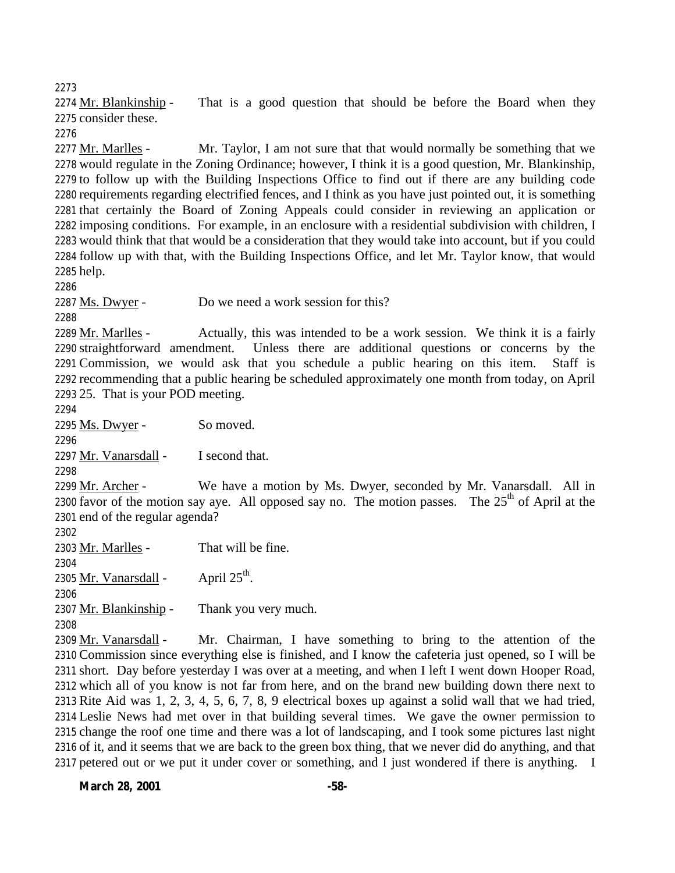Mr. Blankinship - That is a good question that should be before the Board when they consider these.

2277 Mr. Marlles - Mr. Taylor, I am not sure that that would normally be something that we would regulate in the Zoning Ordinance; however, I think it is a good question, Mr. Blankinship, to follow up with the Building Inspections Office to find out if there are any building code requirements regarding electrified fences, and I think as you have just pointed out, it is something that certainly the Board of Zoning Appeals could consider in reviewing an application or imposing conditions. For example, in an enclosure with a residential subdivision with children, I would think that that would be a consideration that they would take into account, but if you could follow up with that, with the Building Inspections Office, and let Mr. Taylor know, that would help.

Ms. Dwyer - Do we need a work session for this?

2289 Mr. Marlles - Actually, this was intended to be a work session. We think it is a fairly straightforward amendment. Unless there are additional questions or concerns by the Commission, we would ask that you schedule a public hearing on this item. Staff is recommending that a public hearing be scheduled approximately one month from today, on April 25. That is your POD meeting.

Ms. Dwyer - So moved.

2297 Mr. Vanarsdall - I second that.

 Mr. Archer - We have a motion by Ms. Dwyer, seconded by Mr. Vanarsdall. All in 2300 favor of the motion say aye. All opposed say no. The motion passes. The  $25<sup>th</sup>$  of April at the end of the regular agenda?

2303 Mr. Marlles - That will be fine. <u>Mr. Vanarsdall</u> - April  $25<sup>th</sup>$ . 2307 Mr. Blankinship - Thank you very much. 

 Mr. Vanarsdall - Mr. Chairman, I have something to bring to the attention of the Commission since everything else is finished, and I know the cafeteria just opened, so I will be short. Day before yesterday I was over at a meeting, and when I left I went down Hooper Road, which all of you know is not far from here, and on the brand new building down there next to Rite Aid was 1, 2, 3, 4, 5, 6, 7, 8, 9 electrical boxes up against a solid wall that we had tried, Leslie News had met over in that building several times. We gave the owner permission to change the roof one time and there was a lot of landscaping, and I took some pictures last night of it, and it seems that we are back to the green box thing, that we never did do anything, and that 2317 petered out or we put it under cover or something, and I just wondered if there is anything. I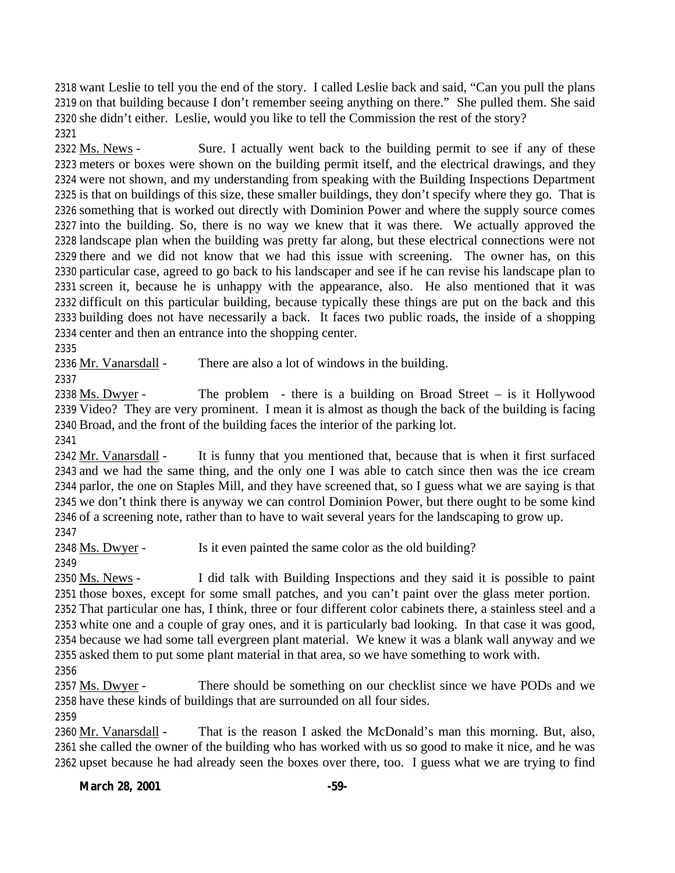want Leslie to tell you the end of the story. I called Leslie back and said, "Can you pull the plans on that building because I don't remember seeing anything on there." She pulled them. She said she didn't either. Leslie, would you like to tell the Commission the rest of the story? 

2322 Ms. News - Sure. I actually went back to the building permit to see if any of these meters or boxes were shown on the building permit itself, and the electrical drawings, and they were not shown, and my understanding from speaking with the Building Inspections Department is that on buildings of this size, these smaller buildings, they don't specify where they go. That is something that is worked out directly with Dominion Power and where the supply source comes into the building. So, there is no way we knew that it was there. We actually approved the landscape plan when the building was pretty far along, but these electrical connections were not there and we did not know that we had this issue with screening. The owner has, on this particular case, agreed to go back to his landscaper and see if he can revise his landscape plan to screen it, because he is unhappy with the appearance, also. He also mentioned that it was difficult on this particular building, because typically these things are put on the back and this building does not have necessarily a back. It faces two public roads, the inside of a shopping center and then an entrance into the shopping center.

2336 Mr. Vanarsdall - There are also a lot of windows in the building.

2338  $\overline{Ms}$ . Dwyer - The problem - there is a building on Broad Street – is it Hollywood Video? They are very prominent. I mean it is almost as though the back of the building is facing Broad, and the front of the building faces the interior of the parking lot.

 Mr. Vanarsdall - It is funny that you mentioned that, because that is when it first surfaced and we had the same thing, and the only one I was able to catch since then was the ice cream parlor, the one on Staples Mill, and they have screened that, so I guess what we are saying is that we don't think there is anyway we can control Dominion Power, but there ought to be some kind of a screening note, rather than to have to wait several years for the landscaping to grow up. 

2348 Ms. Dwyer - Is it even painted the same color as the old building?

 Ms. News - I did talk with Building Inspections and they said it is possible to paint those boxes, except for some small patches, and you can't paint over the glass meter portion.

 That particular one has, I think, three or four different color cabinets there, a stainless steel and a white one and a couple of gray ones, and it is particularly bad looking. In that case it was good, because we had some tall evergreen plant material. We knew it was a blank wall anyway and we asked them to put some plant material in that area, so we have something to work with.

 Ms. Dwyer - There should be something on our checklist since we have PODs and we have these kinds of buildings that are surrounded on all four sides.

 Mr. Vanarsdall - That is the reason I asked the McDonald's man this morning. But, also, she called the owner of the building who has worked with us so good to make it nice, and he was upset because he had already seen the boxes over there, too. I guess what we are trying to find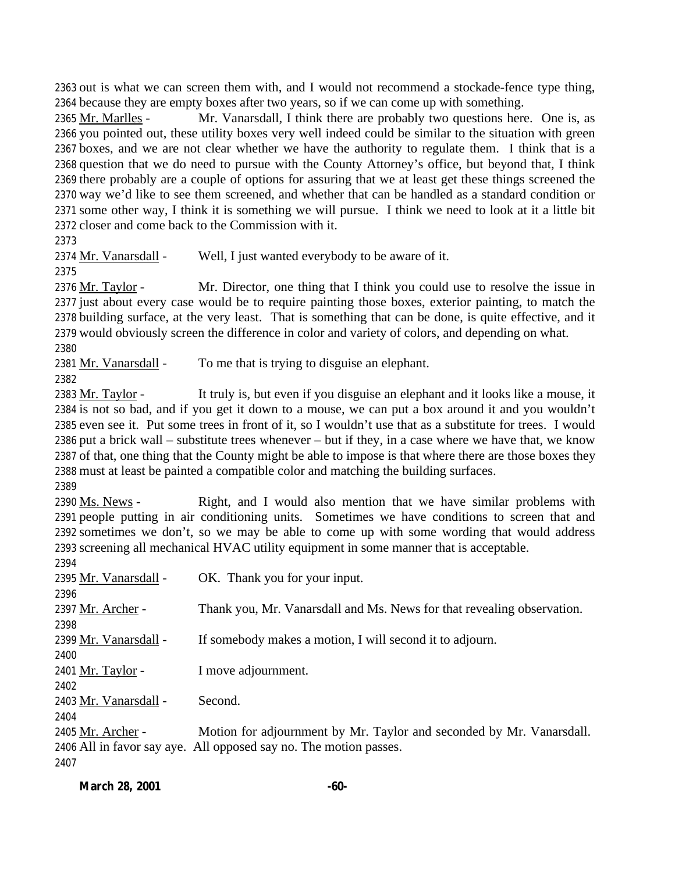out is what we can screen them with, and I would not recommend a stockade-fence type thing, because they are empty boxes after two years, so if we can come up with something.

2365 Mr. Marlles - Mr. Vanarsdall, I think there are probably two questions here. One is, as you pointed out, these utility boxes very well indeed could be similar to the situation with green boxes, and we are not clear whether we have the authority to regulate them. I think that is a question that we do need to pursue with the County Attorney's office, but beyond that, I think there probably are a couple of options for assuring that we at least get these things screened the way we'd like to see them screened, and whether that can be handled as a standard condition or some other way, I think it is something we will pursue. I think we need to look at it a little bit closer and come back to the Commission with it.

2374 Mr. Vanarsdall - Well, I just wanted everybody to be aware of it.

 Mr. Taylor - Mr. Director, one thing that I think you could use to resolve the issue in just about every case would be to require painting those boxes, exterior painting, to match the building surface, at the very least. That is something that can be done, is quite effective, and it would obviously screen the difference in color and variety of colors, and depending on what.

2381 Mr. Vanarsdall - To me that is trying to disguise an elephant.

 $Mr. Taylor - It truly is, but even if you disguise an elephant and it looks like a mouse, it$  is not so bad, and if you get it down to a mouse, we can put a box around it and you wouldn't even see it. Put some trees in front of it, so I wouldn't use that as a substitute for trees. I would put a brick wall – substitute trees whenever – but if they, in a case where we have that, we know of that, one thing that the County might be able to impose is that where there are those boxes they must at least be painted a compatible color and matching the building surfaces.

2390 Ms. News - Right, and I would also mention that we have similar problems with people putting in air conditioning units. Sometimes we have conditions to screen that and sometimes we don't, so we may be able to come up with some wording that would address screening all mechanical HVAC utility equipment in some manner that is acceptable.

| 2394                  |                                                                        |
|-----------------------|------------------------------------------------------------------------|
| 2395 Mr. Vanarsdall - | OK. Thank you for your input.                                          |
| 2396                  |                                                                        |
| 2397 Mr. Archer -     | Thank you, Mr. Vanarsdall and Ms. News for that revealing observation. |
| 2398                  |                                                                        |
| 2399 Mr. Vanarsdall - | If somebody makes a motion, I will second it to adjourn.               |
| 2400                  |                                                                        |
| 2401 Mr. Taylor -     | I move adjournment.                                                    |
| 2402                  |                                                                        |
| 2403 Mr. Vanarsdall - | Second.                                                                |
| 2404                  |                                                                        |
| 2405 Mr. Archer -     | Motion for adjournment by Mr. Taylor and seconded by Mr. Vanarsdall.   |
|                       | 2406 All in favor say aye. All opposed say no. The motion passes.      |
| 2407                  |                                                                        |